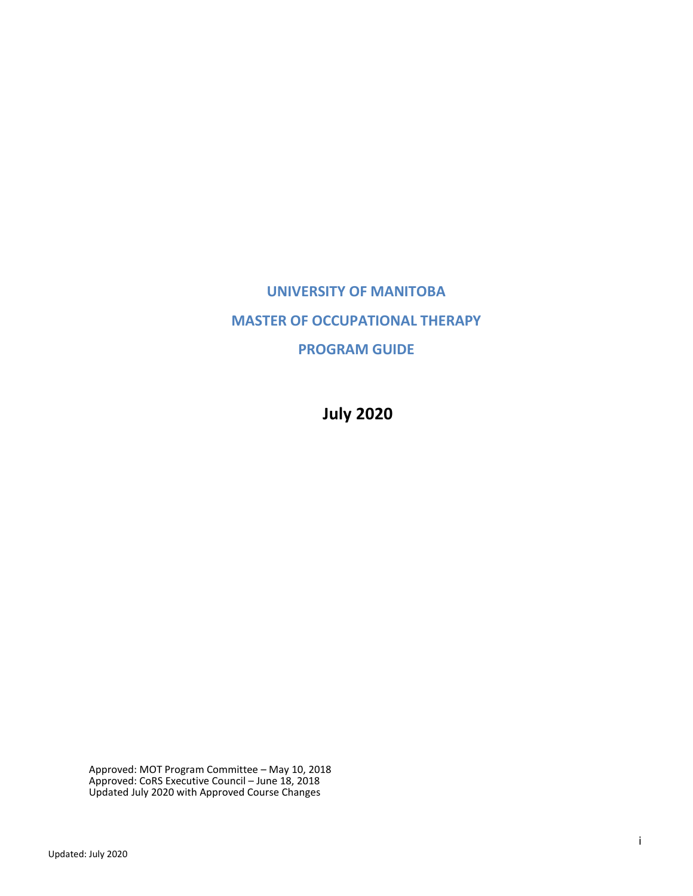# **UNIVERSITY OF MANITOBA MASTER OF OCCUPATIONAL THERAPY PROGRAM GUIDE**

**July 2020**

Approved: MOT Program Committee – May 10, 2018 Approved: CoRS Executive Council – June 18, 2018 Updated July 2020 with Approved Course Changes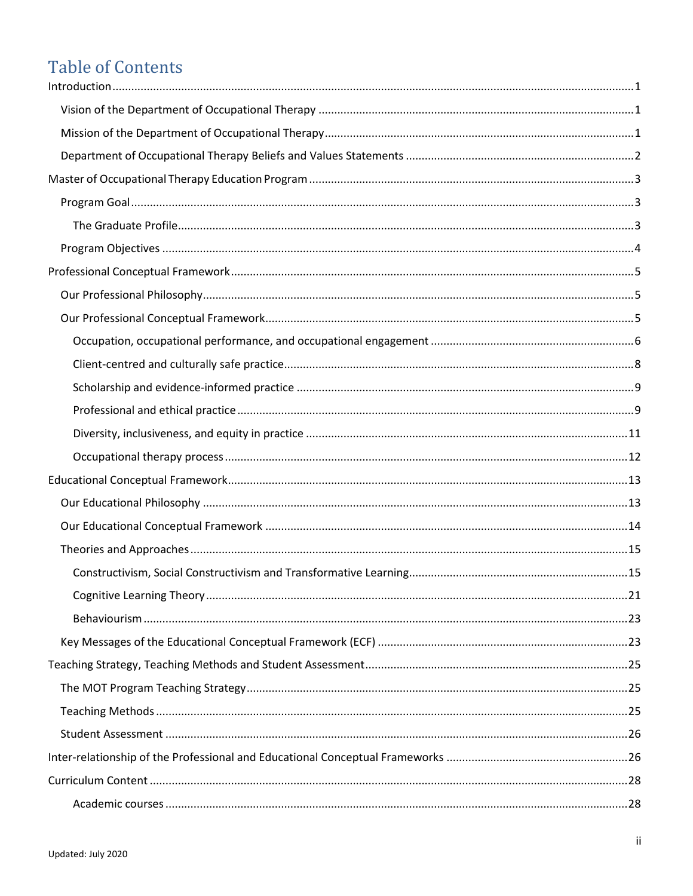# **Table of Contents**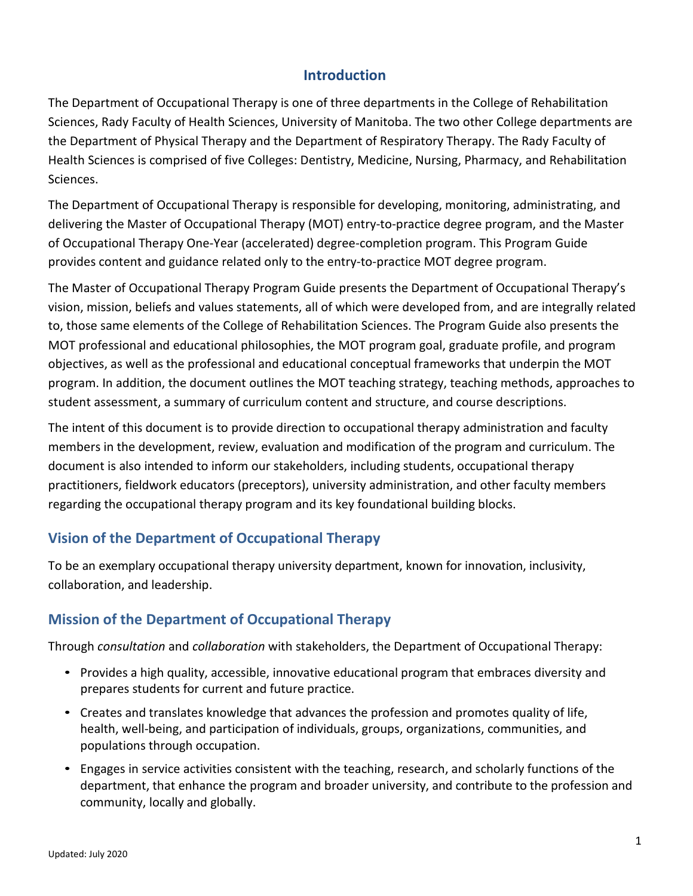# **Introduction**

<span id="page-3-0"></span>The Department of Occupational Therapy is one of three departments in the College of Rehabilitation Sciences, Rady Faculty of Health Sciences, University of Manitoba. The two other College departments are the Department of Physical Therapy and the Department of Respiratory Therapy. The Rady Faculty of Health Sciences is comprised of five Colleges: Dentistry, Medicine, Nursing, Pharmacy, and Rehabilitation Sciences.

The Department of Occupational Therapy is responsible for developing, monitoring, administrating, and delivering the Master of Occupational Therapy (MOT) entry-to-practice degree program, and the Master of Occupational Therapy One-Year (accelerated) degree-completion program. This Program Guide provides content and guidance related only to the entry-to-practice MOT degree program.

The Master of Occupational Therapy Program Guide presents the Department of Occupational Therapy's vision, mission, beliefs and values statements, all of which were developed from, and are integrally related to, those same elements of the College of Rehabilitation Sciences. The Program Guide also presents the MOT professional and educational philosophies, the MOT program goal, graduate profile, and program objectives, as well as the professional and educational conceptual frameworks that underpin the MOT program. In addition, the document outlines the MOT teaching strategy, teaching methods, approaches to student assessment, a summary of curriculum content and structure, and course descriptions.

The intent of this document is to provide direction to occupational therapy administration and faculty members in the development, review, evaluation and modification of the program and curriculum. The document is also intended to inform our stakeholders, including students, occupational therapy practitioners, fieldwork educators (preceptors), university administration, and other faculty members regarding the occupational therapy program and its key foundational building blocks.

# <span id="page-3-1"></span>**Vision of the Department of Occupational Therapy**

To be an exemplary occupational therapy university department, known for innovation, inclusivity, collaboration, and leadership.

# <span id="page-3-2"></span>**Mission of the Department of Occupational Therapy**

Through *consultation* and *collaboration* with stakeholders, the Department of Occupational Therapy:

- Provides a high quality, accessible, innovative educational program that embraces diversity and prepares students for current and future practice.
- Creates and translates knowledge that advances the profession and promotes quality of life, health, well-being, and participation of individuals, groups, organizations, communities, and populations through occupation.
- Engages in service activities consistent with the teaching, research, and scholarly functions of the department, that enhance the program and broader university, and contribute to the profession and community, locally and globally.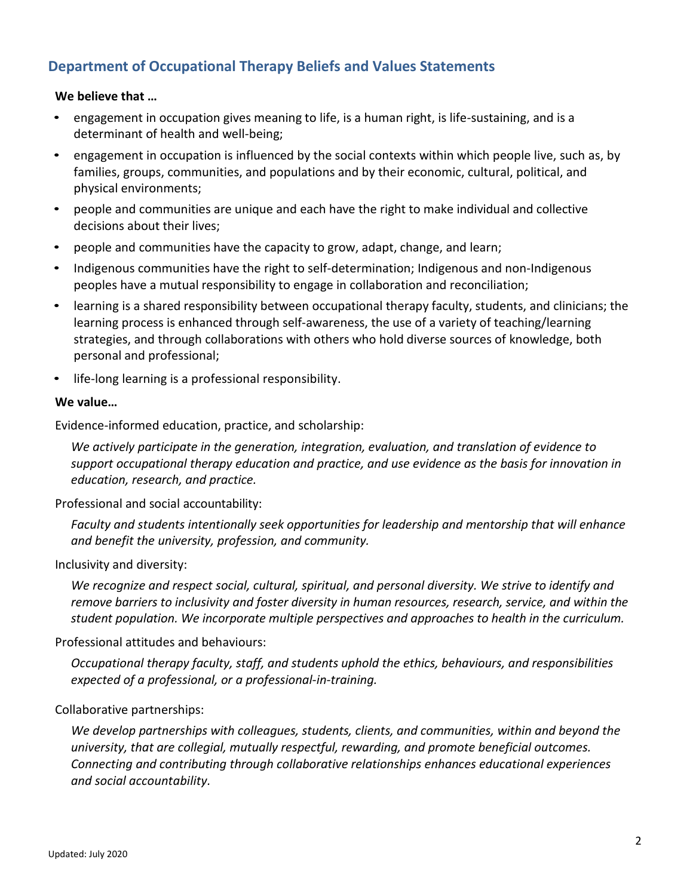# <span id="page-4-0"></span>**Department of Occupational Therapy Beliefs and Values Statements**

### **We believe that …**

- engagement in occupation gives meaning to life, is a human right, is life-sustaining, and is a determinant of health and well-being;
- engagement in occupation is influenced by the social contexts within which people live, such as, by families, groups, communities, and populations and by their economic, cultural, political, and physical environments;
- people and communities are unique and each have the right to make individual and collective decisions about their lives;
- people and communities have the capacity to grow, adapt, change, and learn;
- Indigenous communities have the right to self-determination; Indigenous and non-Indigenous peoples have a mutual responsibility to engage in collaboration and reconciliation;
- learning is a shared responsibility between occupational therapy faculty, students, and clinicians; the learning process is enhanced through self-awareness, the use of a variety of teaching/learning strategies, and through collaborations with others who hold diverse sources of knowledge, both personal and professional;
- life-long learning is a professional responsibility.

### **We value…**

Evidence-informed education, practice, and scholarship:

*We actively participate in the generation, integration, evaluation, and translation of evidence to support occupational therapy education and practice, and use evidence as the basis for innovation in education, research, and practice.*

Professional and social accountability:

*Faculty and students intentionally seek opportunities for leadership and mentorship that will enhance and benefit the university, profession, and community.*

#### Inclusivity and diversity:

*We recognize and respect social, cultural, spiritual, and personal diversity. We strive to identify and remove barriers to inclusivity and foster diversity in human resources, research, service, and within the student population. We incorporate multiple perspectives and approaches to health in the curriculum.*

#### Professional attitudes and behaviours:

*Occupational therapy faculty, staff, and students uphold the ethics, behaviours, and responsibilities expected of a professional, or a professional-in-training.*

### Collaborative partnerships:

*We develop partnerships with colleagues, students, clients, and communities, within and beyond the university, that are collegial, mutually respectful, rewarding, and promote beneficial outcomes. Connecting and contributing through collaborative relationships enhances educational experiences and social accountability.*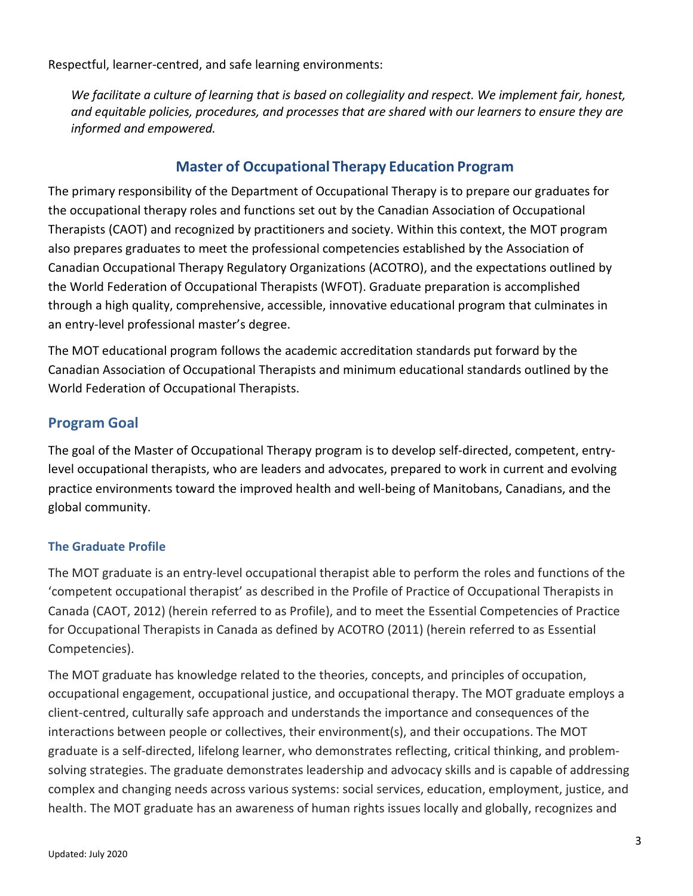Respectful, learner-centred, and safe learning environments:

*We facilitate a culture of learning that is based on collegiality and respect. We implement fair, honest, and equitable policies, procedures, and processes that are shared with our learners to ensure they are informed and empowered.*

# **Master of Occupational Therapy Education Program**

<span id="page-5-0"></span>The primary responsibility of the Department of Occupational Therapy is to prepare our graduates for the occupational therapy roles and functions set out by the Canadian Association of Occupational Therapists (CAOT) and recognized by practitioners and society. Within this context, the MOT program also prepares graduates to meet the professional competencies established by the Association of Canadian Occupational Therapy Regulatory Organizations (ACOTRO), and the expectations outlined by the World Federation of Occupational Therapists (WFOT). Graduate preparation is accomplished through a high quality, comprehensive, accessible, innovative educational program that culminates in an entry-level professional master's degree.

The MOT educational program follows the academic accreditation standards put forward by the Canadian Association of Occupational Therapists and minimum educational standards outlined by the World Federation of Occupational Therapists.

# <span id="page-5-1"></span>**Program Goal**

The goal of the Master of Occupational Therapy program is to develop self-directed, competent, entrylevel occupational therapists, who are leaders and advocates, prepared to work in current and evolving practice environments toward the improved health and well-being of Manitobans, Canadians, and the global community.

### <span id="page-5-2"></span>**The Graduate Profile**

The MOT graduate is an entry-level occupational therapist able to perform the roles and functions of the 'competent occupational therapist' as described in the Profile of Practice of Occupational Therapists in Canada (CAOT, 2012) (herein referred to as Profile), and to meet the Essential Competencies of Practice for Occupational Therapists in Canada as defined by ACOTRO (2011) (herein referred to as Essential Competencies).

The MOT graduate has knowledge related to the theories, concepts, and principles of occupation, occupational engagement, occupational justice, and occupational therapy. The MOT graduate employs a client-centred, culturally safe approach and understands the importance and consequences of the interactions between people or collectives, their environment(s), and their occupations. The MOT graduate is a self-directed, lifelong learner, who demonstrates reflecting, critical thinking, and problemsolving strategies. The graduate demonstrates leadership and advocacy skills and is capable of addressing complex and changing needs across various systems: social services, education, employment, justice, and health. The MOT graduate has an awareness of human rights issues locally and globally, recognizes and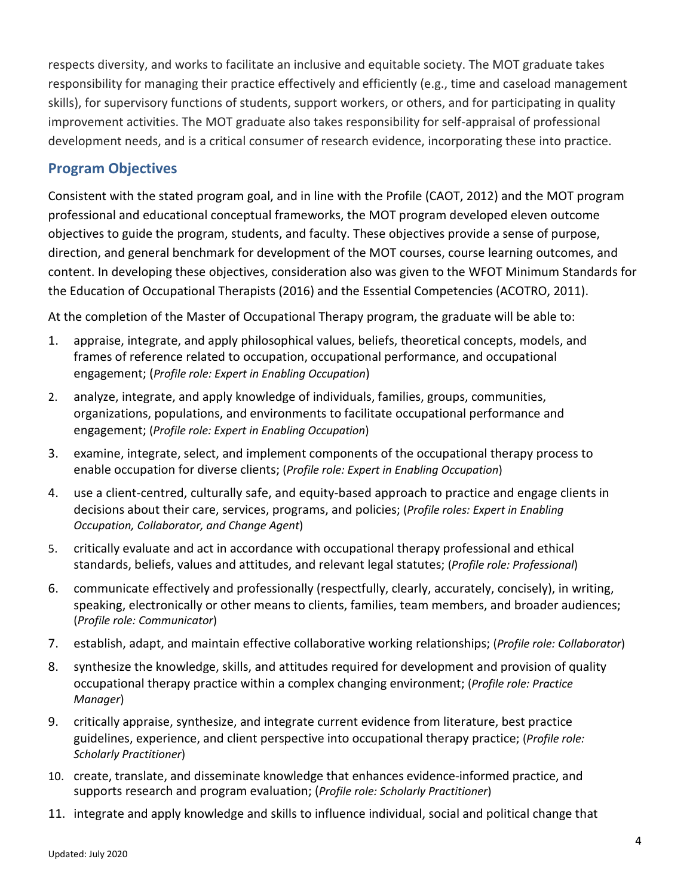respects diversity, and works to facilitate an inclusive and equitable society. The MOT graduate takes responsibility for managing their practice effectively and efficiently (e.g., time and caseload management skills), for supervisory functions of students, support workers, or others, and for participating in quality improvement activities. The MOT graduate also takes responsibility for self-appraisal of professional development needs, and is a critical consumer of research evidence, incorporating these into practice.

# <span id="page-6-0"></span>**Program Objectives**

Consistent with the stated program goal, and in line with the Profile (CAOT, 2012) and the MOT program professional and educational conceptual frameworks, the MOT program developed eleven outcome objectives to guide the program, students, and faculty. These objectives provide a sense of purpose, direction, and general benchmark for development of the MOT courses, course learning outcomes, and content. In developing these objectives, consideration also was given to the WFOT Minimum Standards for the Education of Occupational Therapists (2016) and the Essential Competencies (ACOTRO, 2011).

At the completion of the Master of Occupational Therapy program, the graduate will be able to:

- 1. appraise, integrate, and apply philosophical values, beliefs, theoretical concepts, models, and frames of reference related to occupation, occupational performance, and occupational engagement; (*Profile role: Expert in Enabling Occupation*)
- 2. analyze, integrate, and apply knowledge of individuals, families, groups, communities, organizations, populations, and environments to facilitate occupational performance and engagement; (*Profile role: Expert in Enabling Occupation*)
- 3. examine, integrate, select, and implement components of the occupational therapy process to enable occupation for diverse clients; (*Profile role: Expert in Enabling Occupation*)
- 4. use a client-centred, culturally safe, and equity-based approach to practice and engage clients in decisions about their care, services, programs, and policies; (*Profile roles: Expert in Enabling Occupation, Collaborator, and Change Agent*)
- 5. critically evaluate and act in accordance with occupational therapy professional and ethical standards, beliefs, values and attitudes, and relevant legal statutes; (*Profile role: Professional*)
- 6. communicate effectively and professionally (respectfully, clearly, accurately, concisely), in writing, speaking, electronically or other means to clients, families, team members, and broader audiences; (*Profile role: Communicator*)
- 7. establish, adapt, and maintain effective collaborative working relationships; (*Profile role: Collaborator*)
- 8. synthesize the knowledge, skills, and attitudes required for development and provision of quality occupational therapy practice within a complex changing environment; (*Profile role: Practice Manager*)
- 9. critically appraise, synthesize, and integrate current evidence from literature, best practice guidelines, experience, and client perspective into occupational therapy practice; (*Profile role: Scholarly Practitioner*)
- 10. create, translate, and disseminate knowledge that enhances evidence-informed practice, and supports research and program evaluation; (*Profile role: Scholarly Practitioner*)
- 11. integrate and apply knowledge and skills to influence individual, social and political change that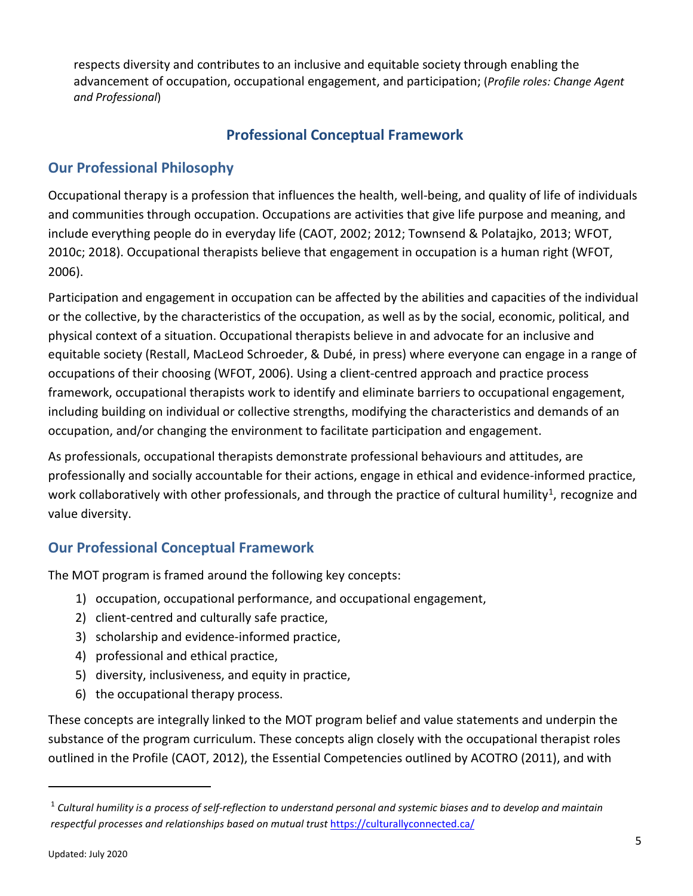<span id="page-7-0"></span>respects diversity and contributes to an inclusive and equitable society through enabling the advancement of occupation, occupational engagement, and participation; (*Profile roles: Change Agent and Professional*)

# **Professional Conceptual Framework**

# <span id="page-7-1"></span>**Our Professional Philosophy**

Occupational therapy is a profession that influences the health, well-being, and quality of life of individuals and communities through occupation. Occupations are activities that give life purpose and meaning, and include everything people do in everyday life (CAOT, 2002; 2012; Townsend & Polatajko, 2013; WFOT, 2010c; 2018). Occupational therapists believe that engagement in occupation is a human right (WFOT, 2006).

Participation and engagement in occupation can be affected by the abilities and capacities of the individual or the collective, by the characteristics of the occupation, as well as by the social, economic, political, and physical context of a situation. Occupational therapists believe in and advocate for an inclusive and equitable society (Restall, MacLeod Schroeder, & Dubé, in press) where everyone can engage in a range of occupations of their choosing (WFOT, 2006). Using a client-centred approach and practice process framework, occupational therapists work to identify and eliminate barriers to occupational engagement, including building on individual or collective strengths, modifying the characteristics and demands of an occupation, and/or changing the environment to facilitate participation and engagement.

As professionals, occupational therapists demonstrate professional behaviours and attitudes, are professionally and socially accountable for their actions, engage in ethical and evidence-informed practice, work collaboratively with other professionals, and through the practice of cultural humility<sup>[1](#page-7-3)</sup>, recognize and value diversity.

# <span id="page-7-2"></span>**Our Professional Conceptual Framework**

The MOT program is framed around the following key concepts:

- 1) occupation, occupational performance, and occupational engagement,
- 2) client-centred and culturally safe practice,
- 3) scholarship and evidence-informed practice,
- 4) professional and ethical practice,
- 5) diversity, inclusiveness, and equity in practice,
- 6) the occupational therapy process.

These concepts are integrally linked to the MOT program belief and value statements and underpin the substance of the program curriculum. These concepts align closely with the occupational therapist roles outlined in the Profile (CAOT, 2012), the Essential Competencies outlined by ACOTRO (2011), and with

 $\overline{a}$ 

<span id="page-7-3"></span><sup>1</sup> *Cultural humility is a process of self-reflection to understand personal and systemic biases and to develop and maintain*  respectful processes and relationships based on mutual trust <https://culturallyconnected.ca/>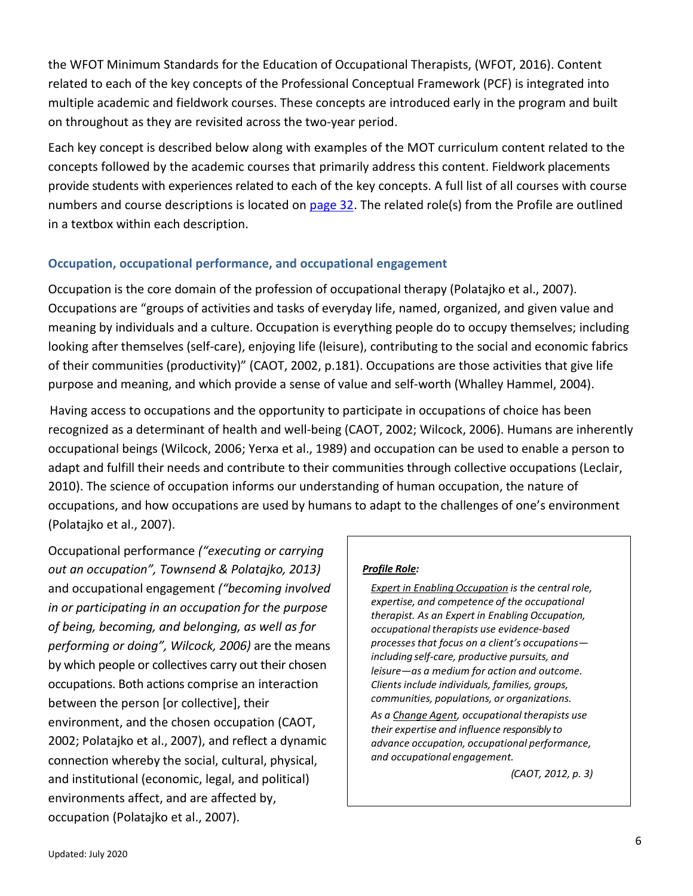the WFOT Minimum Standards for the Education of Occupational Therapists, (WFOT, 2016). Content related to each of the key concepts of the Professional Conceptual Framework (PCF) is integrated into multiple academic and fieldwork courses. These concepts are introduced early in the program and built on throughout as they are revisited across the two-year period.

Each key concept is described below along with examples of the MOT curriculum content related to the concepts followed by the academic courses that primarily address this content. Fieldwork placements provide students with experiences related to each of the key concepts. A full list of all courses with course numbers and course descriptions is located on [page 32.](#page-34-2) The related role(s) from the Profile are outlined in a textbox within each description.

### <span id="page-8-0"></span>**Occupation, occupational performance, and occupational engagement**

Occupation is the core domain of the profession of occupational therapy (Polatajko et al., 2007). Occupations are "groups of activities and tasks of everyday life, named, organized, and given value and meaning by individuals and a culture. Occupation is everything people do to occupy themselves; including looking after themselves (self-care), enjoying life (leisure), contributing to the social and economic fabrics of their communities (productivity)" (CAOT, 2002, p.181). Occupations are those activities that give life purpose and meaning, and which provide a sense of value and self-worth (Whalley Hammel, 2004).

Having access to occupations and the opportunity to participate in occupations of choice has been recognized as a determinant of health and well-being (CAOT, 2002; Wilcock, 2006). Humans are inherently occupational beings (Wilcock, 2006; Yerxa et al., 1989) and occupation can be used to enable a person to adapt and fulfill their needs and contribute to their communities through collective occupations (Leclair, 2010). The science of occupation informs our understanding of human occupation, the nature of occupations, and how occupations are used by humans to adapt to the challenges of one's environment (Polatajko et al., 2007).

Occupational performance *("executing or carrying out an occupation", Townsend & Polatajko, 2013)* and occupational engagement *("becoming involved in or participating in an occupation for the purpose of being, becoming, and belonging, as well as for performing or doing", Wilcock, 2006)* are the means by which people or collectives carry out their chosen occupations. Both actions comprise an interaction between the person [or collective], their environment, and the chosen occupation (CAOT, 2002; Polatajko et al., 2007), and reflect a dynamic connection whereby the social, cultural, physical, and institutional (economic, legal, and political) environments affect, and are affected by, occupation (Polatajko et al., 2007).

#### *Profile Role:*

*Expert in Enabling Occupation is the central role, expertise, and competence of the occupational therapist. As an Expert in Enabling Occupation, occupational therapists use evidence-based processesthat focus on a client's occupations including self-care, productive pursuits, and leisure—as a medium for action and outcome. Clients include individuals, families, groups, communities, populations, or organizations.* 

*As a Change Agent, occupational therapists use their expertise and influence responsibly to advance occupation, occupational performance, and occupational engagement.*

*(CAOT, 2012, p. 3)*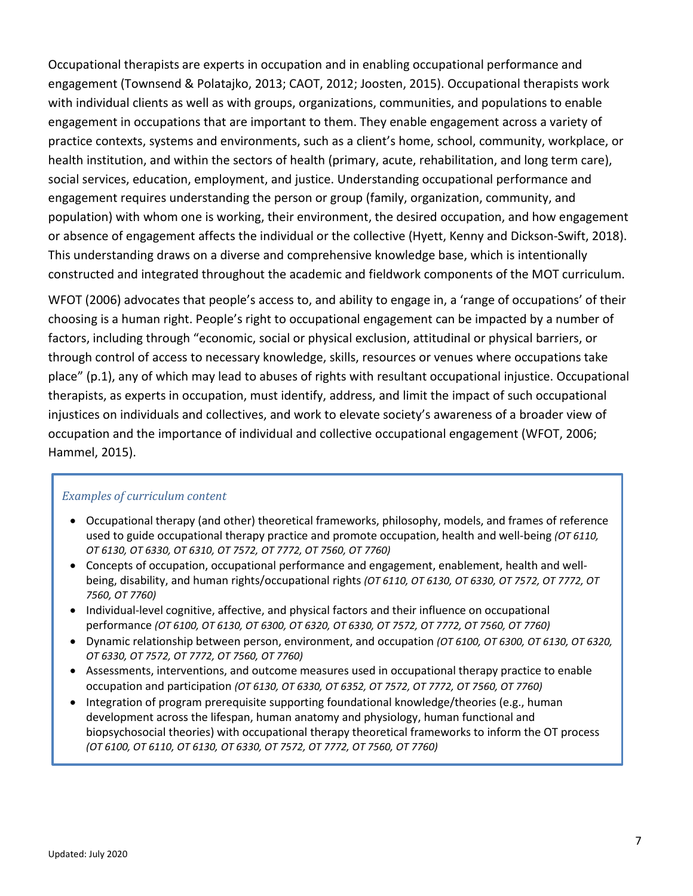Occupational therapists are experts in occupation and in enabling occupational performance and engagement (Townsend & Polatajko, 2013; CAOT, 2012; Joosten, 2015). Occupational therapists work with individual clients as well as with groups, organizations, communities, and populations to enable engagement in occupations that are important to them. They enable engagement across a variety of practice contexts, systems and environments, such as a client's home, school, community, workplace, or health institution, and within the sectors of health (primary, acute, rehabilitation, and long term care), social services, education, employment, and justice. Understanding occupational performance and engagement requires understanding the person or group (family, organization, community, and population) with whom one is working, their environment, the desired occupation, and how engagement or absence of engagement affects the individual or the collective (Hyett, Kenny and Dickson-Swift, 2018). This understanding draws on a diverse and comprehensive knowledge base, which is intentionally constructed and integrated throughout the academic and fieldwork components of the MOT curriculum.

WFOT (2006) advocates that people's access to, and ability to engage in, a 'range of occupations' of their choosing is a human right. People's right to occupational engagement can be impacted by a number of factors, including through "economic, social or physical exclusion, attitudinal or physical barriers, or through control of access to necessary knowledge, skills, resources or venues where occupations take place" (p.1), any of which may lead to abuses of rights with resultant occupational injustice. Occupational therapists, as experts in occupation, must identify, address, and limit the impact of such occupational injustices on individuals and collectives, and work to elevate society's awareness of a broader view of occupation and the importance of individual and collective occupational engagement (WFOT, 2006; Hammel, 2015).

### *Examples of curriculum content*

- Occupational therapy (and other) theoretical frameworks, philosophy, models, and frames of reference used to guide occupational therapy practice and promote occupation, health and well-being *(OT 6110, OT 6130, OT 6330, OT 6310, OT 7572, OT 7772, OT 7560, OT 7760)*
- Concepts of occupation, occupational performance and engagement, enablement, health and wellbeing, disability, and human rights/occupational rights *(OT 6110, OT 6130, OT 6330, OT 7572, OT 7772, OT 7560, OT 7760)*
- Individual-level cognitive, affective, and physical factors and their influence on occupational performance *(OT 6100, OT 6130, OT 6300, OT 6320, OT 6330, OT 7572, OT 7772, OT 7560, OT 7760)*
- Dynamic relationship between person, environment, and occupation *(OT 6100, OT 6300, OT 6130, OT 6320, OT 6330, OT 7572, OT 7772, OT 7560, OT 7760)*
- Assessments, interventions, and outcome measures used in occupational therapy practice to enable occupation and participation *(OT 6130, OT 6330, OT 6352, OT 7572, OT 7772, OT 7560, OT 7760)*
- Integration of program prerequisite supporting foundational knowledge/theories (e.g., human development across the lifespan, human anatomy and physiology, human functional and biopsychosocial theories) with occupational therapy theoretical frameworks to inform the OT process *(OT 6100, OT 6110, OT 6130, OT 6330, OT 7572, OT 7772, OT 7560, OT 7760)*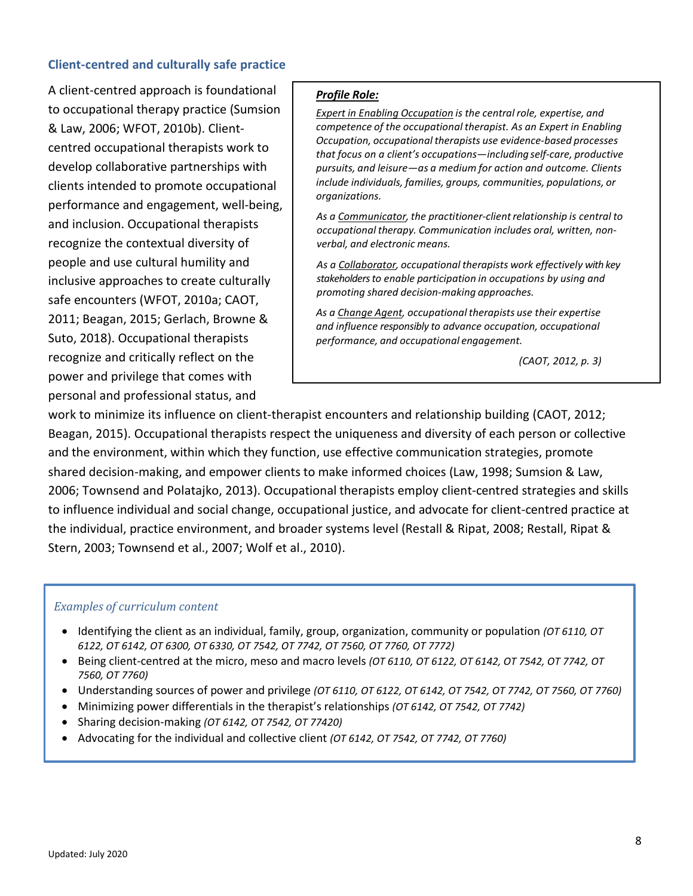### <span id="page-10-0"></span>**Client-centred and culturally safe practice**

A client-centred approach is foundational to occupational therapy practice (Sumsion & Law, 2006; WFOT, 2010b). Clientcentred occupational therapists work to develop collaborative partnerships with clients intended to promote occupational performance and engagement, well-being, and inclusion. Occupational therapists recognize the contextual diversity of people and use cultural humility and inclusive approaches to create culturally safe encounters (WFOT, 2010a; CAOT, 2011; Beagan, 2015; Gerlach, Browne & Suto, 2018). Occupational therapists recognize and critically reflect on the power and privilege that comes with personal and professional status, and

#### *Profile Role:*

*Expert in Enabling Occupation is the central role, expertise, and competence of the occupational therapist. As an Expert in Enabling Occupation, occupational therapists use evidence-based processes that focus on a client's occupations—including self-care, productive pursuits, and leisure—as a medium for action and outcome. Clients include individuals, families, groups, communities, populations, or organizations.*

*As a Communicator, the practitioner-clientrelationship is central to occupational therapy. Communication includes oral, written, nonverbal, and electronic means.*

*As a Collaborator, occupational therapists work effectively with key stakeholders to enable participation in occupations by using and promoting shared decision-making approaches.*

*As a Change Agent, occupational therapists use their expertise and influence responsibly to advance occupation, occupational performance, and occupational engagement.*

*(CAOT, 2012, p. 3)*

work to minimize its influence on client-therapist encounters and relationship building (CAOT, 2012; Beagan, 2015). Occupational therapists respect the uniqueness and diversity of each person or collective and the environment, within which they function, use effective communication strategies, promote shared decision-making, and empower clients to make informed choices (Law, 1998; Sumsion & Law, 2006; Townsend and Polatajko, 2013). Occupational therapists employ client-centred strategies and skills to influence individual and social change, occupational justice, and advocate for client-centred practice at the individual, practice environment, and broader systems level (Restall & Ripat, 2008; Restall, Ripat & Stern, 2003; Townsend et al., 2007; Wolf et al., 2010).

#### *Examples of curriculum content*

- Identifying the client as an individual, family, group, organization, community or population *(OT 6110, OT 6122, OT 6142, OT 6300, OT 6330, OT 7542, OT 7742, OT 7560, OT 7760, OT 7772)*
- Being client-centred at the micro, meso and macro levels *(OT 6110, OT 6122, OT 6142, OT 7542, OT 7742, OT 7560, OT 7760)*
- Understanding sources of power and privilege *(OT 6110, OT 6122, OT 6142, OT 7542, OT 7742, OT 7560, OT 7760)*
- Minimizing power differentials in the therapist's relationships *(OT 6142, OT 7542, OT 7742)*
- Sharing decision-making *(OT 6142, OT 7542, OT 77420)*
- Advocating for the individual and collective client *(OT 6142, OT 7542, OT 7742, OT 7760)*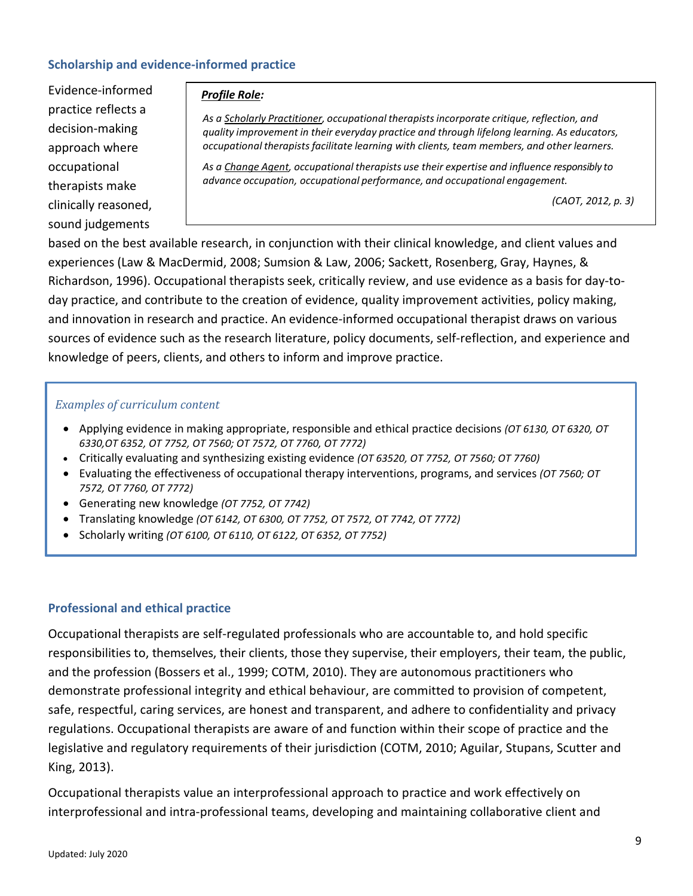### <span id="page-11-0"></span>**Scholarship and evidence-informed practice**

Evidence-informed practice reflects a decision-making approach where occupational therapists make clinically reasoned, sound judgements

#### *Profile Role:*

*As a Scholarly Practitioner, occupational therapistsincorporate critique, reflection, and quality improvement in their everyday practice and through lifelong learning. As educators, occupational therapistsfacilitate learning with clients, team members, and other learners.*

*As a Change Agent, occupational therapists use their expertise and influence responsibly to advance occupation, occupational performance, and occupational engagement.*

*(CAOT, 2012, p. 3)*

based on the best available research, in conjunction with their clinical knowledge, and client values and experiences (Law & MacDermid, 2008; Sumsion & Law, 2006; Sackett, Rosenberg, Gray, Haynes, & Richardson, 1996). Occupational therapists seek, critically review, and use evidence as a basis for day-today practice, and contribute to the creation of evidence, quality improvement activities, policy making, and innovation in research and practice. An evidence-informed occupational therapist draws on various sources of evidence such as the research literature, policy documents, self-reflection, and experience and knowledge of peers, clients, and others to inform and improve practice.

#### *Examples of curriculum content*

- Applying evidence in making appropriate, responsible and ethical practice decisions *(OT 6130, OT 6320, OT 6330,OT 6352, OT 7752, OT 7560; OT 7572, OT 7760, OT 7772)*
- Critically evaluating and synthesizing existing evidence *(OT 63520, OT 7752, OT 7560; OT 7760)*
- Evaluating the effectiveness of occupational therapy interventions, programs, and services *(OT 7560; OT 7572, OT 7760, OT 7772)*
- Generating new knowledge *(OT 7752, OT 7742)*
- Translating knowledge *(OT 6142, OT 6300, OT 7752, OT 7572, OT 7742, OT 7772)*
- Scholarly writing *(OT 6100, OT 6110, OT 6122, OT 6352, OT 7752)*

#### <span id="page-11-1"></span>**Professional and ethical practice**

Occupational therapists are self-regulated professionals who are accountable to, and hold specific responsibilities to, themselves, their clients, those they supervise, their employers, their team, the public, and the profession (Bossers et al., 1999; COTM, 2010). They are autonomous practitioners who demonstrate professional integrity and ethical behaviour, are committed to provision of competent, safe, respectful, caring services, are honest and transparent, and adhere to confidentiality and privacy regulations. Occupational therapists are aware of and function within their scope of practice and the legislative and regulatory requirements of their jurisdiction (COTM, 2010; Aguilar, Stupans, Scutter and King, 2013).

Occupational therapists value an interprofessional approach to practice and work effectively on interprofessional and intra-professional teams, developing and maintaining collaborative client and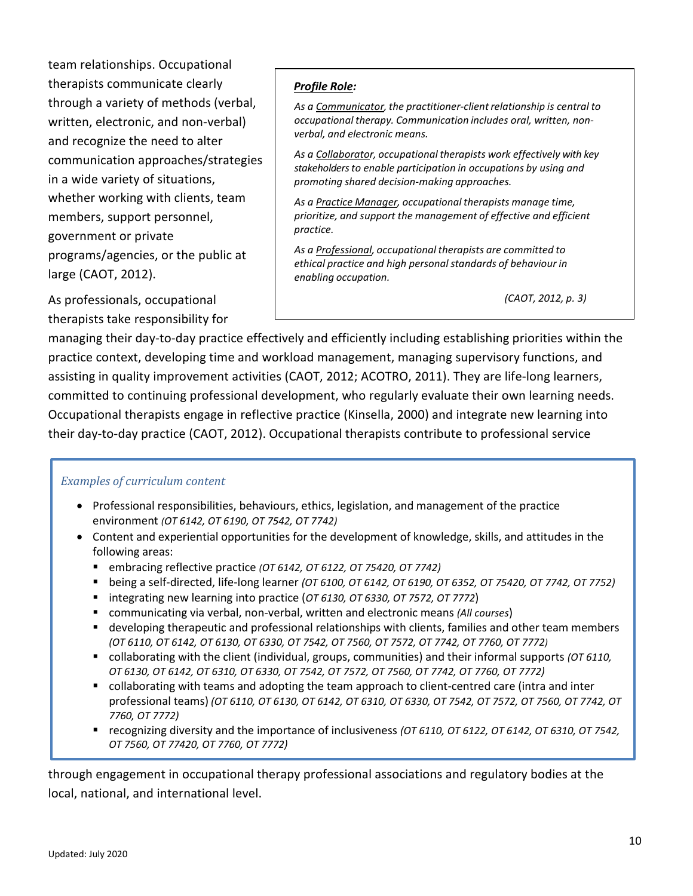team relationships. Occupational therapists communicate clearly through a variety of methods (verbal, written, electronic, and non-verbal) and recognize the need to alter communication approaches/strategies in a wide variety of situations, whether working with clients, team members, support personnel, government or private programs/agencies, or the public at large (CAOT, 2012).

As professionals, occupational therapists take responsibility for

### *Profile Role:*

*As a Communicator, the practitioner-clientrelationship is central to occupational therapy. Communication includes oral, written, nonverbal, and electronic means.*

*As a Collaborator, occupational therapists work effectively with key stakeholders to enable participation in occupations by using and promoting shared decision-making approaches.*

*As a Practice Manager, occupational therapists manage time, prioritize, and support the management of effective and efficient practice.*

*As a Professional, occupational therapists are committed to ethical practice and high personalstandards of behaviour in enabling occupation.*

*(CAOT, 2012, p. 3)*

managing their day-to-day practice effectively and efficiently including establishing priorities within the practice context, developing time and workload management, managing supervisory functions, and assisting in quality improvement activities (CAOT, 2012; ACOTRO, 2011). They are life-long learners, committed to continuing professional development, who regularly evaluate their own learning needs. Occupational therapists engage in reflective practice (Kinsella, 2000) and integrate new learning into their day-to-day practice (CAOT, 2012). Occupational therapists contribute to professional service

### *Examples of curriculum content*

- Professional responsibilities, behaviours, ethics, legislation, and management of the practice environment *(OT 6142, OT 6190, OT 7542, OT 7742)*
- Content and experiential opportunities for the development of knowledge, skills, and attitudes in the following areas:
	- embracing reflective practice *(OT 6142, OT 6122, OT 75420, OT 7742)*
	- being a self-directed, life-long learner *(OT 6100, OT 6142, OT 6190, OT 6352, OT 75420, OT 7742, OT 7752)*
	- integrating new learning into practice (*OT 6130, OT 6330, OT 7572, OT 7772*)
	- communicating via verbal, non-verbal, written and electronic means *(All courses*)
	- **developing therapeutic and professional relationships with clients, families and other team members** *(OT 6110, OT 6142, OT 6130, OT 6330, OT 7542, OT 7560, OT 7572, OT 7742, OT 7760, OT 7772)*
	- collaborating with the client (individual, groups, communities) and their informal supports *(OT 6110, OT 6130, OT 6142, OT 6310, OT 6330, OT 7542, OT 7572, OT 7560, OT 7742, OT 7760, OT 7772)*
	- collaborating with teams and adopting the team approach to client-centred care (intra and inter professional teams) *(OT 6110, OT 6130, OT 6142, OT 6310, OT 6330, OT 7542, OT 7572, OT 7560, OT 7742, OT 7760, OT 7772)*
	- recognizing diversity and the importance of inclusiveness *(OT 6110, OT 6122, OT 6142, OT 6310, OT 7542, OT 7560, OT 77420, OT 7760, OT 7772)*

through engagement in occupational therapy professional associations and regulatory bodies at the local, national, and international level.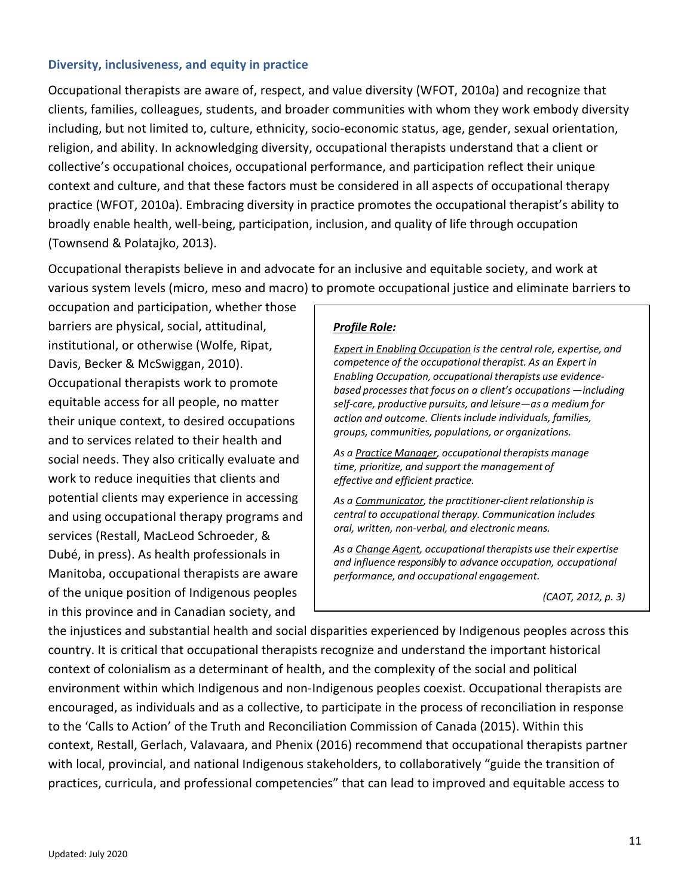#### <span id="page-13-0"></span>**Diversity, inclusiveness, and equity in practice**

Occupational therapists are aware of, respect, and value diversity (WFOT, 2010a) and recognize that clients, families, colleagues, students, and broader communities with whom they work embody diversity including, but not limited to, culture, ethnicity, socio-economic status, age, gender, sexual orientation, religion, and ability. In acknowledging diversity, occupational therapists understand that a client or collective's occupational choices, occupational performance, and participation reflect their unique context and culture, and that these factors must be considered in all aspects of occupational therapy practice (WFOT, 2010a). Embracing diversity in practice promotes the occupational therapist's ability to broadly enable health, well-being, participation, inclusion, and quality of life through occupation (Townsend & Polatajko, 2013).

Occupational therapists believe in and advocate for an inclusive and equitable society, and work at various system levels (micro, meso and macro) to promote occupational justice and eliminate barriers to

occupation and participation, whether those barriers are physical, social, attitudinal, institutional, or otherwise (Wolfe, Ripat, Davis, Becker & McSwiggan, 2010). Occupational therapists work to promote equitable access for all people, no matter their unique context, to desired occupations and to services related to their health and social needs. They also critically evaluate and work to reduce inequities that clients and potential clients may experience in accessing and using occupational therapy programs and services (Restall, MacLeod Schroeder, & Dubé, in press). As health professionals in Manitoba, occupational therapists are aware of the unique position of Indigenous peoples in this province and in Canadian society, and

### *Profile Role:*

*Expert in Enabling Occupation is the central role, expertise, and competence of the occupational therapist. As an Expert in Enabling Occupation, occupational therapists use evidencebased processesthat focus on a client's occupations —including self-care, productive pursuits, and leisure—as a medium for action and outcome. Clients include individuals, families, groups, communities, populations, or organizations.*

*As a Practice Manager, occupational therapists manage time, prioritize, and support the management of effective and efficient practice.*

*As a Communicator, the practitioner-clientrelationship is central to occupational therapy. Communication includes oral, written, non-verbal, and electronic means.*

*As a Change Agent, occupational therapists use their expertise and influence responsibly to advance occupation, occupational performance, and occupational engagement.*

*(CAOT, 2012, p. 3)*

the injustices and substantial health and social disparities experienced by Indigenous peoples across this country. It is critical that occupational therapists recognize and understand the important historical context of colonialism as a determinant of health, and the complexity of the social and political environment within which Indigenous and non-Indigenous peoples coexist. Occupational therapists are encouraged, as individuals and as a collective, to participate in the process of reconciliation in response to the 'Calls to Action' of the Truth and Reconciliation Commission of Canada (2015). Within this context, Restall, Gerlach, Valavaara, and Phenix (2016) recommend that occupational therapists partner with local, provincial, and national Indigenous stakeholders, to collaboratively "guide the transition of practices, curricula, and professional competencies" that can lead to improved and equitable access to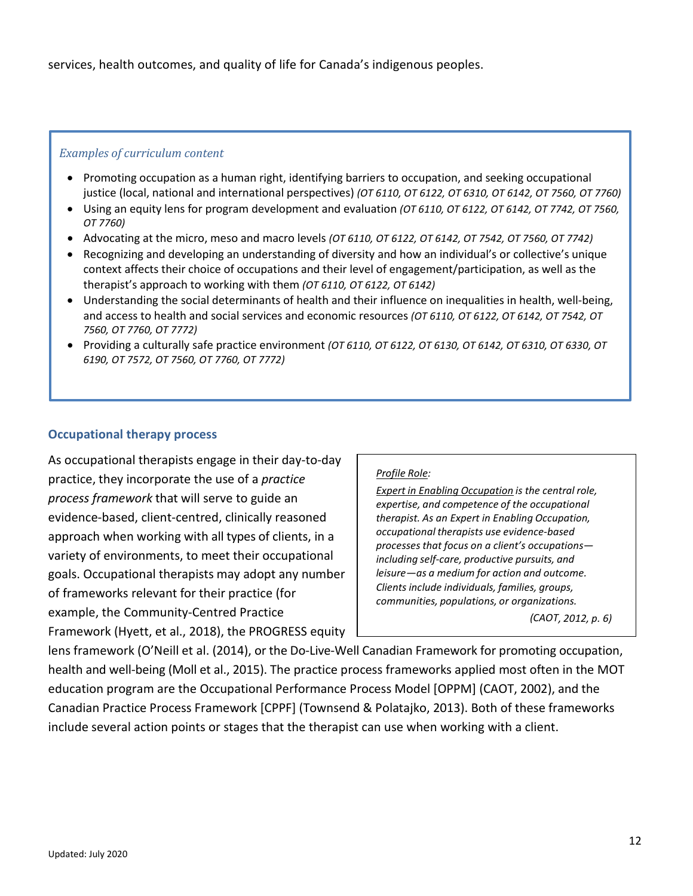services, health outcomes, and quality of life for Canada's indigenous peoples.

#### *Examples of curriculum content*

- Promoting occupation as a human right, identifying barriers to occupation, and seeking occupational justice (local, national and international perspectives) *(OT 6110, OT 6122, OT 6310, OT 6142, OT 7560, OT 7760)*
- Using an equity lens for program development and evaluation *(OT 6110, OT 6122, OT 6142, OT 7742, OT 7560, OT 7760)*
- Advocating at the micro, meso and macro levels *(OT 6110, OT 6122, OT 6142, OT 7542, OT 7560, OT 7742)*
- Recognizing and developing an understanding of diversity and how an individual's or collective's unique context affects their choice of occupations and their level of engagement/participation, as well as the therapist's approach to working with them *(OT 6110, OT 6122, OT 6142)*
- Understanding the social determinants of health and their influence on inequalities in health, well-being, and access to health and social services and economic resources *(OT 6110, OT 6122, OT 6142, OT 7542, OT 7560, OT 7760, OT 7772)*
- Providing a culturally safe practice environment *(OT 6110, OT 6122, OT 6130, OT 6142, OT 6310, OT 6330, OT 6190, OT 7572, OT 7560, OT 7760, OT 7772)*

### <span id="page-14-0"></span>**Occupational therapy process**

As occupational therapists engage in their day-to-day practice, they incorporate the use of a *practice process framework* that will serve to guide an evidence-based, client-centred, clinically reasoned approach when working with all types of clients, in a variety of environments, to meet their occupational goals. Occupational therapists may adopt any number of frameworks relevant for their practice (for example, the Community-Centred Practice Framework (Hyett, et al., 2018), the PROGRESS equity

#### *Profile Role:*

*Expert in Enabling Occupation is the central role, expertise, and competence of the occupational therapist. As an Expert in Enabling Occupation, occupational therapists use evidence-based processesthat focus on a client's occupations including self-care, productive pursuits, and leisure—as a medium for action and outcome. Clients include individuals, families, groups, communities, populations, or organizations.*

*(CAOT, 2012, p. 6)*

lens framework (O'Neill et al. (2014), or the Do-Live-Well Canadian Framework for promoting occupation, health and well-being (Moll et al., 2015). The practice process frameworks applied most often in the MOT education program are the Occupational Performance Process Model [OPPM] (CAOT, 2002), and the Canadian Practice Process Framework [CPPF] (Townsend & Polatajko, 2013). Both of these frameworks include several action points or stages that the therapist can use when working with a client.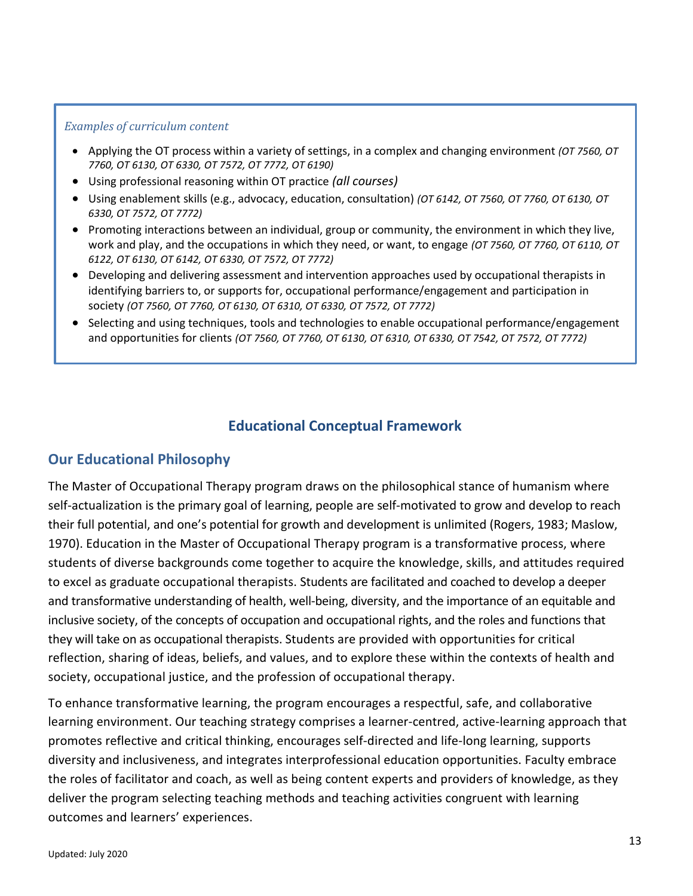#### *Examples of curriculum content*

- Applying the OT process within a variety of settings, in a complex and changing environment *(OT 7560, OT 7760, OT 6130, OT 6330, OT 7572, OT 7772, OT 6190)*
- Using professional reasoning within OT practice *(all courses)*
- Using enablement skills (e.g., advocacy, education, consultation) *(OT 6142, OT 7560, OT 7760, OT 6130, OT 6330, OT 7572, OT 7772)*
- Promoting interactions between an individual, group or community, the environment in which they live, work and play, and the occupations in which they need, or want, to engage *(OT 7560, OT 7760, OT 6110, OT 6122, OT 6130, OT 6142, OT 6330, OT 7572, OT 7772)*
- Developing and delivering assessment and intervention approaches used by occupational therapists in identifying barriers to, or supports for, occupational performance/engagement and participation in society *(OT 7560, OT 7760, OT 6130, OT 6310, OT 6330, OT 7572, OT 7772)*
- Selecting and using techniques, tools and technologies to enable occupational performance/engagement and opportunities for clients *(OT 7560, OT 7760, OT 6130, OT 6310, OT 6330, OT 7542, OT 7572, OT 7772)*

## **Educational Conceptual Framework**

### <span id="page-15-1"></span><span id="page-15-0"></span>**Our Educational Philosophy**

The Master of Occupational Therapy program draws on the philosophical stance of humanism where self-actualization is the primary goal of learning, people are self-motivated to grow and develop to reach their full potential, and one's potential for growth and development is unlimited (Rogers, 1983; Maslow, 1970). Education in the Master of Occupational Therapy program is a transformative process, where students of diverse backgrounds come together to acquire the knowledge, skills, and attitudes required to excel as graduate occupational therapists. Students are facilitated and coached to develop a deeper and transformative understanding of health, well-being, diversity, and the importance of an equitable and inclusive society, of the concepts of occupation and occupational rights, and the roles and functions that they will take on as occupational therapists. Students are provided with opportunities for critical reflection, sharing of ideas, beliefs, and values, and to explore these within the contexts of health and society, occupational justice, and the profession of occupational therapy.

To enhance transformative learning, the program encourages a respectful, safe, and collaborative learning environment. Our teaching strategy comprises a learner-centred, active-learning approach that promotes reflective and critical thinking, encourages self-directed and life-long learning, supports diversity and inclusiveness, and integrates interprofessional education opportunities. Faculty embrace the roles of facilitator and coach, as well as being content experts and providers of knowledge, as they deliver the program selecting teaching methods and teaching activities congruent with learning outcomes and learners' experiences.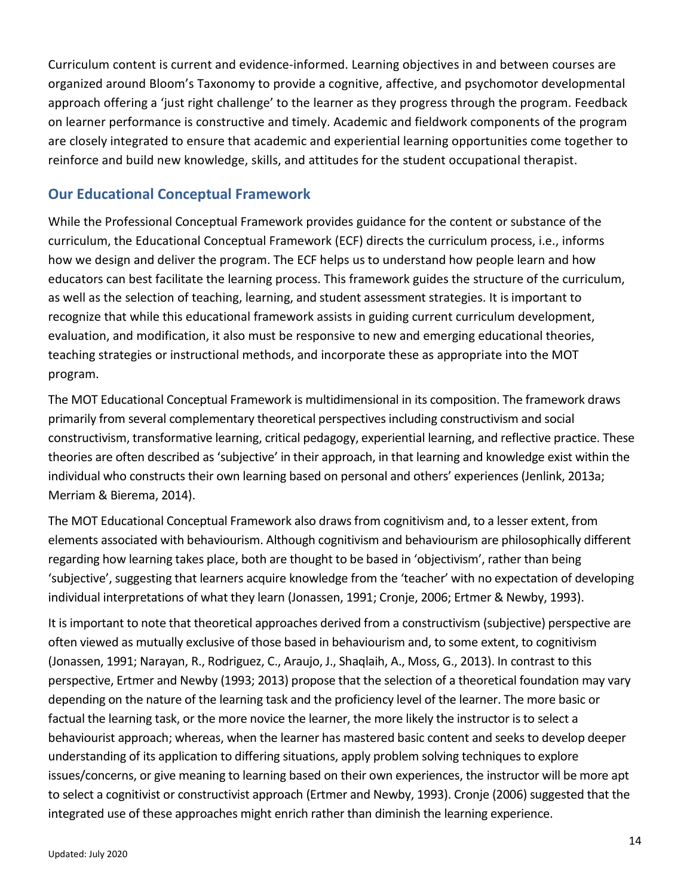Curriculum content is current and evidence-informed. Learning objectives in and between courses are organized around Bloom's Taxonomy to provide a cognitive, affective, and psychomotor developmental approach offering a 'just right challenge' to the learner as they progress through the program. Feedback on learner performance is constructive and timely. Academic and fieldwork components of the program are closely integrated to ensure that academic and experiential learning opportunities come together to reinforce and build new knowledge, skills, and attitudes for the student occupational therapist.

# <span id="page-16-0"></span>**Our Educational Conceptual Framework**

While the Professional Conceptual Framework provides guidance for the content or substance of the curriculum, the Educational Conceptual Framework (ECF) directs the curriculum process, i.e., informs how we design and deliver the program. The ECF helps us to understand how people learn and how educators can best facilitate the learning process. This framework guides the structure of the curriculum, as well as the selection of teaching, learning, and student assessment strategies. It is important to recognize that while this educational framework assists in guiding current curriculum development, evaluation, and modification, it also must be responsive to new and emerging educational theories, teaching strategies or instructional methods, and incorporate these as appropriate into the MOT program.

The MOT Educational Conceptual Framework is multidimensional in its composition. The framework draws primarily from several complementary theoretical perspectives including constructivism and social constructivism, transformative learning, critical pedagogy, experiential learning, and reflective practice. These theories are often described as 'subjective' in their approach, in that learning and knowledge exist within the individual who constructs their own learning based on personal and others' experiences (Jenlink, 2013a; Merriam & Bierema, 2014).

The MOT Educational Conceptual Framework also drawsfrom cognitivism and, to a lesser extent, from elements associated with behaviourism. Although cognitivism and behaviourism are philosophically different regarding how learning takes place, both are thought to be based in 'objectivism', rather than being 'subjective', suggesting that learners acquire knowledge from the 'teacher' with no expectation of developing individual interpretations of what they learn (Jonassen, 1991; Cronje, 2006; Ertmer & Newby, 1993).

It is important to note that theoretical approaches derived from a constructivism (subjective) perspective are often viewed as mutually exclusive of those based in behaviourism and, to some extent, to cognitivism (Jonassen, 1991; Narayan, R., Rodriguez, C., Araujo, J., Shaqlaih, A., Moss, G., 2013). In contrast to this perspective, Ertmer and Newby (1993; 2013) propose that the selection of a theoretical foundation may vary depending on the nature of the learning task and the proficiency level of the learner. The more basic or factual the learning task, or the more novice the learner, the more likely the instructor is to select a behaviourist approach; whereas, when the learner has mastered basic content and seeks to develop deeper understanding of its application to differing situations, apply problem solving techniques to explore issues/concerns, or give meaning to learning based on their own experiences, the instructor will be more apt to select a cognitivist or constructivist approach (Ertmer and Newby, 1993). Cronje (2006) suggested that the integrated use of these approaches might enrich rather than diminish the learning experience.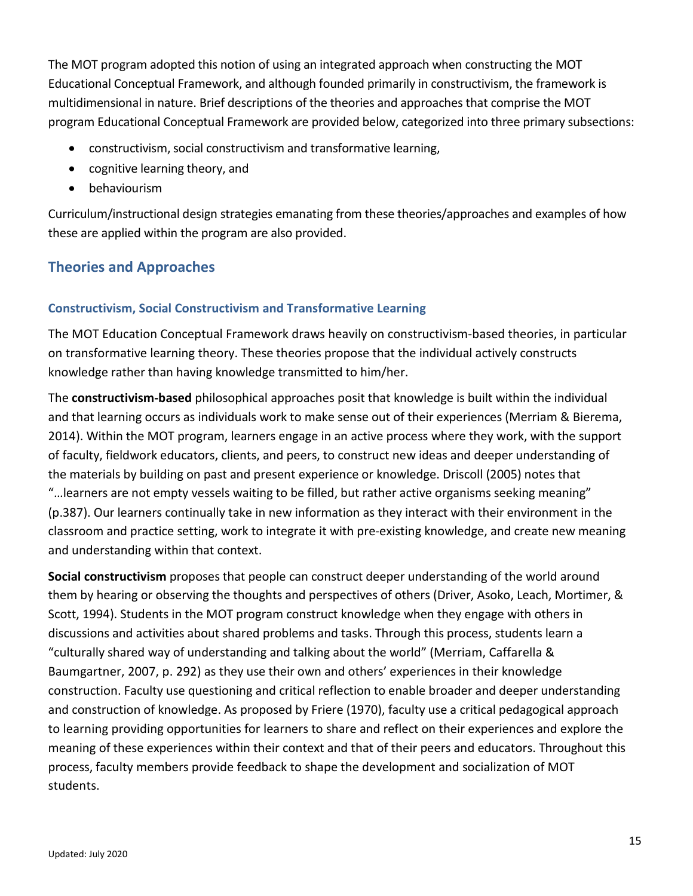The MOT program adopted this notion of using an integrated approach when constructing the MOT Educational Conceptual Framework, and although founded primarily in constructivism, the framework is multidimensional in nature. Brief descriptions of the theories and approaches that comprise the MOT program Educational Conceptual Framework are provided below, categorized into three primary subsections:

- constructivism, social constructivism and transformative learning,
- cognitive learning theory, and
- behaviourism

Curriculum/instructional design strategies emanating from these theories/approaches and examples of how these are applied within the program are also provided.

# <span id="page-17-1"></span><span id="page-17-0"></span>**Theories and Approaches**

### **Constructivism, Social Constructivism and Transformative Learning**

The MOT Education Conceptual Framework draws heavily on constructivism-based theories, in particular on transformative learning theory. These theories propose that the individual actively constructs knowledge rather than having knowledge transmitted to him/her.

The **constructivism-based** philosophical approaches posit that knowledge is built within the individual and that learning occurs as individuals work to make sense out of their experiences (Merriam & Bierema, 2014). Within the MOT program, learners engage in an active process where they work, with the support of faculty, fieldwork educators, clients, and peers, to construct new ideas and deeper understanding of the materials by building on past and present experience or knowledge. Driscoll (2005) notes that "…learners are not empty vessels waiting to be filled, but rather active organisms seeking meaning" (p.387). Our learners continually take in new information as they interact with their environment in the classroom and practice setting, work to integrate it with pre-existing knowledge, and create new meaning and understanding within that context.

**Social constructivism** proposes that people can construct deeper understanding of the world around them by hearing or observing the thoughts and perspectives of others (Driver, Asoko, Leach, Mortimer, & Scott, 1994). Students in the MOT program construct knowledge when they engage with others in discussions and activities about shared problems and tasks. Through this process, students learn a "culturally shared way of understanding and talking about the world" (Merriam, Caffarella & Baumgartner, 2007, p. 292) as they use their own and others' experiences in their knowledge construction. Faculty use questioning and critical reflection to enable broader and deeper understanding and construction of knowledge. As proposed by Friere (1970), faculty use a critical pedagogical approach to learning providing opportunities for learners to share and reflect on their experiences and explore the meaning of these experiences within their context and that of their peers and educators. Throughout this process, faculty members provide feedback to shape the development and socialization of MOT students.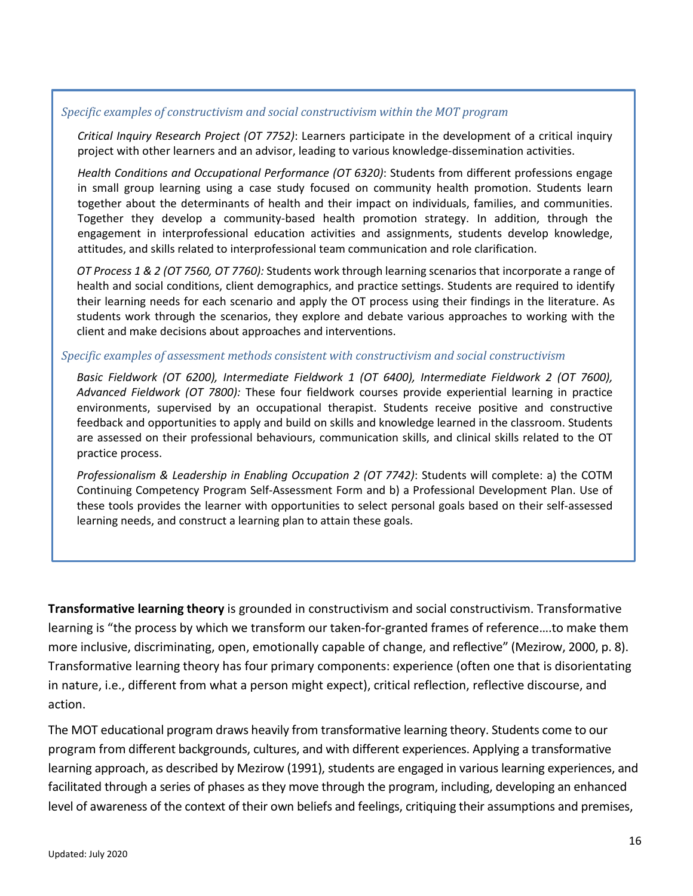#### *Specific examples of constructivism and social constructivism within the MOT program*

*Critical Inquiry Research Project (OT 7752)*: Learners participate in the development of a critical inquiry project with other learners and an advisor, leading to various knowledge-dissemination activities.

*Health Conditions and Occupational Performance (OT 6320)*: Students from different professions engage in small group learning using a case study focused on community health promotion. Students learn together about the determinants of health and their impact on individuals, families, and communities. Together they develop a community-based health promotion strategy. In addition, through the engagement in interprofessional education activities and assignments, students develop knowledge, attitudes, and skills related to interprofessional team communication and role clarification.

*OT Process 1 & 2 (OT 7560, OT 7760):* Students work through learning scenarios that incorporate a range of health and social conditions, client demographics, and practice settings. Students are required to identify their learning needs for each scenario and apply the OT process using their findings in the literature. As students work through the scenarios, they explore and debate various approaches to working with the client and make decisions about approaches and interventions.

#### *Specific examples of assessment methods consistent with constructivism and social constructivism*

Basic Fieldwork (OT 6200), Intermediate Fieldwork 1 (OT 6400), Intermediate Fieldwork 2 (OT 7600), *Advanced Fieldwork (OT 7800):* These four fieldwork courses provide experiential learning in practice environments, supervised by an occupational therapist. Students receive positive and constructive feedback and opportunities to apply and build on skills and knowledge learned in the classroom. Students are assessed on their professional behaviours, communication skills, and clinical skills related to the OT practice process.

*Professionalism & Leadership in Enabling Occupation 2 (OT 7742)*: Students will complete: a) the COTM Continuing Competency Program Self-Assessment Form and b) a Professional Development Plan. Use of these tools provides the learner with opportunities to select personal goals based on their self-assessed learning needs, and construct a learning plan to attain these goals.

**Transformative learning theory** is grounded in constructivism and social constructivism. Transformative learning is "the process by which we transform our taken-for-granted frames of reference….to make them more inclusive, discriminating, open, emotionally capable of change, and reflective" (Mezirow, 2000, p. 8). Transformative learning theory has four primary components: experience (often one that is disorientating in nature, i.e., different from what a person might expect), critical reflection, reflective discourse, and action.

The MOT educational program draws heavily from transformative learning theory. Students come to our program from different backgrounds, cultures, and with different experiences. Applying a transformative learning approach, as described by Mezirow (1991), students are engaged in various learning experiences, and facilitated through a series of phases as they move through the program, including, developing an enhanced level of awareness of the context of their own beliefs and feelings, critiquing their assumptions and premises,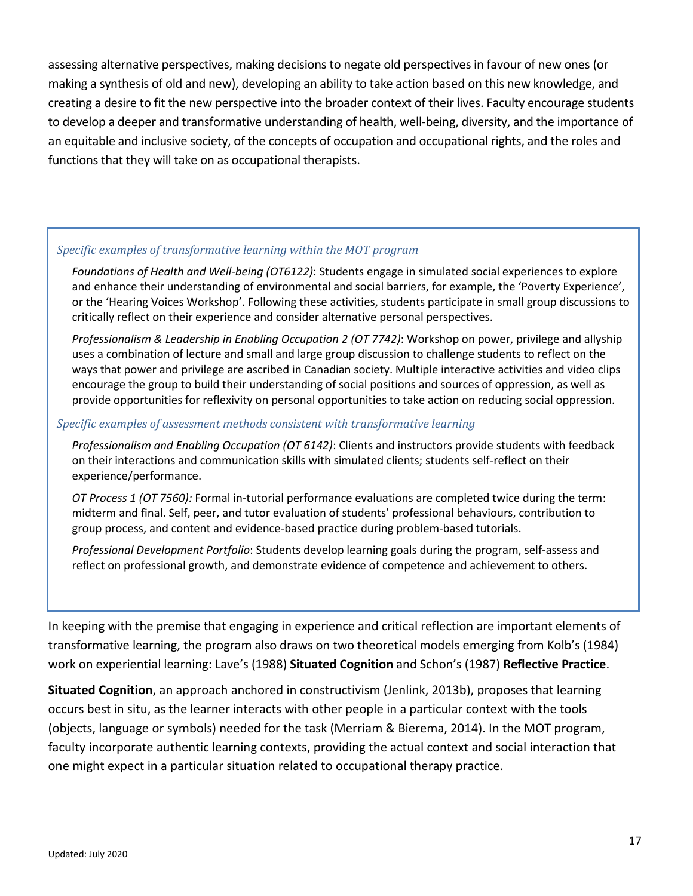assessing alternative perspectives, making decisions to negate old perspectives in favour of new ones (or making a synthesis of old and new), developing an ability to take action based on this new knowledge, and creating a desire to fit the new perspective into the broader context of their lives. Faculty encourage students to develop a deeper and transformative understanding of health, well-being, diversity, and the importance of an equitable and inclusive society, of the concepts of occupation and occupational rights, and the roles and functions that they will take on as occupational therapists.

#### *Specific examples of transformative learning within the MOT program*

*Foundations of Health and Well-being (OT6122)*: Students engage in simulated social experiences to explore and enhance their understanding of environmental and social barriers, for example, the 'Poverty Experience', or the 'Hearing Voices Workshop'. Following these activities, students participate in small group discussions to critically reflect on their experience and consider alternative personal perspectives.

*Professionalism & Leadership in Enabling Occupation 2 (OT 7742)*: Workshop on power, privilege and allyship uses a combination of lecture and small and large group discussion to challenge students to reflect on the ways that power and privilege are ascribed in Canadian society. Multiple interactive activities and video clips encourage the group to build their understanding of social positions and sources of oppression, as well as provide opportunities for reflexivity on personal opportunities to take action on reducing social oppression.

#### *Specific examples of assessment methods consistent with transformative learning*

*Professionalism and Enabling Occupation (OT 6142)*: Clients and instructors provide students with feedback on their interactions and communication skills with simulated clients; students self-reflect on their experience/performance.

*OT Process 1 (OT 7560):* Formal in-tutorial performance evaluations are completed twice during the term: midterm and final. Self, peer, and tutor evaluation of students' professional behaviours, contribution to group process, and content and evidence-based practice during problem-based tutorials.

*Professional Development Portfolio*: Students develop learning goals during the program, self-assess and reflect on professional growth, and demonstrate evidence of competence and achievement to others.

In keeping with the premise that engaging in experience and critical reflection are important elements of transformative learning, the program also draws on two theoretical models emerging from Kolb's (1984) work on experiential learning: Lave's (1988) **Situated Cognition** and Schon's (1987) **Reflective Practice**.

**Situated Cognition**, an approach anchored in constructivism (Jenlink, 2013b), proposes that learning occurs best in situ, as the learner interacts with other people in a particular context with the tools (objects, language or symbols) needed for the task (Merriam & Bierema, 2014). In the MOT program, faculty incorporate authentic learning contexts, providing the actual context and social interaction that one might expect in a particular situation related to occupational therapy practice.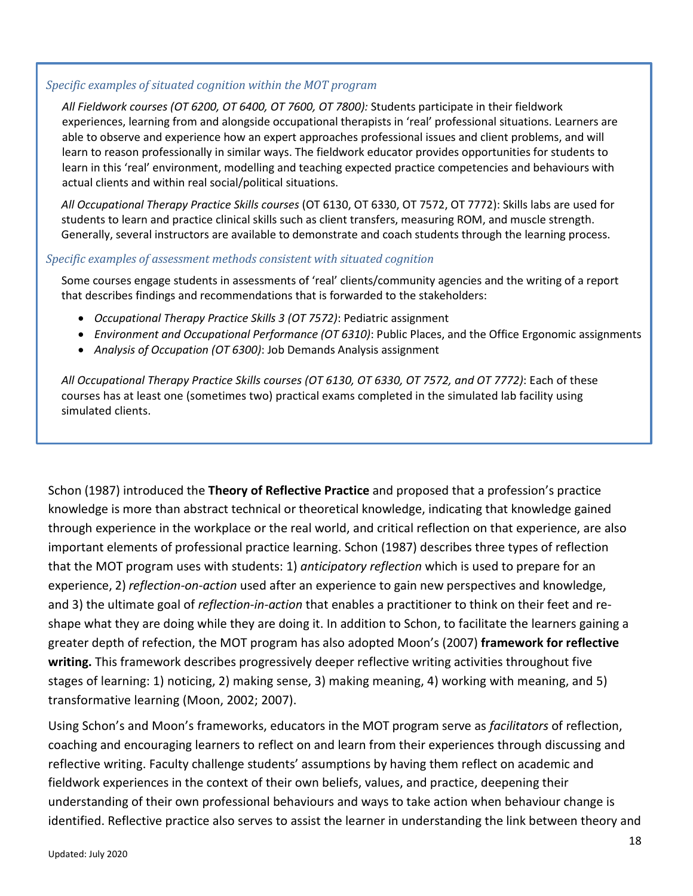### *Specific examples of situated cognition within the MOT program*

*All Fieldwork courses (OT 6200, OT 6400, OT 7600, OT 7800):* Students participate in their fieldwork experiences, learning from and alongside occupational therapists in 'real' professional situations. Learners are able to observe and experience how an expert approaches professional issues and client problems, and will learn to reason professionally in similar ways. The fieldwork educator provides opportunities for students to learn in this 'real' environment, modelling and teaching expected practice competencies and behaviours with actual clients and within real social/political situations.

*All Occupational Therapy Practice Skills courses* (OT 6130, OT 6330, OT 7572, OT 7772): Skills labs are used for students to learn and practice clinical skills such as client transfers, measuring ROM, and muscle strength. Generally, several instructors are available to demonstrate and coach students through the learning process.

### *Specific examples of assessment methods consistent with situated cognition*

Some courses engage students in assessments of 'real' clients/community agencies and the writing of a report that describes findings and recommendations that is forwarded to the stakeholders:

- *Occupational Therapy Practice Skills 3 (OT 7572)*: Pediatric assignment
- *Environment and Occupational Performance (OT 6310)*: Public Places, and the Office Ergonomic assignments
- *Analysis of Occupation (OT 6300)*: Job Demands Analysis assignment

*All Occupational Therapy Practice Skills courses (OT 6130, OT 6330, OT 7572, and OT 7772)*: Each of these courses has at least one (sometimes two) practical exams completed in the simulated lab facility using simulated clients.

Schon (1987) introduced the **Theory of Reflective Practice** and proposed that a profession's practice knowledge is more than abstract technical or theoretical knowledge, indicating that knowledge gained through experience in the workplace or the real world, and critical reflection on that experience, are also important elements of professional practice learning. Schon (1987) describes three types of reflection that the MOT program uses with students: 1) *anticipatory reflection* which is used to prepare for an experience, 2) *reflection-on-action* used after an experience to gain new perspectives and knowledge, and 3) the ultimate goal of *reflection-in-action* that enables a practitioner to think on their feet and reshape what they are doing while they are doing it. In addition to Schon, to facilitate the learners gaining a greater depth of refection, the MOT program has also adopted Moon's (2007) **framework for reflective writing.** This framework describes progressively deeper reflective writing activities throughout five stages of learning: 1) noticing, 2) making sense, 3) making meaning, 4) working with meaning, and 5) transformative learning (Moon, 2002; 2007).

Using Schon's and Moon's frameworks, educators in the MOT program serve as *facilitators* of reflection, coaching and encouraging learners to reflect on and learn from their experiences through discussing and reflective writing. Faculty challenge students' assumptions by having them reflect on academic and fieldwork experiences in the context of their own beliefs, values, and practice, deepening their understanding of their own professional behaviours and ways to take action when behaviour change is identified. Reflective practice also serves to assist the learner in understanding the link between theory and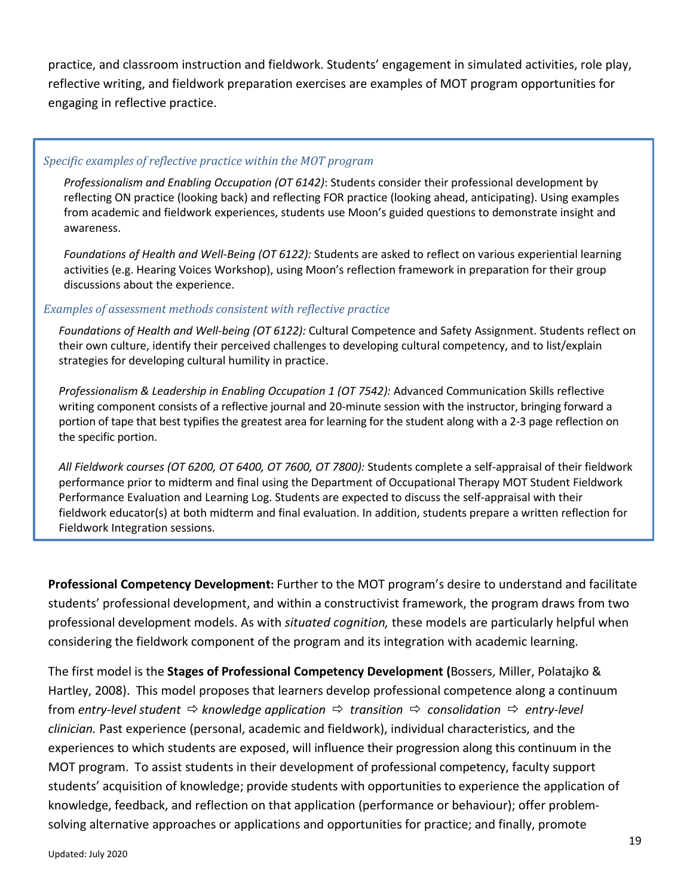practice, and classroom instruction and fieldwork. Students' engagement in simulated activities, role play, reflective writing, and fieldwork preparation exercises are examples of MOT program opportunities for engaging in reflective practice.

### *Specific examples of reflective practice within the MOT program*

*Professionalism and Enabling Occupation (OT 6142)*: Students consider their professional development by reflecting ON practice (looking back) and reflecting FOR practice (looking ahead, anticipating). Using examples from academic and fieldwork experiences, students use Moon's guided questions to demonstrate insight and awareness.

*Foundations of Health and Well-Being (OT 6122):* Students are asked to reflect on various experiential learning activities (e.g. Hearing Voices Workshop), using Moon's reflection framework in preparation for their group discussions about the experience.

### *Examples of assessment methods consistent with reflective practice*

*Foundations of Health and Well-being (OT 6122):* Cultural Competence and Safety Assignment. Students reflect on their own culture, identify their perceived challenges to developing cultural competency, and to list/explain strategies for developing cultural humility in practice.

*Professionalism & Leadership in Enabling Occupation 1 (OT 7542):* Advanced Communication Skills reflective writing component consists of a reflective journal and 20-minute session with the instructor, bringing forward a portion of tape that best typifies the greatest area for learning for the student along with a 2-3 page reflection on the specific portion.

*All Fieldwork courses (OT 6200, OT 6400, OT 7600, OT 7800):* Students complete a self-appraisal of their fieldwork performance prior to midterm and final using the Department of Occupational Therapy MOT Student Fieldwork Performance Evaluation and Learning Log. Students are expected to discuss the self-appraisal with their fieldwork educator(s) at both midterm and final evaluation. In addition, students prepare a written reflection for Fieldwork Integration sessions.

**Professional Competency Development:** Further to the MOT program's desire to understand and facilitate students' professional development, and within a constructivist framework, the program draws from two professional development models. As with *situated cognition,* these models are particularly helpful when considering the fieldwork component of the program and its integration with academic learning.

The first model is the **Stages of Professional Competency Development (**Bossers, Miller, Polatajko & Hartley, 2008). This model proposes that learners develop professional competence along a continuum from *entry-level student*  $\Rightarrow$  *knowledge application*  $\Rightarrow$  *transition*  $\Rightarrow$  *consolidation*  $\Rightarrow$  *entry-level clinician.* Past experience (personal, academic and fieldwork), individual characteristics, and the experiences to which students are exposed, will influence their progression along this continuum in the MOT program. To assist students in their development of professional competency, faculty support students' acquisition of knowledge; provide students with opportunities to experience the application of knowledge, feedback, and reflection on that application (performance or behaviour); offer problemsolving alternative approaches or applications and opportunities for practice; and finally, promote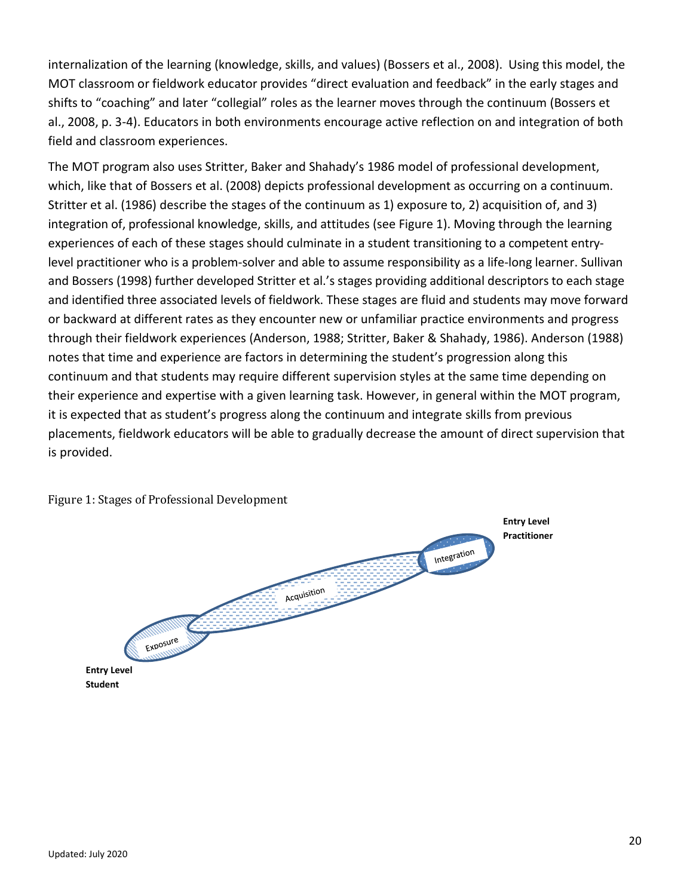internalization of the learning (knowledge, skills, and values) (Bossers et al., 2008). Using this model, the MOT classroom or fieldwork educator provides "direct evaluation and feedback" in the early stages and shifts to "coaching" and later "collegial" roles as the learner moves through the continuum (Bossers et al., 2008, p. 3-4). Educators in both environments encourage active reflection on and integration of both field and classroom experiences.

The MOT program also uses Stritter, Baker and Shahady's 1986 model of professional development, which, like that of Bossers et al. (2008) depicts professional development as occurring on a continuum. Stritter et al. (1986) describe the stages of the continuum as 1) exposure to, 2) acquisition of, and 3) integration of, professional knowledge, skills, and attitudes (see Figure 1). Moving through the learning experiences of each of these stages should culminate in a student transitioning to a competent entrylevel practitioner who is a problem-solver and able to assume responsibility as a life-long learner. Sullivan and Bossers (1998) further developed Stritter et al.'s stages providing additional descriptors to each stage and identified three associated levels of fieldwork. These stages are fluid and students may move forward or backward at different rates as they encounter new or unfamiliar practice environments and progress through their fieldwork experiences (Anderson, 1988; Stritter, Baker & Shahady, 1986). Anderson (1988) notes that time and experience are factors in determining the student's progression along this continuum and that students may require different supervision styles at the same time depending on their experience and expertise with a given learning task. However, in general within the MOT program, it is expected that as student's progress along the continuum and integrate skills from previous placements, fieldwork educators will be able to gradually decrease the amount of direct supervision that is provided.



Figure 1: Stages of Professional Development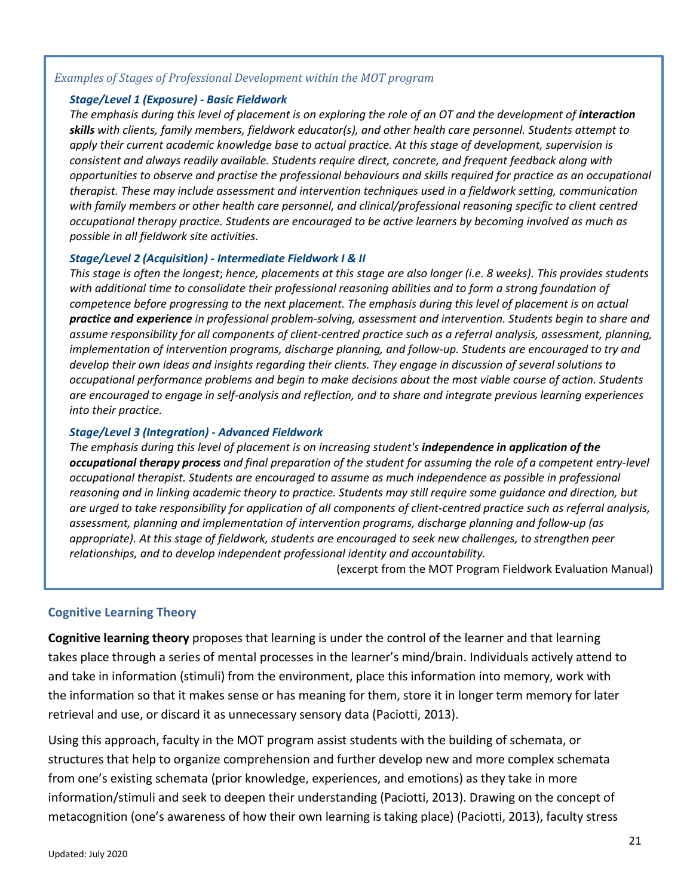#### *Examples of Stages of Professional Development within the MOT program*

#### *Stage/Level 1 (Exposure) - Basic Fieldwork*

The emphasis during this level of placement is on exploring the role of an OT and the development of *interaction skills with clients, family members, fieldwork educator(s), and other health care personnel. Students attempt to apply their current academic knowledge base to actual practice. At this stage of development, supervision is consistent and always readily available. Students require direct, concrete, and frequent feedback along with opportunities to observe and practise the professional behaviours and skills required for practice as an occupational therapist. These may include assessment and intervention techniques used in a fieldwork setting, communication with family members or other health care personnel, and clinical/professional reasoning specific to client centred occupational therapy practice. Students are encouraged to be active learners by becoming involved as much as possible in all fieldwork site activities.* 

#### *Stage/Level 2 (Acquisition) - Intermediate Fieldwork I & II*

*This stage is often the longest*; *hence, placements at this stage are also longer (i.e. 8 weeks). This provides students with additional time to consolidate their professional reasoning abilities and to form a strong foundation of competence before progressing to the next placement. The emphasis during this level of placement is on actual practice and experience in professional problem-solving, assessment and intervention. Students begin to share and assume responsibility for all components of client-centred practice such as a referral analysis, assessment, planning, implementation of intervention programs, discharge planning, and follow-up. Students are encouraged to try and develop their own ideas and insights regarding their clients. They engage in discussion of several solutions to occupational performance problems and begin to make decisions about the most viable course of action. Students are encouraged to engage in self-analysis and reflection, and to share and integrate previous learning experiences into their practice.* 

#### *Stage/Level 3 (Integration) - Advanced Fieldwork*

*The emphasis during this level of placement is on increasing student's independence in application of the occupational therapy process and final preparation of the student for assuming the role of a competent entry-level occupational therapist. Students are encouraged to assume as much independence as possible in professional reasoning and in linking academic theory to practice. Students may still require some guidance and direction, but are urged to take responsibility for application of all components of client-centred practice such as referral analysis, assessment, planning and implementation of intervention programs, discharge planning and follow-up (as appropriate). At this stage of fieldwork, students are encouraged to seek new challenges, to strengthen peer relationships, and to develop independent professional identity and accountability.* 

(excerpt from the MOT Program Fieldwork Evaluation Manual)

#### <span id="page-23-0"></span>**Cognitive Learning Theory**

**Cognitive learning theory** proposes that learning is under the control of the learner and that learning takes place through a series of mental processes in the learner's mind/brain. Individuals actively attend to and take in information (stimuli) from the environment, place this information into memory, work with the information so that it makes sense or has meaning for them, store it in longer term memory for later retrieval and use, or discard it as unnecessary sensory data (Paciotti, 2013).

Using this approach, faculty in the MOT program assist students with the building of schemata, or structures that help to organize comprehension and further develop new and more complex schemata from one's existing schemata (prior knowledge, experiences, and emotions) as they take in more information/stimuli and seek to deepen their understanding (Paciotti, 2013). Drawing on the concept of metacognition (one's awareness of how their own learning is taking place) (Paciotti, 2013), faculty stress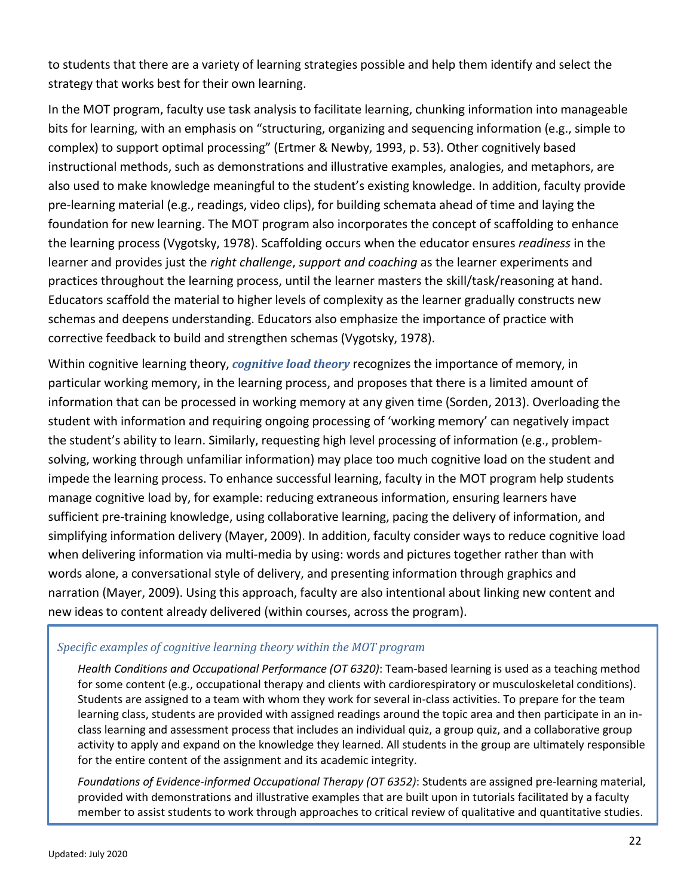to students that there are a variety of learning strategies possible and help them identify and select the strategy that works best for their own learning.

In the MOT program, faculty use task analysis to facilitate learning, chunking information into manageable bits for learning, with an emphasis on "structuring, organizing and sequencing information (e.g., simple to complex) to support optimal processing" (Ertmer & Newby, 1993, p. 53). Other cognitively based instructional methods, such as demonstrations and illustrative examples, analogies, and metaphors, are also used to make knowledge meaningful to the student's existing knowledge. In addition, faculty provide pre-learning material (e.g., readings, video clips), for building schemata ahead of time and laying the foundation for new learning. The MOT program also incorporates the concept of scaffolding to enhance the learning process (Vygotsky, 1978). Scaffolding occurs when the educator ensures *readiness* in the learner and provides just the *right challenge*, *support and coaching* as the learner experiments and practices throughout the learning process, until the learner masters the skill/task/reasoning at hand. Educators scaffold the material to higher levels of complexity as the learner gradually constructs new schemas and deepens understanding. Educators also emphasize the importance of practice with corrective feedback to build and strengthen schemas (Vygotsky, 1978).

Within cognitive learning theory, *cognitive load theory* recognizes the importance of memory, in particular working memory, in the learning process, and proposes that there is a limited amount of information that can be processed in working memory at any given time (Sorden, 2013). Overloading the student with information and requiring ongoing processing of 'working memory' can negatively impact the student's ability to learn. Similarly, requesting high level processing of information (e.g., problemsolving, working through unfamiliar information) may place too much cognitive load on the student and impede the learning process. To enhance successful learning, faculty in the MOT program help students manage cognitive load by, for example: reducing extraneous information, ensuring learners have sufficient pre-training knowledge, using collaborative learning, pacing the delivery of information, and simplifying information delivery (Mayer, 2009). In addition, faculty consider ways to reduce cognitive load when delivering information via multi-media by using: words and pictures together rather than with words alone, a conversational style of delivery, and presenting information through graphics and narration (Mayer, 2009). Using this approach, faculty are also intentional about linking new content and new ideas to content already delivered (within courses, across the program).

### *Specific examples of cognitive learning theory within the MOT program*

*Health Conditions and Occupational Performance (OT 6320)*: Team-based learning is used as a teaching method for some content (e.g., occupational therapy and clients with cardiorespiratory or musculoskeletal conditions). Students are assigned to a team with whom they work for several in-class activities. To prepare for the team learning class, students are provided with assigned readings around the topic area and then participate in an inclass learning and assessment process that includes an individual quiz, a group quiz, and a collaborative group activity to apply and expand on the knowledge they learned. All students in the group are ultimately responsible for the entire content of the assignment and its academic integrity.

*Foundations of Evidence-informed Occupational Therapy (OT 6352)*: Students are assigned pre-learning material, provided with demonstrations and illustrative examples that are built upon in tutorials facilitated by a faculty member to assist students to work through approaches to critical review of qualitative and quantitative studies.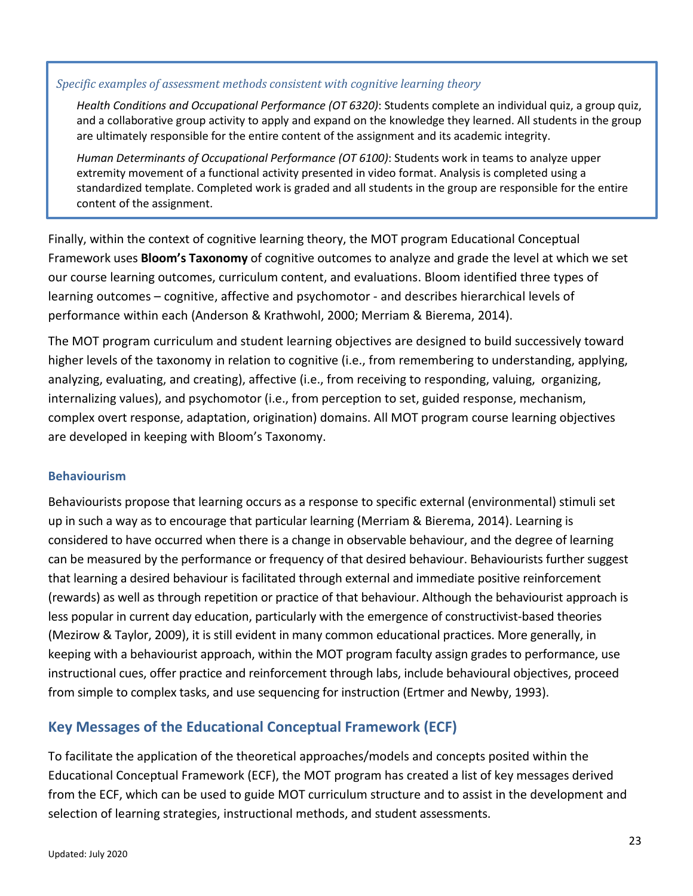### *Specific examples of assessment methods consistent with cognitive learning theory*

*Health Conditions and Occupational Performance (OT 6320)*: Students complete an individual quiz, a group quiz, and a collaborative group activity to apply and expand on the knowledge they learned. All students in the group are ultimately responsible for the entire content of the assignment and its academic integrity.

*Human Determinants of Occupational Performance (OT 6100)*: Students work in teams to analyze upper extremity movement of a functional activity presented in video format. Analysis is completed using a standardized template. Completed work is graded and all students in the group are responsible for the entire content of the assignment.

Finally, within the context of cognitive learning theory, the MOT program Educational Conceptual Framework uses **Bloom's Taxonomy** of cognitive outcomes to analyze and grade the level at which we set our course learning outcomes, curriculum content, and evaluations. Bloom identified three types of learning outcomes – cognitive, affective and psychomotor - and describes hierarchical levels of performance within each (Anderson & Krathwohl, 2000; Merriam & Bierema, 2014).

The MOT program curriculum and student learning objectives are designed to build successively toward higher levels of the taxonomy in relation to cognitive (i.e., from remembering to understanding, applying, analyzing, evaluating, and creating), affective (i.e., from receiving to responding, valuing, organizing, internalizing values), and psychomotor (i.e., from perception to set, guided response, mechanism, complex overt response, adaptation, origination) domains. All MOT program course learning objectives are developed in keeping with Bloom's Taxonomy.

### <span id="page-25-0"></span>**Behaviourism**

Behaviourists propose that learning occurs as a response to specific external (environmental) stimuli set up in such a way as to encourage that particular learning (Merriam & Bierema, 2014). Learning is considered to have occurred when there is a change in observable behaviour, and the degree of learning can be measured by the performance or frequency of that desired behaviour. Behaviourists further suggest that learning a desired behaviour is facilitated through external and immediate positive reinforcement (rewards) as well as through repetition or practice of that behaviour. Although the behaviourist approach is less popular in current day education, particularly with the emergence of constructivist-based theories (Mezirow & Taylor, 2009), it is still evident in many common educational practices. More generally, in keeping with a behaviourist approach, within the MOT program faculty assign grades to performance, use instructional cues, offer practice and reinforcement through labs, include behavioural objectives, proceed from simple to complex tasks, and use sequencing for instruction (Ertmer and Newby, 1993).

# <span id="page-25-1"></span>**Key Messages of the Educational Conceptual Framework (ECF)**

To facilitate the application of the theoretical approaches/models and concepts posited within the Educational Conceptual Framework (ECF), the MOT program has created a list of key messages derived from the ECF, which can be used to guide MOT curriculum structure and to assist in the development and selection of learning strategies, instructional methods, and student assessments.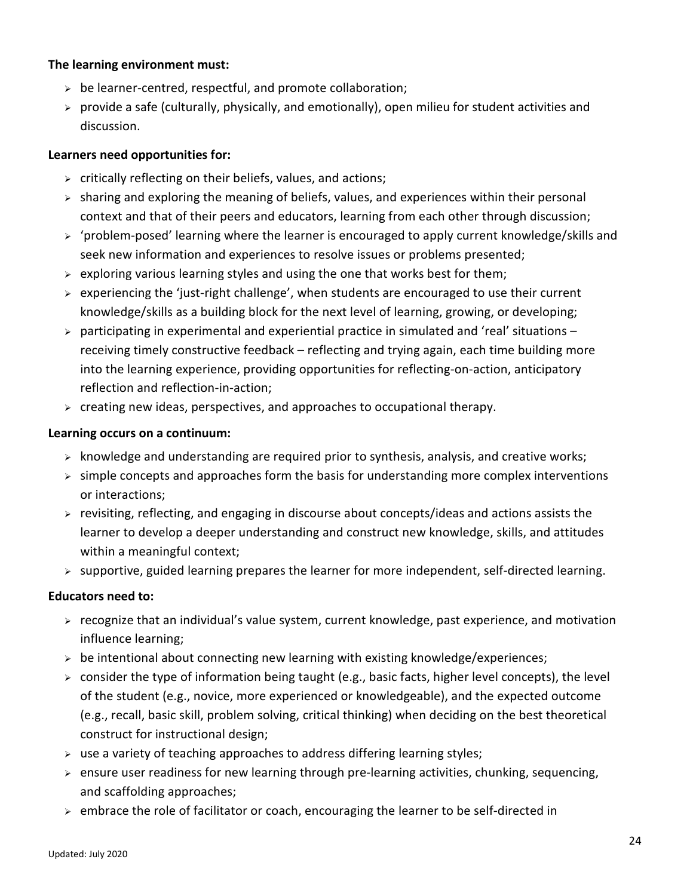### **The learning environment must:**

- $\geq$  be learner-centred, respectful, and promote collaboration;
- $\triangleright$  provide a safe (culturally, physically, and emotionally), open milieu for student activities and discussion.

### **Learners need opportunities for:**

- $\triangleright$  critically reflecting on their beliefs, values, and actions;
- $\triangleright$  sharing and exploring the meaning of beliefs, values, and experiences within their personal context and that of their peers and educators, learning from each other through discussion;
- $\triangleright$  'problem-posed' learning where the learner is encouraged to apply current knowledge/skills and seek new information and experiences to resolve issues or problems presented;
- $\triangleright$  exploring various learning styles and using the one that works best for them;
- experiencing the 'just-right challenge', when students are encouraged to use their current knowledge/skills as a building block for the next level of learning, growing, or developing;
- $\triangleright$  participating in experimental and experiential practice in simulated and 'real' situations receiving timely constructive feedback – reflecting and trying again, each time building more into the learning experience, providing opportunities for reflecting-on-action, anticipatory reflection and reflection-in-action;
- $\triangleright$  creating new ideas, perspectives, and approaches to occupational therapy.

# **Learning occurs on a continuum:**

- $\triangleright$  knowledge and understanding are required prior to synthesis, analysis, and creative works;
- $\triangleright$  simple concepts and approaches form the basis for understanding more complex interventions or interactions;
- $\triangleright$  revisiting, reflecting, and engaging in discourse about concepts/ideas and actions assists the learner to develop a deeper understanding and construct new knowledge, skills, and attitudes within a meaningful context;
- $\triangleright$  supportive, guided learning prepares the learner for more independent, self-directed learning.

# **Educators need to:**

- $\triangleright$  recognize that an individual's value system, current knowledge, past experience, and motivation influence learning;
- $\triangleright$  be intentional about connecting new learning with existing knowledge/experiences;
- $\triangleright$  consider the type of information being taught (e.g., basic facts, higher level concepts), the level of the student (e.g., novice, more experienced or knowledgeable), and the expected outcome (e.g., recall, basic skill, problem solving, critical thinking) when deciding on the best theoretical construct for instructional design;
- $\triangleright$  use a variety of teaching approaches to address differing learning styles;
- $\triangleright$  ensure user readiness for new learning through pre-learning activities, chunking, sequencing, and scaffolding approaches;
- $\triangleright$  embrace the role of facilitator or coach, encouraging the learner to be self-directed in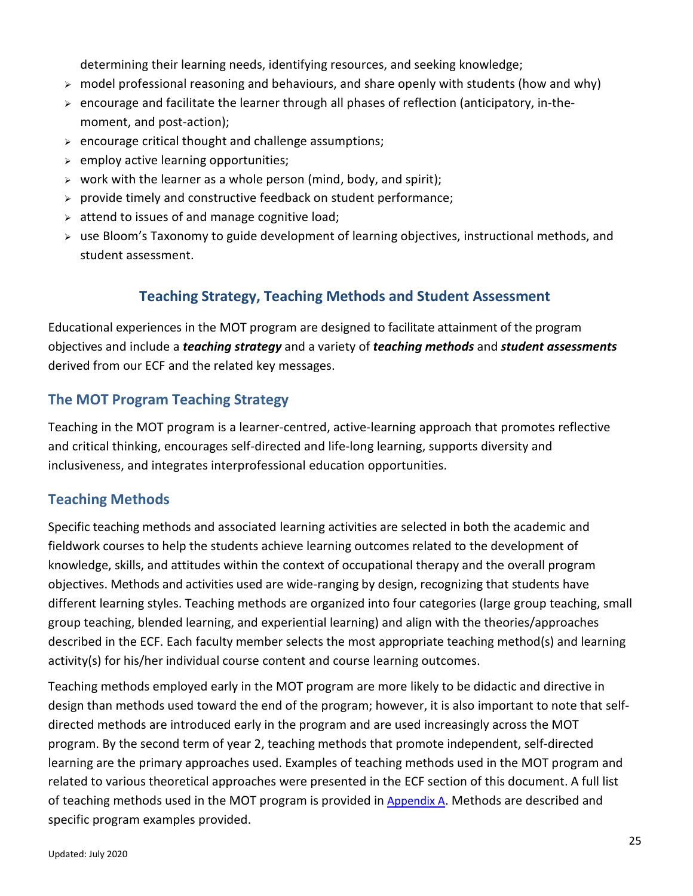determining their learning needs, identifying resources, and seeking knowledge;

- $\triangleright$  model professional reasoning and behaviours, and share openly with students (how and why)
- $\triangleright$  encourage and facilitate the learner through all phases of reflection (anticipatory, in-themoment, and post-action);
- $\triangleright$  encourage critical thought and challenge assumptions;
- $\ge$  employ active learning opportunities;
- $\triangleright$  work with the learner as a whole person (mind, body, and spirit);
- $\triangleright$  provide timely and constructive feedback on student performance;
- $\geq$  attend to issues of and manage cognitive load;
- <span id="page-27-0"></span> use Bloom's Taxonomy to guide development of learning objectives, instructional methods, and student assessment.

# **Teaching Strategy, Teaching Methods and Student Assessment**

Educational experiences in the MOT program are designed to facilitate attainment of the program objectives and include a *teaching strategy* and a variety of *teaching methods* and *student assessments* derived from our ECF and the related key messages.

# <span id="page-27-1"></span>**The MOT Program Teaching Strategy**

Teaching in the MOT program is a learner-centred, active-learning approach that promotes reflective and critical thinking, encourages self-directed and life-long learning, supports diversity and inclusiveness, and integrates interprofessional education opportunities.

# <span id="page-27-2"></span>**Teaching Methods**

Specific teaching methods and associated learning activities are selected in both the academic and fieldwork courses to help the students achieve learning outcomes related to the development of knowledge, skills, and attitudes within the context of occupational therapy and the overall program objectives. Methods and activities used are wide-ranging by design, recognizing that students have different learning styles. Teaching methods are organized into four categories (large group teaching, small group teaching, blended learning, and experiential learning) and align with the theories/approaches described in the ECF. Each faculty member selects the most appropriate teaching method(s) and learning activity(s) for his/her individual course content and course learning outcomes.

Teaching methods employed early in the MOT program are more likely to be didactic and directive in design than methods used toward the end of the program; however, it is also important to note that selfdirected methods are introduced early in the program and are used increasingly across the MOT program. By the second term of year 2, teaching methods that promote independent, self-directed learning are the primary approaches used. Examples of teaching methods used in the MOT program and related to various theoretical approaches were presented in the ECF section of this document. A full list of teaching methods used in the MOT program is provided in  $Appendix A$ . Methods are described and specific program examples provided.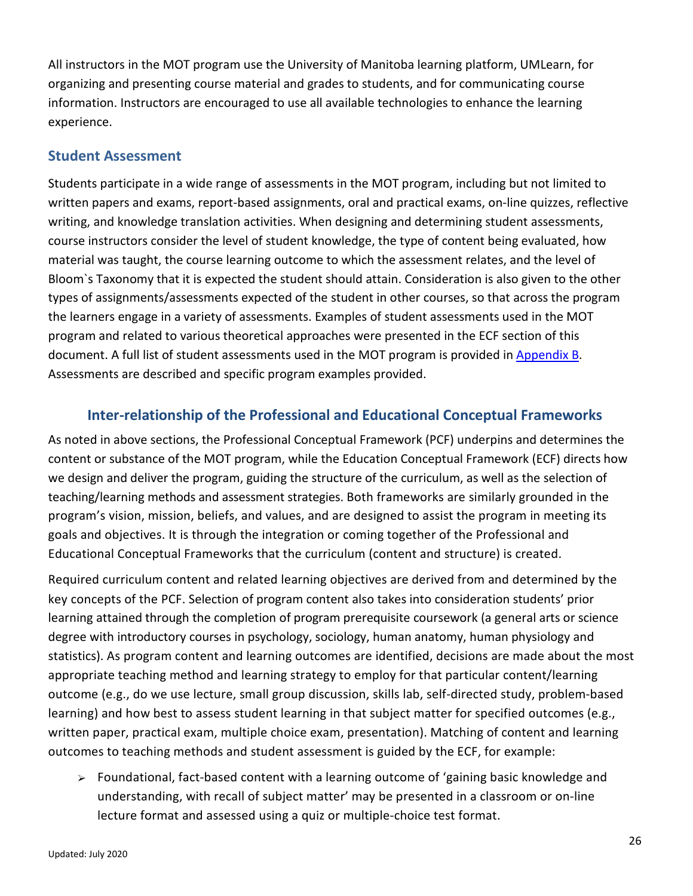All instructors in the MOT program use the University of Manitoba learning platform, UMLearn, for organizing and presenting course material and grades to students, and for communicating course information. Instructors are encouraged to use all available technologies to enhance the learning experience.

# <span id="page-28-0"></span>**Student Assessment**

Students participate in a wide range of assessments in the MOT program, including but not limited to written papers and exams, report-based assignments, oral and practical exams, on-line quizzes, reflective writing, and knowledge translation activities. When designing and determining student assessments, course instructors consider the level of student knowledge, the type of content being evaluated, how material was taught, the course learning outcome to which the assessment relates, and the level of Bloom`s Taxonomy that it is expected the student should attain. Consideration is also given to the other types of assignments/assessments expected of the student in other courses, so that across the program the learners engage in a variety of assessments. Examples of student assessments used in the MOT program and related to various theoretical approaches were presented in the ECF section of this document. A full list of student assessments used in the MOT program is provided in [Appendix B.](#page-48-0) Assessments are described and specific program examples provided.

# <span id="page-28-1"></span>**Inter-relationship of the Professional and Educational Conceptual Frameworks**

As noted in above sections, the Professional Conceptual Framework (PCF) underpins and determines the content or substance of the MOT program, while the Education Conceptual Framework (ECF) directs how we design and deliver the program, guiding the structure of the curriculum, as well as the selection of teaching/learning methods and assessment strategies. Both frameworks are similarly grounded in the program's vision, mission, beliefs, and values, and are designed to assist the program in meeting its goals and objectives. It is through the integration or coming together of the Professional and Educational Conceptual Frameworks that the curriculum (content and structure) is created.

Required curriculum content and related learning objectives are derived from and determined by the key concepts of the PCF. Selection of program content also takes into consideration students' prior learning attained through the completion of program prerequisite coursework (a general arts or science degree with introductory courses in psychology, sociology, human anatomy, human physiology and statistics). As program content and learning outcomes are identified, decisions are made about the most appropriate teaching method and learning strategy to employ for that particular content/learning outcome (e.g., do we use lecture, small group discussion, skills lab, self-directed study, problem-based learning) and how best to assess student learning in that subject matter for specified outcomes (e.g., written paper, practical exam, multiple choice exam, presentation). Matching of content and learning outcomes to teaching methods and student assessment is guided by the ECF, for example:

 $\triangleright$  Foundational, fact-based content with a learning outcome of 'gaining basic knowledge and understanding, with recall of subject matter' may be presented in a classroom or on-line lecture format and assessed using a quiz or multiple-choice test format.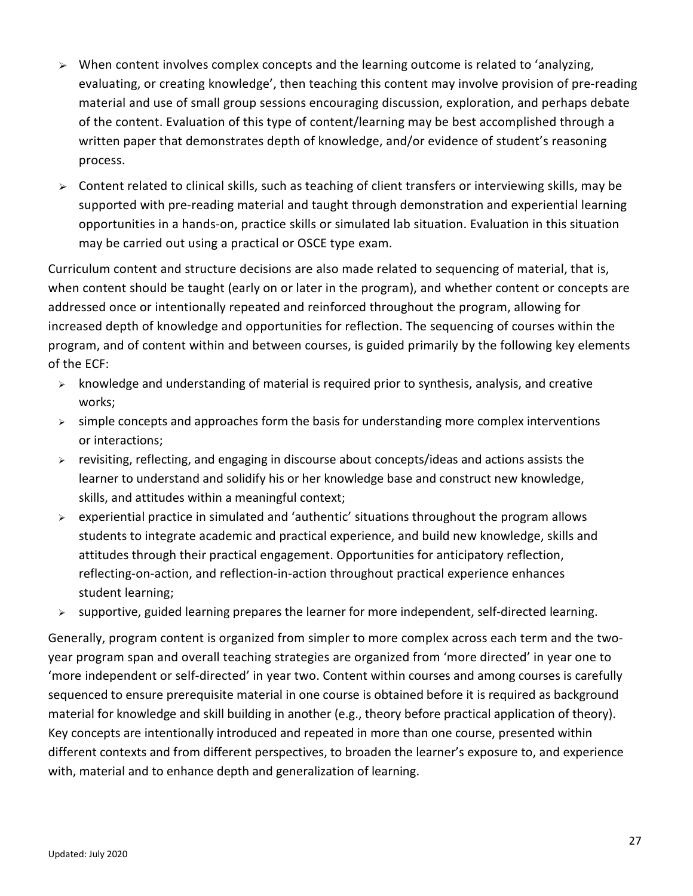- $\triangleright$  When content involves complex concepts and the learning outcome is related to 'analyzing, evaluating, or creating knowledge', then teaching this content may involve provision of pre-reading material and use of small group sessions encouraging discussion, exploration, and perhaps debate of the content. Evaluation of this type of content/learning may be best accomplished through a written paper that demonstrates depth of knowledge, and/or evidence of student's reasoning process.
- $\geq$  Content related to clinical skills, such as teaching of client transfers or interviewing skills, may be supported with pre-reading material and taught through demonstration and experiential learning opportunities in a hands-on, practice skills or simulated lab situation. Evaluation in this situation may be carried out using a practical or OSCE type exam.

Curriculum content and structure decisions are also made related to sequencing of material, that is, when content should be taught (early on or later in the program), and whether content or concepts are addressed once or intentionally repeated and reinforced throughout the program, allowing for increased depth of knowledge and opportunities for reflection. The sequencing of courses within the program, and of content within and between courses, is guided primarily by the following key elements of the ECF:

- $\triangleright$  knowledge and understanding of material is required prior to synthesis, analysis, and creative works;
- $\triangleright$  simple concepts and approaches form the basis for understanding more complex interventions or interactions;
- $\triangleright$  revisiting, reflecting, and engaging in discourse about concepts/ideas and actions assists the learner to understand and solidify his or her knowledge base and construct new knowledge, skills, and attitudes within a meaningful context;
- $\triangleright$  experiential practice in simulated and 'authentic' situations throughout the program allows students to integrate academic and practical experience, and build new knowledge, skills and attitudes through their practical engagement. Opportunities for anticipatory reflection, reflecting-on-action, and reflection-in-action throughout practical experience enhances student learning;
- $\triangleright$  supportive, guided learning prepares the learner for more independent, self-directed learning.

Generally, program content is organized from simpler to more complex across each term and the twoyear program span and overall teaching strategies are organized from 'more directed' in year one to 'more independent or self-directed' in year two. Content within courses and among courses is carefully sequenced to ensure prerequisite material in one course is obtained before it is required as background material for knowledge and skill building in another (e.g., theory before practical application of theory). Key concepts are intentionally introduced and repeated in more than one course, presented within different contexts and from different perspectives, to broaden the learner's exposure to, and experience with, material and to enhance depth and generalization of learning.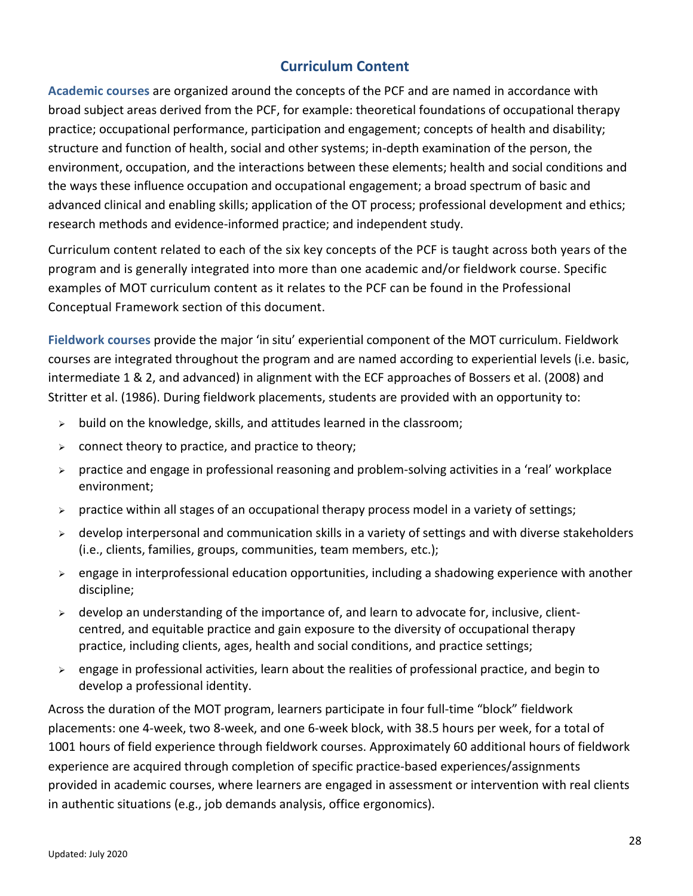# **Curriculum Content**

<span id="page-30-1"></span><span id="page-30-0"></span>**Academic courses** are organized around the concepts of the PCF and are named in accordance with broad subject areas derived from the PCF, for example: theoretical foundations of occupational therapy practice; occupational performance, participation and engagement; concepts of health and disability; structure and function of health, social and other systems; in-depth examination of the person, the environment, occupation, and the interactions between these elements; health and social conditions and the ways these influence occupation and occupational engagement; a broad spectrum of basic and advanced clinical and enabling skills; application of the OT process; professional development and ethics; research methods and evidence-informed practice; and independent study.

Curriculum content related to each of the six key concepts of the PCF is taught across both years of the program and is generally integrated into more than one academic and/or fieldwork course. Specific examples of MOT curriculum content as it relates to the PCF can be found in the Professional Conceptual Framework section of this document.

<span id="page-30-2"></span>**Fieldwork courses** provide the major 'in situ' experiential component of the MOT curriculum. Fieldwork courses are integrated throughout the program and are named according to experiential levels (i.e. basic, intermediate 1 & 2, and advanced) in alignment with the ECF approaches of Bossers et al. (2008) and Stritter et al. (1986). During fieldwork placements, students are provided with an opportunity to:

- $\triangleright$  build on the knowledge, skills, and attitudes learned in the classroom;
- $\triangleright$  connect theory to practice, and practice to theory;
- $\triangleright$  practice and engage in professional reasoning and problem-solving activities in a 'real' workplace environment;
- $\triangleright$  practice within all stages of an occupational therapy process model in a variety of settings;
- $\triangleright$  develop interpersonal and communication skills in a variety of settings and with diverse stakeholders (i.e., clients, families, groups, communities, team members, etc.);
- $\triangleright$  engage in interprofessional education opportunities, including a shadowing experience with another discipline;
- $\triangleright$  develop an understanding of the importance of, and learn to advocate for, inclusive, clientcentred, and equitable practice and gain exposure to the diversity of occupational therapy practice, including clients, ages, health and social conditions, and practice settings;
- $\triangleright$  engage in professional activities, learn about the realities of professional practice, and begin to develop a professional identity.

Across the duration of the MOT program, learners participate in four full-time "block" fieldwork placements: one 4-week, two 8-week, and one 6-week block, with 38.5 hours per week, for a total of 1001 hours of field experience through fieldwork courses. Approximately 60 additional hours of fieldwork experience are acquired through completion of specific practice-based experiences/assignments provided in academic courses, where learners are engaged in assessment or intervention with real clients in authentic situations (e.g., job demands analysis, office ergonomics).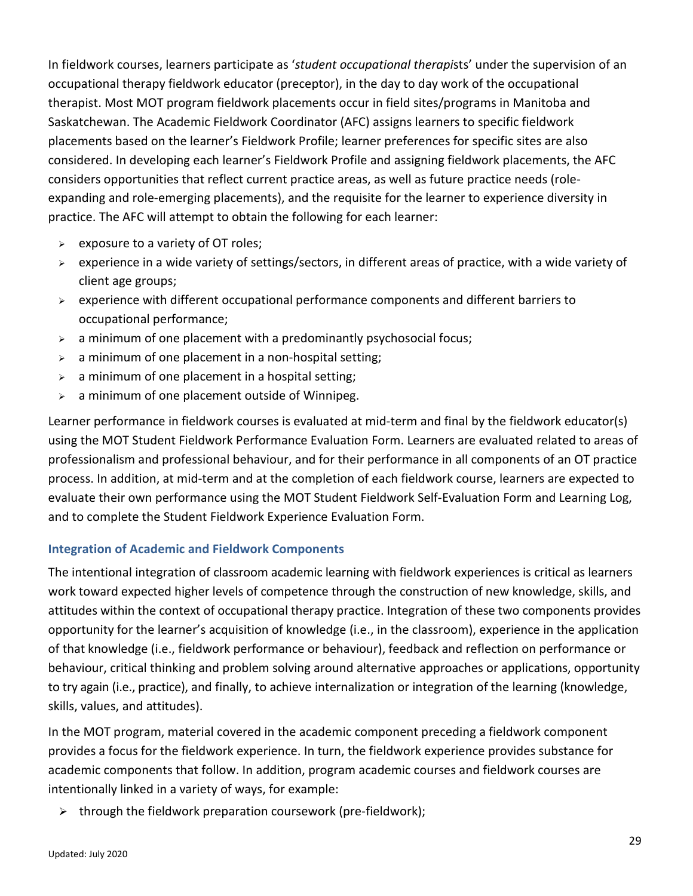In fieldwork courses, learners participate as '*student occupational therapi*sts' under the supervision of an occupational therapy fieldwork educator (preceptor), in the day to day work of the occupational therapist. Most MOT program fieldwork placements occur in field sites/programs in Manitoba and Saskatchewan. The Academic Fieldwork Coordinator (AFC) assigns learners to specific fieldwork placements based on the learner's Fieldwork Profile; learner preferences for specific sites are also considered. In developing each learner's Fieldwork Profile and assigning fieldwork placements, the AFC considers opportunities that reflect current practice areas, as well as future practice needs (roleexpanding and role-emerging placements), and the requisite for the learner to experience diversity in practice. The AFC will attempt to obtain the following for each learner:

- $\triangleright$  exposure to a variety of OT roles;
- $\triangleright$  experience in a wide variety of settings/sectors, in different areas of practice, with a wide variety of client age groups;
- $\triangleright$  experience with different occupational performance components and different barriers to occupational performance;
- $\geq$  a minimum of one placement with a predominantly psychosocial focus;
- $\geq$  a minimum of one placement in a non-hospital setting;
- $\geq$  a minimum of one placement in a hospital setting;
- $\geq$  a minimum of one placement outside of Winnipeg.

Learner performance in fieldwork courses is evaluated at mid-term and final by the fieldwork educator(s) using the MOT Student Fieldwork Performance Evaluation Form. Learners are evaluated related to areas of professionalism and professional behaviour, and for their performance in all components of an OT practice process. In addition, at mid-term and at the completion of each fieldwork course, learners are expected to evaluate their own performance using the MOT Student Fieldwork Self-Evaluation Form and Learning Log, and to complete the Student Fieldwork Experience Evaluation Form.

### <span id="page-31-0"></span>**Integration of Academic and Fieldwork Components**

The intentional integration of classroom academic learning with fieldwork experiences is critical as learners work toward expected higher levels of competence through the construction of new knowledge, skills, and attitudes within the context of occupational therapy practice. Integration of these two components provides opportunity for the learner's acquisition of knowledge (i.e., in the classroom), experience in the application of that knowledge (i.e., fieldwork performance or behaviour), feedback and reflection on performance or behaviour, critical thinking and problem solving around alternative approaches or applications, opportunity to try again (i.e., practice), and finally, to achieve internalization or integration of the learning (knowledge, skills, values, and attitudes).

In the MOT program, material covered in the academic component preceding a fieldwork component provides a focus for the fieldwork experience. In turn, the fieldwork experience provides substance for academic components that follow. In addition, program academic courses and fieldwork courses are intentionally linked in a variety of ways, for example:

 $\triangleright$  through the fieldwork preparation coursework (pre-fieldwork);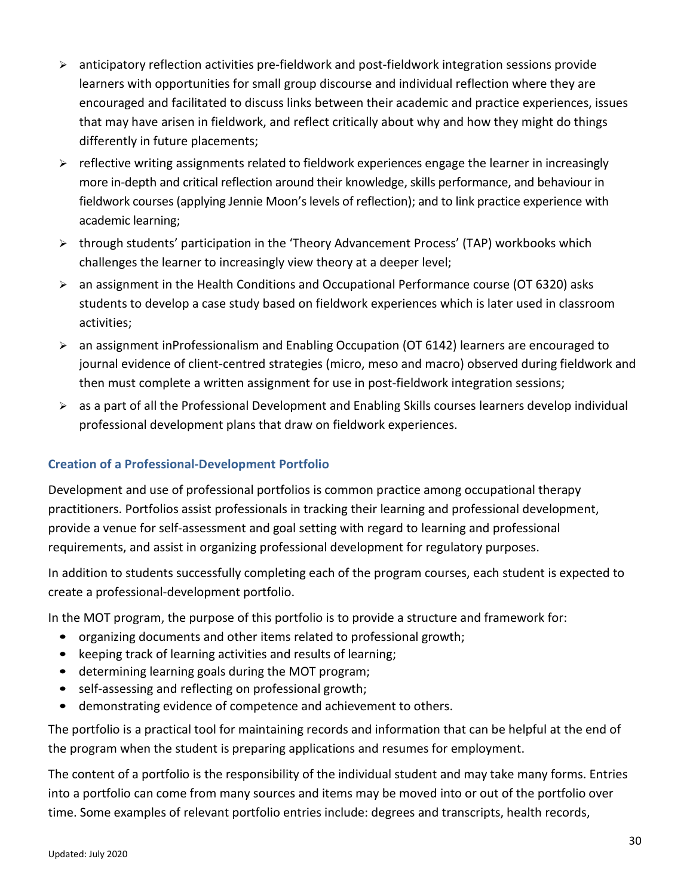- $\triangleright$  anticipatory reflection activities pre-fieldwork and post-fieldwork integration sessions provide learners with opportunities for small group discourse and individual reflection where they are encouraged and facilitated to discuss links between their academic and practice experiences, issues that may have arisen in fieldwork, and reflect critically about why and how they might do things differently in future placements;
- $\triangleright$  reflective writing assignments related to fieldwork experiences engage the learner in increasingly more in-depth and critical reflection around their knowledge, skills performance, and behaviour in fieldwork courses (applying Jennie Moon's levels of reflection); and to link practice experience with academic learning;
- $\triangleright$  through students' participation in the 'Theory Advancement Process' (TAP) workbooks which challenges the learner to increasingly view theory at a deeper level;
- $\triangleright$  an assignment in the Health Conditions and Occupational Performance course (OT 6320) asks students to develop a case study based on fieldwork experiences which is later used in classroom activities;
- $\geq$  an assignment inProfessionalism and Enabling Occupation (OT 6142) learners are encouraged to journal evidence of client-centred strategies (micro, meso and macro) observed during fieldwork and then must complete a written assignment for use in post-fieldwork integration sessions;
- $\triangleright$  as a part of all the Professional Development and Enabling Skills courses learners develop individual professional development plans that draw on fieldwork experiences.

# <span id="page-32-0"></span>**Creation of a Professional-Development Portfolio**

Development and use of professional portfolios is common practice among occupational therapy practitioners. Portfolios assist professionals in tracking their learning and professional development, provide a venue for self-assessment and goal setting with regard to learning and professional requirements, and assist in organizing professional development for regulatory purposes.

In addition to students successfully completing each of the program courses, each student is expected to create a professional-development portfolio.

In the MOT program, the purpose of this portfolio is to provide a structure and framework for:

- organizing documents and other items related to professional growth;
- keeping track of learning activities and results of learning;
- determining learning goals during the MOT program;
- self-assessing and reflecting on professional growth;
- demonstrating evidence of competence and achievement to others.

The portfolio is a practical tool for maintaining records and information that can be helpful at the end of the program when the student is preparing applications and resumes for employment.

The content of a portfolio is the responsibility of the individual student and may take many forms. Entries into a portfolio can come from many sources and items may be moved into or out of the portfolio over time. Some examples of relevant portfolio entries include: degrees and transcripts, health records,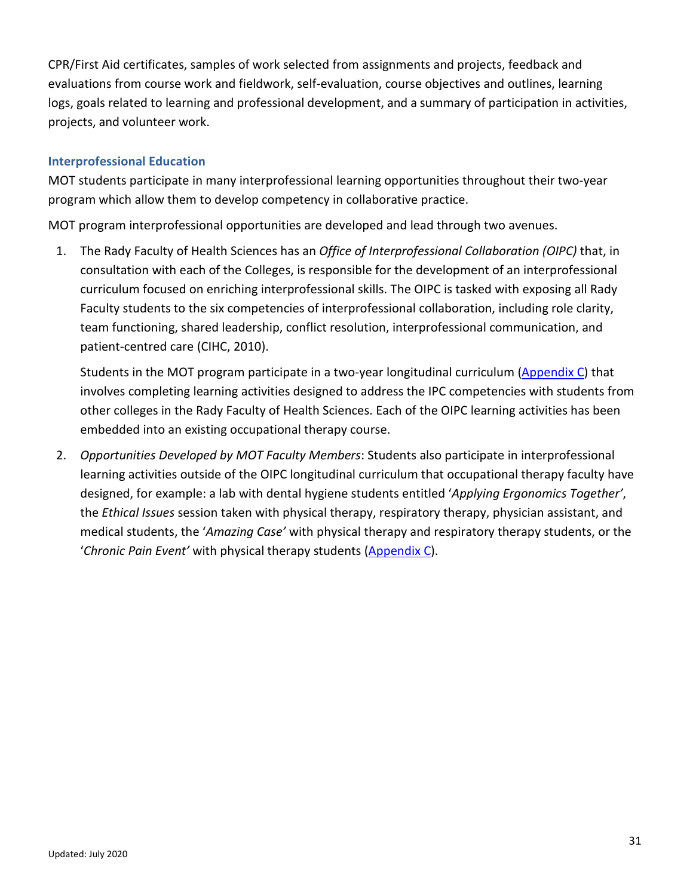CPR/First Aid certificates, samples of work selected from assignments and projects, feedback and evaluations from course work and fieldwork, self-evaluation, course objectives and outlines, learning logs, goals related to learning and professional development, and a summary of participation in activities, projects, and volunteer work.

### <span id="page-33-0"></span>**Interprofessional Education**

MOT students participate in many interprofessional learning opportunities throughout their two-year program which allow them to develop competency in collaborative practice.

MOT program interprofessional opportunities are developed and lead through two avenues.

1. The Rady Faculty of Health Sciences has an *Office of Interprofessional Collaboration (OIPC)* that, in consultation with each of the Colleges, is responsible for the development of an interprofessional curriculum focused on enriching interprofessional skills. The OIPC is tasked with exposing all Rady Faculty students to the six competencies of interprofessional collaboration, including role clarity, team functioning, shared leadership, conflict resolution, interprofessional communication, and patient-centred care (CIHC, 2010).

Students in the MOT program participate in a two-year longitudinal curriculum [\(Appendix C\)](#page-52-0) that involves completing learning activities designed to address the IPC competencies with students from other colleges in the Rady Faculty of Health Sciences. Each of the OIPC learning activities has been embedded into an existing occupational therapy course.

2. *Opportunities Developed by MOT Faculty Members*: Students also participate in interprofessional learning activities outside of the OIPC longitudinal curriculum that occupational therapy faculty have designed, for example: a lab with dental hygiene students entitled '*Applying Ergonomics Together'*, the *Ethical Issues* session taken with physical therapy, respiratory therapy, physician assistant, and medical students, the '*Amazing Case'* with physical therapy and respiratory therapy students, or the '*Chronic Pain Event'* with physical therapy students [\(Appendix C\)](#page-52-0).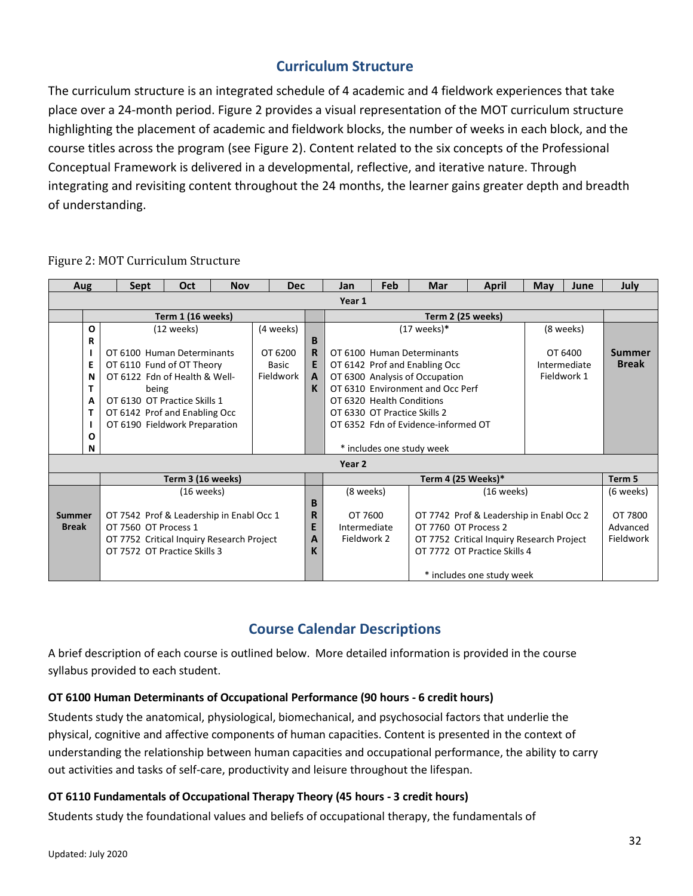# **Curriculum Structure**

<span id="page-34-0"></span>The curriculum structure is an integrated schedule of 4 academic and 4 fieldwork experiences that take place over a 24-month period. Figure 2 provides a visual representation of the MOT curriculum structure highlighting the placement of academic and fieldwork blocks, the number of weeks in each block, and the course titles across the program (see Figure 2). Content related to the six concepts of the Professional Conceptual Framework is delivered in a developmental, reflective, and iterative nature. Through integrating and revisiting content throughout the 24 months, the learner gains greater depth and breadth of understanding.

| <b>Aug</b>             |   |                                           | <b>Sept</b>                                | Oct                                       | <b>Nov</b> |           | <b>Dec</b> |   | Jan                                                      | Feb                                 | Mar                                      | April                     | May | June          | July         |
|------------------------|---|-------------------------------------------|--------------------------------------------|-------------------------------------------|------------|-----------|------------|---|----------------------------------------------------------|-------------------------------------|------------------------------------------|---------------------------|-----|---------------|--------------|
| Year 1                 |   |                                           |                                            |                                           |            |           |            |   |                                                          |                                     |                                          |                           |     |               |              |
| Term 1 (16 weeks)      |   |                                           |                                            |                                           |            |           |            |   | Term 2 (25 weeks)                                        |                                     |                                          |                           |     |               |              |
|                        | О | $(12 \text{ weeks})$                      |                                            |                                           |            | (4 weeks) |            |   | $(17$ weeks)*                                            |                                     |                                          |                           |     | (8 weeks)     |              |
|                        | R |                                           |                                            |                                           |            |           |            | B |                                                          |                                     |                                          |                           |     |               |              |
|                        |   |                                           |                                            | OT 6100 Human Determinants                |            | OT 6200   |            | R |                                                          |                                     | OT 6100 Human Determinants               | OT 6400                   |     | <b>Summer</b> |              |
|                        | E |                                           |                                            | OT 6110 Fund of OT Theory<br><b>Basic</b> |            |           |            | E | OT 6142 Prof and Enabling Occ                            |                                     |                                          |                           |     | Intermediate  | <b>Break</b> |
|                        | N |                                           | Fieldwork<br>OT 6122 Fdn of Health & Well- |                                           |            |           |            | A | Fieldwork 1<br>OT 6300 Analysis of Occupation            |                                     |                                          |                           |     |               |              |
|                        | т |                                           | being                                      |                                           |            |           |            | K |                                                          | OT 6310 Environment and Occ Perf    |                                          |                           |     |               |              |
|                        | А |                                           |                                            | OT 6130 OT Practice Skills 1              |            |           |            |   |                                                          | OT 6320 Health Conditions           |                                          |                           |     |               |              |
|                        | т |                                           |                                            | OT 6142 Prof and Enabling Occ             |            |           |            |   | OT 6330 OT Practice Skills 2                             |                                     |                                          |                           |     |               |              |
|                        |   |                                           |                                            | OT 6190 Fieldwork Preparation             |            |           |            |   |                                                          | OT 6352 Fdn of Evidence-informed OT |                                          |                           |     |               |              |
|                        | Ο |                                           |                                            |                                           |            |           |            |   |                                                          |                                     |                                          |                           |     |               |              |
|                        | N |                                           |                                            |                                           |            |           |            |   | * includes one study week                                |                                     |                                          |                           |     |               |              |
| Year 2                 |   |                                           |                                            |                                           |            |           |            |   |                                                          |                                     |                                          |                           |     |               |              |
| Term 3 (16 weeks)      |   |                                           |                                            |                                           |            |           |            |   |                                                          | Term 4 (25 Weeks)*                  |                                          |                           |     | Term 5        |              |
| Summer<br><b>Break</b> |   | (16 weeks)                                |                                            |                                           |            |           |            |   | (8 weeks)                                                |                                     | $(16$ weeks)                             |                           |     |               | (6 weeks)    |
|                        |   |                                           |                                            |                                           |            |           |            | B |                                                          |                                     |                                          |                           |     |               |              |
|                        |   | OT 7542 Prof & Leadership in Enabl Occ 1  |                                            |                                           |            |           |            | R | OT 7600                                                  |                                     | OT 7742 Prof & Leadership in Enabl Occ 2 |                           |     |               | OT 7800      |
|                        |   | OT 7560 OT Process 1                      |                                            |                                           |            |           |            | E | OT 7760 OT Process 2<br>Intermediate                     |                                     |                                          |                           |     | Advanced      |              |
|                        |   | OT 7752 Critical Inquiry Research Project |                                            |                                           |            |           |            | A | Fieldwork 2<br>OT 7752 Critical Inquiry Research Project |                                     |                                          |                           |     |               | Fieldwork    |
|                        |   |                                           | OT 7572 OT Practice Skills 3               |                                           |            |           |            | К | OT 7772 OT Practice Skills 4                             |                                     |                                          |                           |     |               |              |
|                        |   |                                           |                                            |                                           |            |           |            |   |                                                          |                                     |                                          |                           |     |               |              |
|                        |   |                                           |                                            |                                           |            |           |            |   |                                                          |                                     |                                          | * includes one study week |     |               |              |

Figure 2: MOT Curriculum Structure

# **Course Calendar Descriptions**

<span id="page-34-2"></span><span id="page-34-1"></span>A brief description of each course is outlined below. More detailed information is provided in the course syllabus provided to each student.

### **OT 6100 Human Determinants of Occupational Performance (90 hours - 6 credit hours)**

Students study the anatomical, physiological, biomechanical, and psychosocial factors that underlie the physical, cognitive and affective components of human capacities. Content is presented in the context of understanding the relationship between human capacities and occupational performance, the ability to carry out activities and tasks of self-care, productivity and leisure throughout the lifespan.

### **OT 6110 Fundamentals of Occupational Therapy Theory (45 hours - 3 credit hours)**

Students study the foundational values and beliefs of occupational therapy, the fundamentals of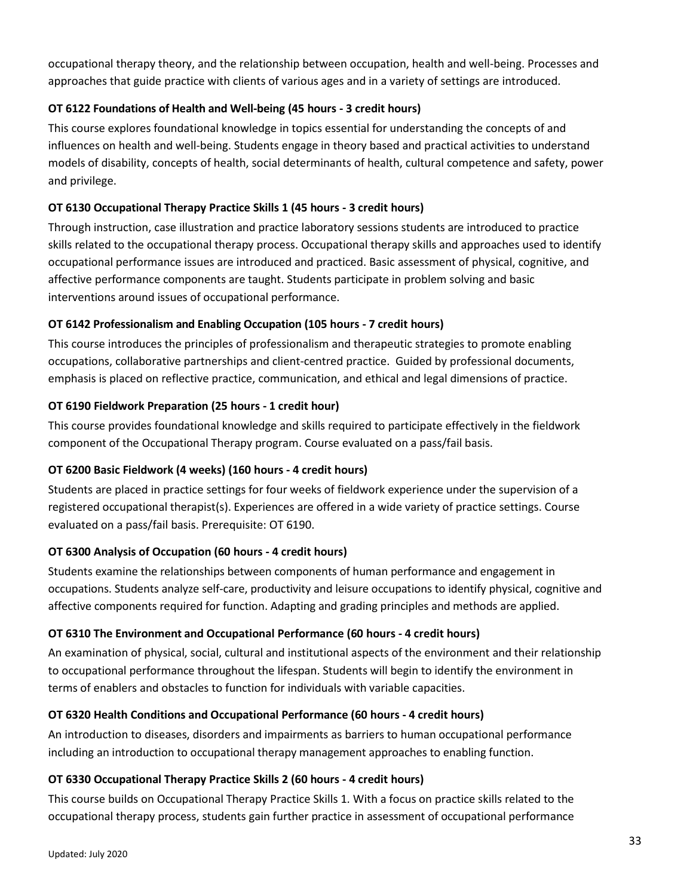occupational therapy theory, and the relationship between occupation, health and well-being. Processes and approaches that guide practice with clients of various ages and in a variety of settings are introduced.

### **OT 6122 Foundations of Health and Well-being (45 hours - 3 credit hours)**

This course explores foundational knowledge in topics essential for understanding the concepts of and influences on health and well-being. Students engage in theory based and practical activities to understand models of disability, concepts of health, social determinants of health, cultural competence and safety, power and privilege.

### **OT 6130 Occupational Therapy Practice Skills 1 (45 hours - 3 credit hours)**

Through instruction, case illustration and practice laboratory sessions students are introduced to practice skills related to the occupational therapy process. Occupational therapy skills and approaches used to identify occupational performance issues are introduced and practiced. Basic assessment of physical, cognitive, and affective performance components are taught. Students participate in problem solving and basic interventions around issues of occupational performance.

### **OT 6142 Professionalism and Enabling Occupation (105 hours - 7 credit hours)**

This course introduces the principles of professionalism and therapeutic strategies to promote enabling occupations, collaborative partnerships and client-centred practice. Guided by professional documents, emphasis is placed on reflective practice, communication, and ethical and legal dimensions of practice.

### **OT 6190 Fieldwork Preparation (25 hours - 1 credit hour)**

This course provides foundational knowledge and skills required to participate effectively in the fieldwork component of the Occupational Therapy program. Course evaluated on a pass/fail basis.

### **OT 6200 Basic Fieldwork (4 weeks) (160 hours - 4 credit hours)**

Students are placed in practice settings for four weeks of fieldwork experience under the supervision of a registered occupational therapist(s). Experiences are offered in a wide variety of practice settings. Course evaluated on a pass/fail basis. Prerequisite: OT 6190.

### **OT 6300 Analysis of Occupation (60 hours - 4 credit hours)**

Students examine the relationships between components of human performance and engagement in occupations. Students analyze self-care, productivity and leisure occupations to identify physical, cognitive and affective components required for function. Adapting and grading principles and methods are applied.

### **OT 6310 The Environment and Occupational Performance (60 hours - 4 credit hours)**

An examination of physical, social, cultural and institutional aspects of the environment and their relationship to occupational performance throughout the lifespan. Students will begin to identify the environment in terms of enablers and obstacles to function for individuals with variable capacities.

### **OT 6320 Health Conditions and Occupational Performance (60 hours - 4 credit hours)**

An introduction to diseases, disorders and impairments as barriers to human occupational performance including an introduction to occupational therapy management approaches to enabling function.

### **OT 6330 Occupational Therapy Practice Skills 2 (60 hours - 4 credit hours)**

This course builds on Occupational Therapy Practice Skills 1*.* With a focus on practice skills related to the occupational therapy process, students gain further practice in assessment of occupational performance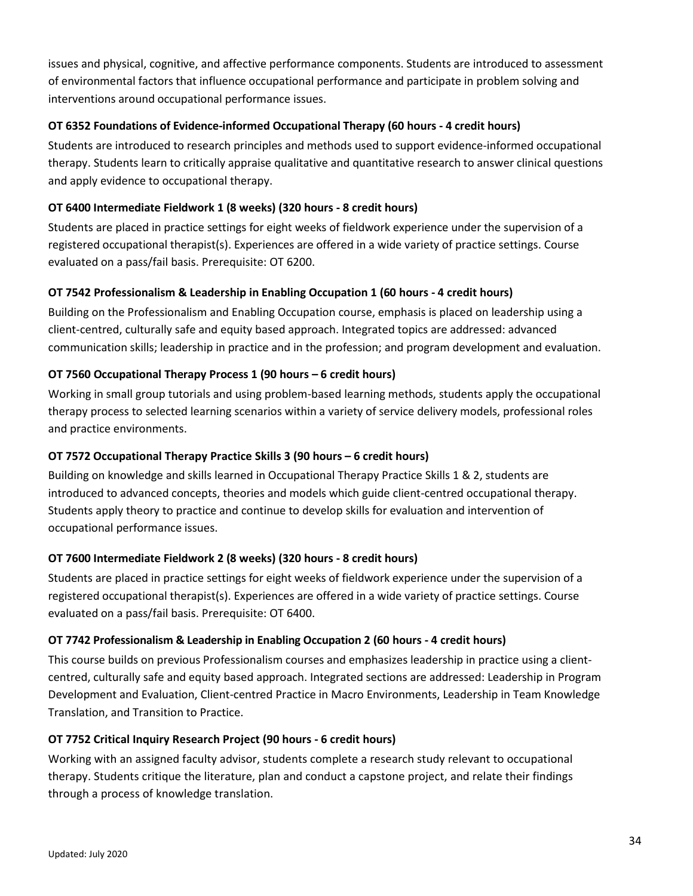issues and physical, cognitive, and affective performance components. Students are introduced to assessment of environmental factors that influence occupational performance and participate in problem solving and interventions around occupational performance issues.

### **OT 6352 Foundations of Evidence-informed Occupational Therapy (60 hours - 4 credit hours)**

Students are introduced to research principles and methods used to support evidence-informed occupational therapy. Students learn to critically appraise qualitative and quantitative research to answer clinical questions and apply evidence to occupational therapy.

### **OT 6400 Intermediate Fieldwork 1 (8 weeks) (320 hours - 8 credit hours)**

Students are placed in practice settings for eight weeks of fieldwork experience under the supervision of a registered occupational therapist(s). Experiences are offered in a wide variety of practice settings. Course evaluated on a pass/fail basis. Prerequisite: OT 6200.

### **OT 7542 Professionalism & Leadership in Enabling Occupation 1 (60 hours - 4 credit hours)**

Building on the Professionalism and Enabling Occupation course, emphasis is placed on leadership using a client-centred, culturally safe and equity based approach. Integrated topics are addressed: advanced communication skills; leadership in practice and in the profession; and program development and evaluation.

### **OT 7560 Occupational Therapy Process 1 (90 hours – 6 credit hours)**

Working in small group tutorials and using problem-based learning methods, students apply the occupational therapy process to selected learning scenarios within a variety of service delivery models, professional roles and practice environments.

### **OT 7572 Occupational Therapy Practice Skills 3 (90 hours – 6 credit hours)**

Building on knowledge and skills learned in Occupational Therapy Practice Skills 1 & 2, students are introduced to advanced concepts, theories and models which guide client-centred occupational therapy. Students apply theory to practice and continue to develop skills for evaluation and intervention of occupational performance issues.

### **OT 7600 Intermediate Fieldwork 2 (8 weeks) (320 hours - 8 credit hours)**

Students are placed in practice settings for eight weeks of fieldwork experience under the supervision of a registered occupational therapist(s). Experiences are offered in a wide variety of practice settings. Course evaluated on a pass/fail basis. Prerequisite: OT 6400.

### **OT 7742 Professionalism & Leadership in Enabling Occupation 2 (60 hours - 4 credit hours)**

This course builds on previous Professionalism courses and emphasizes leadership in practice using a clientcentred, culturally safe and equity based approach. Integrated sections are addressed: Leadership in Program Development and Evaluation, Client-centred Practice in Macro Environments, Leadership in Team Knowledge Translation, and Transition to Practice.

#### **OT 7752 Critical Inquiry Research Project (90 hours - 6 credit hours)**

Working with an assigned faculty advisor, students complete a research study relevant to occupational therapy. Students critique the literature, plan and conduct a capstone project, and relate their findings through a process of knowledge translation.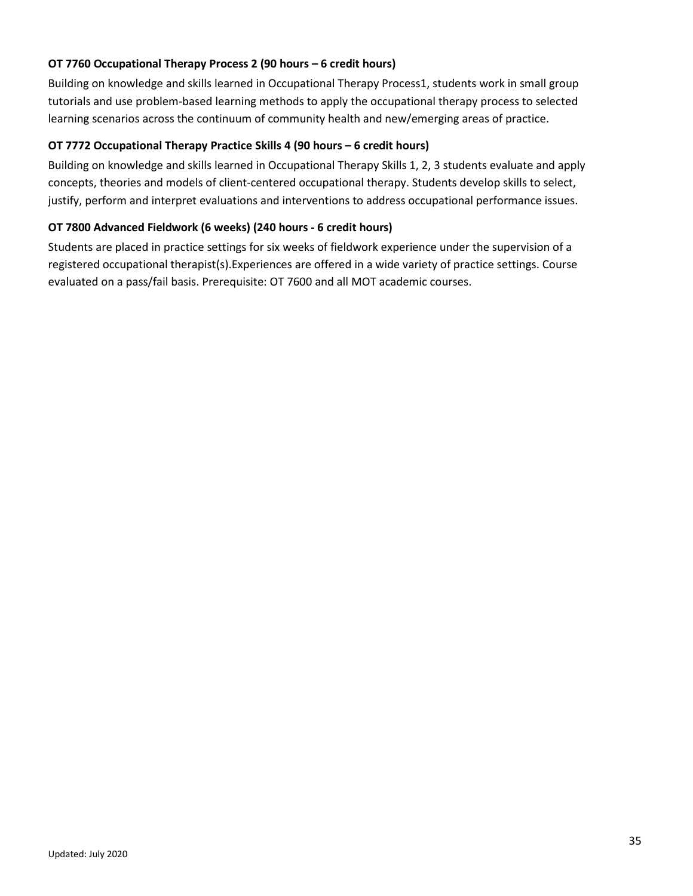### **OT 7760 Occupational Therapy Process 2 (90 hours – 6 credit hours)**

Building on knowledge and skills learned in Occupational Therapy Process1, students work in small group tutorials and use problem-based learning methods to apply the occupational therapy process to selected learning scenarios across the continuum of community health and new/emerging areas of practice.

#### **OT 7772 Occupational Therapy Practice Skills 4 (90 hours – 6 credit hours)**

Building on knowledge and skills learned in Occupational Therapy Skills 1, 2, 3 students evaluate and apply concepts, theories and models of client-centered occupational therapy. Students develop skills to select, justify, perform and interpret evaluations and interventions to address occupational performance issues.

### **OT 7800 Advanced Fieldwork (6 weeks) (240 hours - 6 credit hours)**

Students are placed in practice settings for six weeks of fieldwork experience under the supervision of a registered occupational therapist(s).Experiences are offered in a wide variety of practice settings. Course evaluated on a pass/fail basis. Prerequisite: OT 7600 and all MOT academic courses.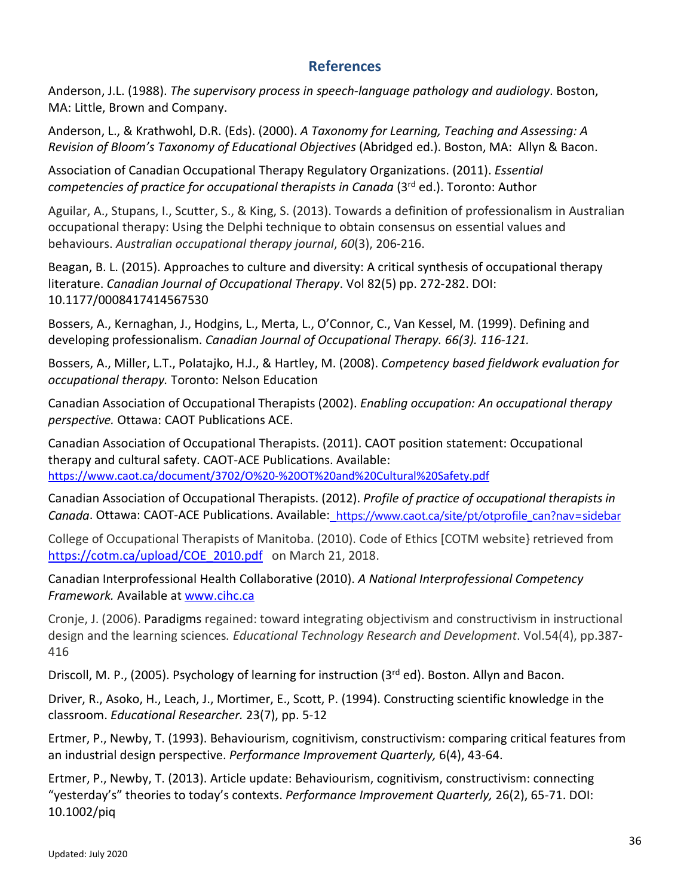# **References**

<span id="page-38-0"></span>Anderson, J.L. (1988). *The supervisory process in speech-language pathology and audiology*. Boston, MA: Little, Brown and Company.

Anderson, L., & Krathwohl, D.R. (Eds). (2000). *A Taxonomy for Learning, Teaching and Assessing: A Revision of Bloom's Taxonomy of Educational Objectives* (Abridged ed.). Boston, MA: Allyn & Bacon.

Association of Canadian Occupational Therapy Regulatory Organizations. (2011). *Essential competencies of practice for occupational therapists in Canada* (3rd ed.). Toronto: Author

Aguilar, A., Stupans, I., Scutter, S., & King, S. (2013). Towards a definition of professionalism in Australian occupational therapy: Using the Delphi technique to obtain consensus on essential values and behaviours. *Australian occupational therapy journal*, *60*(3), 206-216.

Beagan, B. L. (2015). Approaches to culture and diversity: A critical synthesis of occupational therapy literature. *Canadian Journal of Occupational Therapy*. Vol 82(5) pp. 272-282. DOI: 10.1177/0008417414567530

Bossers, A., Kernaghan, J., Hodgins, L., Merta, L., O'Connor, C., Van Kessel, M. (1999). Defining and developing professionalism. *Canadian Journal of Occupational Therapy. 66(3). 116-121.*

Bossers, A., Miller, L.T., Polatajko, H.J., & Hartley, M. (2008). *Competency based fieldwork evaluation for occupational therapy.* Toronto: Nelson Education

Canadian Association of Occupational Therapists (2002). *Enabling occupation: An occupational therapy perspective.* Ottawa: CAOT Publications ACE.

Canadian Association of Occupational Therapists. (2011). CAOT position statement: Occupational therapy and cultural safety. CAOT-ACE Publications. Available: <https://www.caot.ca/document/3702/O%20-%20OT%20and%20Cultural%20Safety.pdf>

Canadian Association of Occupational Therapists. (2012). *Profile of practice of occupational therapists in Canada*. Ottawa: CAOT-ACE Publications. Available: [https://www.caot.ca/site/pt/otprofile\\_can?nav=sidebar](https://www.caot.ca/site/pt/otprofile_can?nav=sidebar)

College of Occupational Therapists of Manitoba. (2010). Code of Ethics [COTM website} retrieved from [https://cotm.ca/upload/COE\\_2010.pdf](https://cotm.ca/upload/COE_2010.pdf) on March 21, 2018.

Canadian Interprofessional Health Collaborative (2010). *A National Interprofessional Competency Framework.* Available at [www.cihc.ca](http://www.cihc.ca/)

Cronje, J. (2006). Paradigms regained: toward integrating objectivism and constructivism in instructional design and the learning sciences*. Educational Technology Research and Development*. Vol.54(4), pp.387- 416

Driscoll, M. P., (2005). Psychology of learning for instruction (3<sup>rd</sup> ed). Boston. Allyn and Bacon.

Driver, R., Asoko, H., Leach, J., Mortimer, E., Scott, P. (1994). Constructing scientific knowledge in the classroom. *Educational Researcher.* 23(7), pp. 5-12

Ertmer, P., Newby, T. (1993). Behaviourism, cognitivism, constructivism: comparing critical features from an industrial design perspective. *Performance Improvement Quarterly,* 6(4), 43-64.

Ertmer, P., Newby, T. (2013). Article update: Behaviourism, cognitivism, constructivism: connecting "yesterday's" theories to today's contexts. *Performance Improvement Quarterly,* 26(2), 65-71. DOI: 10.1002/piq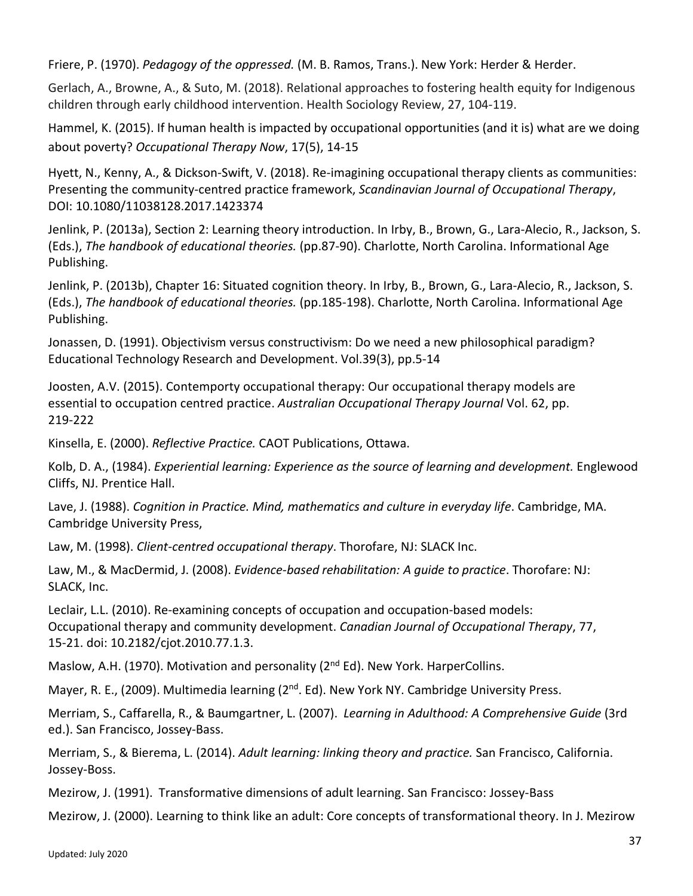Friere, P. (1970). *Pedagogy of the oppressed.* (M. B. Ramos, Trans.). New York: Herder & Herder.

Gerlach, A., Browne, A., & Suto, M. (2018). Relational approaches to fostering health equity for Indigenous children through early childhood intervention. Health Sociology Review, 27, 104-119.

Hammel, K. (2015). If human health is impacted by occupational opportunities (and it is) what are we doing about poverty? *Occupational Therapy Now*, 17(5), 14-15

Hyett, N., Kenny, A., & Dickson-Swift, V. (2018). Re-imagining occupational therapy clients as communities: Presenting the community-centred practice framework, *Scandinavian Journal of Occupational Therapy*, DOI: 10.1080/11038128.2017.1423374

Jenlink, P. (2013a), Section 2: Learning theory introduction. In Irby, B., Brown, G., Lara-Alecio, R., Jackson, S. (Eds.), *The handbook of educational theories.* (pp.87-90). Charlotte, North Carolina. Informational Age Publishing.

Jenlink, P. (2013b), Chapter 16: Situated cognition theory. In Irby, B., Brown, G., Lara-Alecio, R., Jackson, S. (Eds.), *The handbook of educational theories.* (pp.185-198). Charlotte, North Carolina. Informational Age Publishing.

Jonassen, D. (1991). Objectivism versus constructivism: Do we need a new philosophical paradigm? Educational Technology Research and Development. Vol.39(3), pp.5-14

Joosten, A.V. (2015). Contemporty occupational therapy: Our occupational therapy models are essential to occupation centred practice. *Australian Occupational Therapy Journal* Vol. 62, pp. 219-222

Kinsella, E. (2000). *Reflective Practice.* CAOT Publications, Ottawa.

Kolb, D. A., (1984). *Experiential learning: Experience as the source of learning and development.* Englewood Cliffs, NJ. Prentice Hall.

Lave, J. (1988). *Cognition in Practice. Mind, mathematics and culture in everyday life*. Cambridge, MA. Cambridge University Press,

Law, M. (1998). *Client-centred occupational therapy*. Thorofare, NJ: SLACK Inc.

Law, M., & MacDermid, J. (2008). *Evidence-based rehabilitation: A guide to practice*. Thorofare: NJ: SLACK, Inc.

Leclair, L.L. (2010). Re-examining concepts of occupation and occupation-based models: Occupational therapy and community development. *Canadian Journal of Occupational Therapy*, 77, 15-21. doi: 10.2182/cjot.2010.77.1.3.

Maslow, A.H. (1970). Motivation and personality (2<sup>nd</sup> Ed). New York. HarperCollins.

Mayer, R. E., (2009). Multimedia learning (2<sup>nd</sup>. Ed). New York NY. Cambridge University Press.

Merriam, S., Caffarella, R., & Baumgartner, L. (2007). *Learning in Adulthood: A Comprehensive Guide* (3rd ed.). San Francisco, Jossey-Bass.

Merriam, S., & Bierema, L. (2014). *Adult learning: linking theory and practice.* San Francisco, California. Jossey-Boss.

Mezirow, J. (1991). Transformative dimensions of adult learning. San Francisco: Jossey-Bass

Mezirow, J. (2000). Learning to think like an adult: Core concepts of transformational theory. In J. Mezirow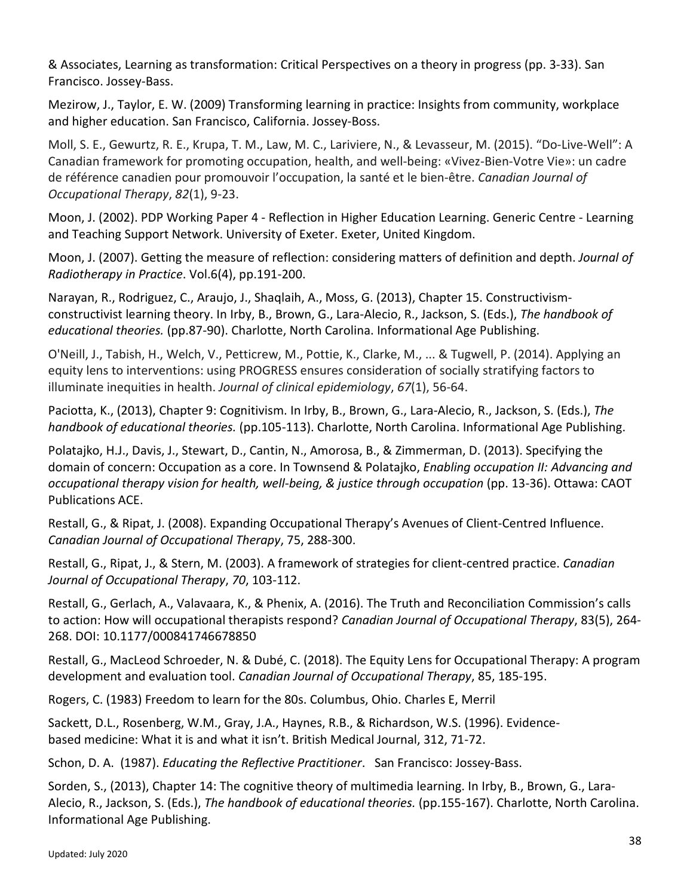& Associates, Learning as transformation: Critical Perspectives on a theory in progress (pp. 3-33). San Francisco. Jossey-Bass.

Mezirow, J., Taylor, E. W. (2009) Transforming learning in practice: Insights from community, workplace and higher education. San Francisco, California. Jossey-Boss.

Moll, S. E., Gewurtz, R. E., Krupa, T. M., Law, M. C., Lariviere, N., & Levasseur, M. (2015). "Do-Live-Well": A Canadian framework for promoting occupation, health, and well-being: «Vivez-Bien-Votre Vie»: un cadre de référence canadien pour promouvoir l'occupation, la santé et le bien-être. *Canadian Journal of Occupational Therapy*, *82*(1), 9-23.

Moon, J. (2002). PDP Working Paper 4 - Reflection in Higher Education Learning. Generic Centre - Learning and Teaching Support Network. University of Exeter. Exeter, United Kingdom.

Moon, J. (2007). Getting the measure of reflection: considering matters of definition and depth. *Journal of Radiotherapy in Practice*. Vol.6(4), pp.191-200.

Narayan, R., Rodriguez, C., Araujo, J., Shaqlaih, A., Moss, G. (2013), Chapter 15. Constructivismconstructivist learning theory. In Irby, B., Brown, G., Lara-Alecio, R., Jackson, S. (Eds.), *The handbook of educational theories.* (pp.87-90). Charlotte, North Carolina. Informational Age Publishing.

O'Neill, J., Tabish, H., Welch, V., Petticrew, M., Pottie, K., Clarke, M., ... & Tugwell, P. (2014). Applying an equity lens to interventions: using PROGRESS ensures consideration of socially stratifying factors to illuminate inequities in health. *Journal of clinical epidemiology*, *67*(1), 56-64.

Paciotta, K., (2013), Chapter 9: Cognitivism. In Irby, B., Brown, G., Lara-Alecio, R., Jackson, S. (Eds.), *The handbook of educational theories.* (pp.105-113). Charlotte, North Carolina. Informational Age Publishing.

Polatajko, H.J., Davis, J., Stewart, D., Cantin, N., Amorosa, B., & Zimmerman, D. (2013). Specifying the domain of concern: Occupation as a core. In Townsend & Polatajko, *Enabling occupation II: Advancing and occupational therapy vision for health, well-being, & justice through occupation* (pp. 13-36). Ottawa: CAOT Publications ACE.

Restall, G., & Ripat, J. (2008). Expanding Occupational Therapy's Avenues of Client-Centred Influence. *Canadian Journal of Occupational Therapy*, 75, 288-300.

Restall, G., Ripat, J., & Stern, M. (2003). A framework of strategies for client-centred practice. *Canadian Journal of Occupational Therapy*, *70*, 103-112.

Restall, G., Gerlach, A., Valavaara, K., & Phenix, A. (2016). The Truth and Reconciliation Commission's calls to action: How will occupational therapists respond? *Canadian Journal of Occupational Therapy*, 83(5), 264- 268. DOI: 10.1177/000841746678850

Restall, G., MacLeod Schroeder, N. & Dubé, C. (2018). The Equity Lens for Occupational Therapy: A program development and evaluation tool. *Canadian Journal of Occupational Therapy*, 85, 185-195.

Rogers, C. (1983) Freedom to learn for the 80s. Columbus, Ohio. Charles E, Merril

Sackett, D.L., Rosenberg, W.M., Gray, J.A., Haynes, R.B., & Richardson, W.S. (1996). Evidencebased medicine: What it is and what it isn't. British Medical Journal, 312, 71-72.

Schon, D. A. (1987). *Educating the Reflective Practitioner*. San Francisco: Jossey-Bass.

Sorden, S., (2013), Chapter 14: The cognitive theory of multimedia learning. In Irby, B., Brown, G., Lara-Alecio, R., Jackson, S. (Eds.), *The handbook of educational theories.* (pp.155-167). Charlotte, North Carolina. Informational Age Publishing.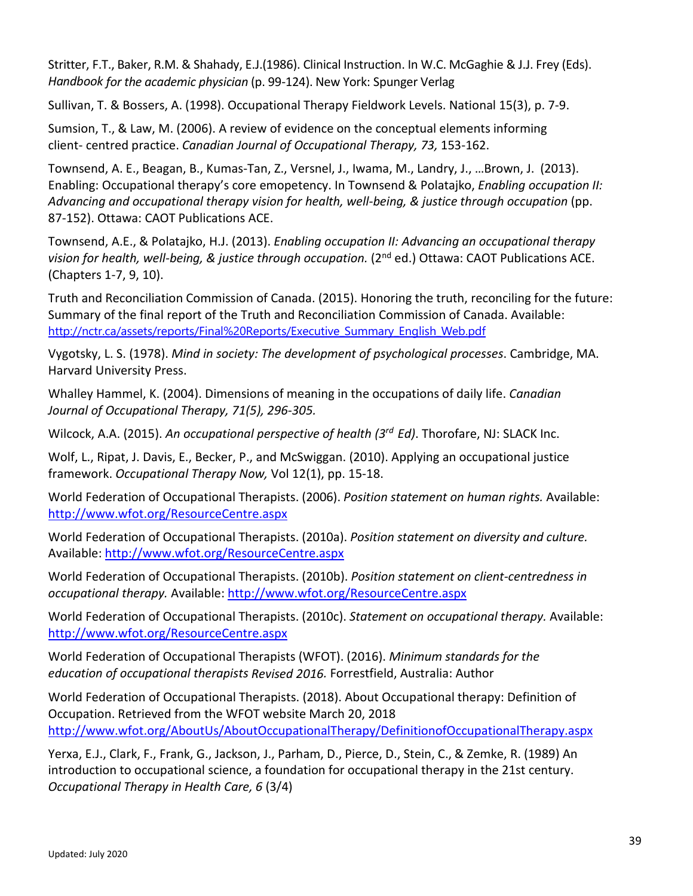Stritter, F.T., Baker, R.M. & Shahady, E.J.(1986). Clinical Instruction. In W.C. McGaghie & J.J. Frey (Eds). *Handbook for the academic physician* (p. 99-124). New York: Spunger Verlag

Sullivan, T. & Bossers, A. (1998). Occupational Therapy Fieldwork Levels. National 15(3), p. 7-9.

Sumsion, T., & Law, M. (2006). A review of evidence on the conceptual elements informing client- centred practice. *Canadian Journal of Occupational Therapy, 73,* 153-162.

Townsend, A. E., Beagan, B., Kumas-Tan, Z., Versnel, J., Iwama, M., Landry, J., …Brown, J. (2013). Enabling: Occupational therapy's core emopetency. In Townsend & Polatajko, *Enabling occupation II: Advancing and occupational therapy vision for health, well-being, & justice through occupation* (pp. 87-152). Ottawa: CAOT Publications ACE.

Townsend, A.E., & Polatajko, H.J. (2013). *Enabling occupation II: Advancing an occupational therapy vision for health, well-being, & justice through occupation.* (2nd ed.) Ottawa: CAOT Publications ACE. (Chapters 1-7, 9, 10).

Truth and Reconciliation Commission of Canada. (2015). Honoring the truth, reconciling for the future: Summary of the final report of the Truth and Reconciliation Commission of Canada. Available: [http://nctr.ca/assets/reports/Final%20Reports/Executive\\_Summary\\_English\\_Web.pdf](http://nctr.ca/assets/reports/Final%20Reports/Executive_Summary_English_Web.pdf) 

Vygotsky, L. S. (1978). *Mind in society: The development of psychological processes*. Cambridge, MA. Harvard University Press.

Whalley Hammel, K. (2004). Dimensions of meaning in the occupations of daily life. *Canadian Journal of Occupational Therapy, 71(5), 296-305.*

Wilcock, A.A. (2015). *An occupational perspective of health (3rd Ed)*. Thorofare, NJ: SLACK Inc.

Wolf, L., Ripat, J. Davis, E., Becker, P., and McSwiggan. (2010). Applying an occupational justice framework. *Occupational Therapy Now,* Vol 12(1), pp. 15-18.

World Federation of Occupational Therapists. (2006). *Position statement on human rights.* Available: <http://www.wfot.org/ResourceCentre.aspx>

World Federation of Occupational Therapists. (2010a). *Position statement on diversity and culture.*  Available[: http://www.wfot.org/ResourceCentre.aspx](http://www.wfot.org/ResourceCentre.aspx)

World Federation of Occupational Therapists. (2010b). *Position statement on client-centredness in occupational therapy.* Available:<http://www.wfot.org/ResourceCentre.aspx>

World Federation of Occupational Therapists. (2010c). *Statement on occupational therapy.* Available: <http://www.wfot.org/ResourceCentre.aspx>

World Federation of Occupational Therapists (WFOT). (2016). *Minimum standards for the education of occupational therapists Revised 2016.* Forrestfield, Australia: Author

World Federation of Occupational Therapists. (2018). About Occupational therapy: Definition of Occupation. Retrieved from the WFOT website March 20, 2018 <http://www.wfot.org/AboutUs/AboutOccupationalTherapy/DefinitionofOccupationalTherapy.aspx>

Yerxa, E.J., Clark, F., Frank, G., Jackson, J., Parham, D., Pierce, D., Stein, C., & Zemke, R. (1989) An introduction to occupational science, a foundation for occupational therapy in the 21st century. *Occupational Therapy in Health Care, 6* (3/4)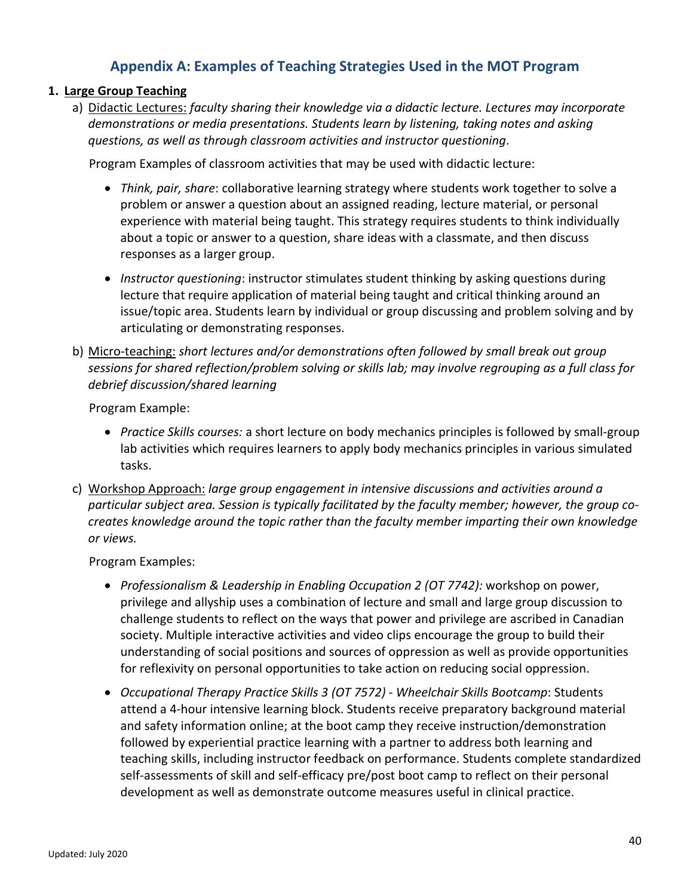# **Appendix A: Examples of Teaching Strategies Used in the MOT Program**

### <span id="page-42-0"></span>**1. Large Group Teaching**

a) Didactic Lectures: *faculty sharing their knowledge via a didactic lecture. Lectures may incorporate demonstrations or media presentations. Students learn by listening, taking notes and asking questions, as well as through classroom activities and instructor questioning*.

Program Examples of classroom activities that may be used with didactic lecture:

- *Think, pair, share*: collaborative learning strategy where students work together to solve a problem or answer a question about an assigned reading, lecture material, or personal experience with material being taught. This strategy requires students to think individually about a topic or answer to a question, share ideas with a classmate, and then discuss responses as a larger group.
- *Instructor questioning*: instructor stimulates student thinking by asking questions during lecture that require application of material being taught and critical thinking around an issue/topic area. Students learn by individual or group discussing and problem solving and by articulating or demonstrating responses.
- b) Micro-teaching: *short lectures and/or demonstrations often followed by small break out group sessions for shared reflection/problem solving or skills lab; may involve regrouping as a full class for debrief discussion/shared learning*

Program Example:

- *Practice Skills courses:* a short lecture on body mechanics principles is followed by small-group lab activities which requires learners to apply body mechanics principles in various simulated tasks.
- c) Workshop Approach: *large group engagement in intensive discussions and activities around a particular subject area. Session is typically facilitated by the faculty member; however, the group cocreates knowledge around the topic rather than the faculty member imparting their own knowledge or views.*

Program Examples:

- *Professionalism & Leadership in Enabling Occupation 2 (OT 7742):* workshop on power, privilege and allyship uses a combination of lecture and small and large group discussion to challenge students to reflect on the ways that power and privilege are ascribed in Canadian society. Multiple interactive activities and video clips encourage the group to build their understanding of social positions and sources of oppression as well as provide opportunities for reflexivity on personal opportunities to take action on reducing social oppression.
- *Occupational Therapy Practice Skills 3 (OT 7572) - Wheelchair Skills Bootcamp*: Students attend a 4-hour intensive learning block. Students receive preparatory background material and safety information online; at the boot camp they receive instruction/demonstration followed by experiential practice learning with a partner to address both learning and teaching skills, including instructor feedback on performance. Students complete standardized self-assessments of skill and self-efficacy pre/post boot camp to reflect on their personal development as well as demonstrate outcome measures useful in clinical practice.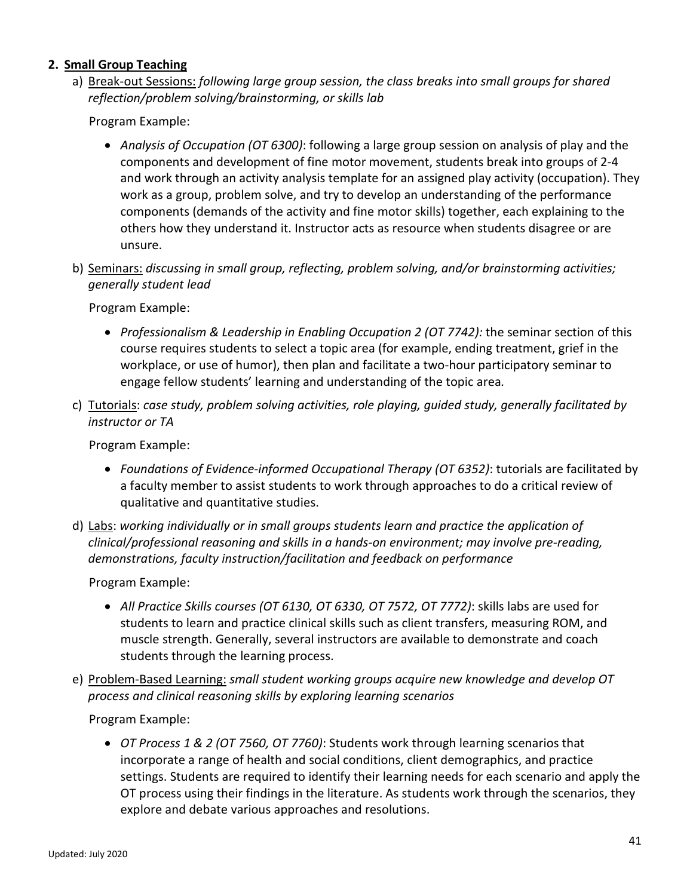### **2. Small Group Teaching**

a) Break-out Sessions: *following large group session, the class breaks into small groups for shared reflection/problem solving/brainstorming, or skills lab*

Program Example:

- *Analysis of Occupation (OT 6300)*: following a large group session on analysis of play and the components and development of fine motor movement, students break into groups of 2-4 and work through an activity analysis template for an assigned play activity (occupation). They work as a group, problem solve, and try to develop an understanding of the performance components (demands of the activity and fine motor skills) together, each explaining to the others how they understand it. Instructor acts as resource when students disagree or are unsure.
- b) Seminars: *discussing in small group, reflecting, problem solving, and/or brainstorming activities; generally student lead*

Program Example:

- *Professionalism & Leadership in Enabling Occupation 2 (OT 7742):* the seminar section of this course requires students to select a topic area (for example, ending treatment, grief in the workplace, or use of humor), then plan and facilitate a two-hour participatory seminar to engage fellow students' learning and understanding of the topic area*.*
- c) Tutorials: *case study, problem solving activities, role playing, guided study, generally facilitated by instructor or TA*

Program Example:

- *Foundations of Evidence-informed Occupational Therapy (OT 6352)*: tutorials are facilitated by a faculty member to assist students to work through approaches to do a critical review of qualitative and quantitative studies.
- d) Labs: *working individually or in small groups students learn and practice the application of clinical/professional reasoning and skills in a hands-on environment; may involve pre-reading, demonstrations, faculty instruction/facilitation and feedback on performance*

Program Example:

- *All Practice Skills courses (OT 6130, OT 6330, OT 7572, OT 7772)*: skills labs are used for students to learn and practice clinical skills such as client transfers, measuring ROM, and muscle strength. Generally, several instructors are available to demonstrate and coach students through the learning process.
- e) Problem-Based Learning: *small student working groups acquire new knowledge and develop OT process and clinical reasoning skills by exploring learning scenarios*

Program Example:

• *OT Process 1 & 2 (OT 7560, OT 7760)*: Students work through learning scenarios that incorporate a range of health and social conditions, client demographics, and practice settings. Students are required to identify their learning needs for each scenario and apply the OT process using their findings in the literature. As students work through the scenarios, they explore and debate various approaches and resolutions.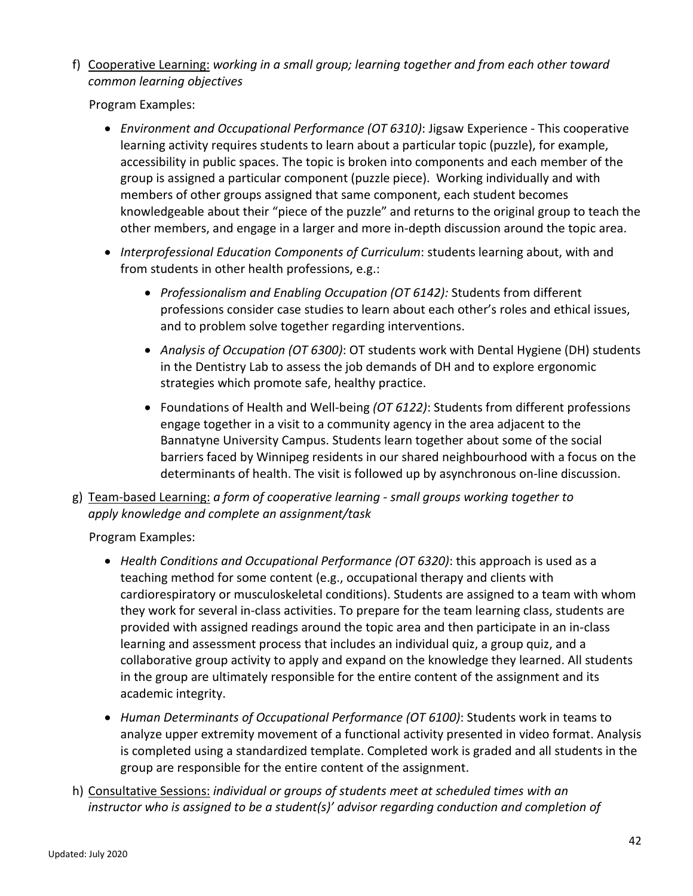f) Cooperative Learning: *working in a small group; learning together and from each other toward common learning objectives*

Program Examples:

- *Environment and Occupational Performance (OT 6310)*: Jigsaw Experience This cooperative learning activity requires students to learn about a particular topic (puzzle), for example, accessibility in public spaces. The topic is broken into components and each member of the group is assigned a particular component (puzzle piece). Working individually and with members of other groups assigned that same component, each student becomes knowledgeable about their "piece of the puzzle" and returns to the original group to teach the other members, and engage in a larger and more in-depth discussion around the topic area.
- *Interprofessional Education Components of Curriculum*: students learning about, with and from students in other health professions, e.g.:
	- *Professionalism and Enabling Occupation (OT 6142):* Students from different professions consider case studies to learn about each other's roles and ethical issues, and to problem solve together regarding interventions.
	- *Analysis of Occupation (OT 6300)*: OT students work with Dental Hygiene (DH) students in the Dentistry Lab to assess the job demands of DH and to explore ergonomic strategies which promote safe, healthy practice.
	- Foundations of Health and Well-being *(OT 6122)*: Students from different professions engage together in a visit to a community agency in the area adjacent to the Bannatyne University Campus. Students learn together about some of the social barriers faced by Winnipeg residents in our shared neighbourhood with a focus on the determinants of health. The visit is followed up by asynchronous on-line discussion.
- g) Team-based Learning: *a form of cooperative learning - small groups working together to apply knowledge and complete an assignment/task*

Program Examples:

- *Health Conditions and Occupational Performance (OT 6320)*: this approach is used as a teaching method for some content (e.g., occupational therapy and clients with cardiorespiratory or musculoskeletal conditions). Students are assigned to a team with whom they work for several in-class activities. To prepare for the team learning class, students are provided with assigned readings around the topic area and then participate in an in-class learning and assessment process that includes an individual quiz, a group quiz, and a collaborative group activity to apply and expand on the knowledge they learned. All students in the group are ultimately responsible for the entire content of the assignment and its academic integrity.
- *Human Determinants of Occupational Performance (OT 6100)*: Students work in teams to analyze upper extremity movement of a functional activity presented in video format. Analysis is completed using a standardized template. Completed work is graded and all students in the group are responsible for the entire content of the assignment.
- h) Consultative Sessions: *individual or groups of students meet at scheduled times with an instructor who is assigned to be a student(s)' advisor regarding conduction and completion of*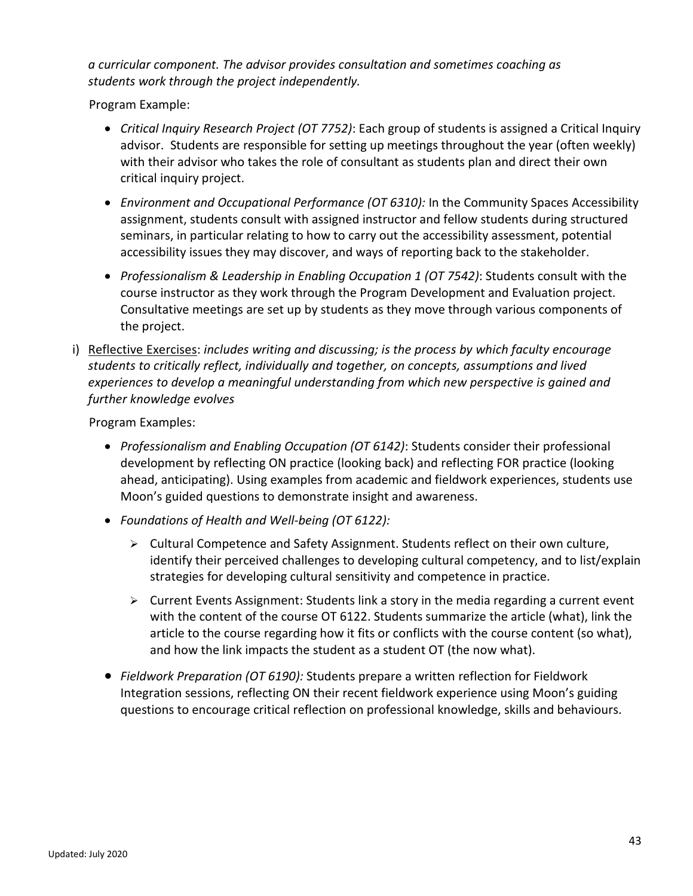*a curricular component. The advisor provides consultation and sometimes coaching as students work through the project independently.*

Program Example:

- *Critical Inquiry Research Project (OT 7752)*: Each group of students is assigned a Critical Inquiry advisor. Students are responsible for setting up meetings throughout the year (often weekly) with their advisor who takes the role of consultant as students plan and direct their own critical inquiry project.
- *Environment and Occupational Performance (OT 6310):* In the Community Spaces Accessibility assignment, students consult with assigned instructor and fellow students during structured seminars, in particular relating to how to carry out the accessibility assessment, potential accessibility issues they may discover, and ways of reporting back to the stakeholder.
- *Professionalism & Leadership in Enabling Occupation 1 (OT 7542)*: Students consult with the course instructor as they work through the Program Development and Evaluation project. Consultative meetings are set up by students as they move through various components of the project.
- i) Reflective Exercises: *includes writing and discussing; is the process by which faculty encourage students to critically reflect, individually and together, on concepts, assumptions and lived experiences to develop a meaningful understanding from which new perspective is gained and further knowledge evolves*

Program Examples:

- *Professionalism and Enabling Occupation (OT 6142)*: Students consider their professional development by reflecting ON practice (looking back) and reflecting FOR practice (looking ahead, anticipating). Using examples from academic and fieldwork experiences, students use Moon's guided questions to demonstrate insight and awareness.
- *Foundations of Health and Well-being (OT 6122):*
	- $\triangleright$  Cultural Competence and Safety Assignment. Students reflect on their own culture, identify their perceived challenges to developing cultural competency, and to list/explain strategies for developing cultural sensitivity and competence in practice.
	- $\triangleright$  Current Events Assignment: Students link a story in the media regarding a current event with the content of the course OT 6122. Students summarize the article (what), link the article to the course regarding how it fits or conflicts with the course content (so what), and how the link impacts the student as a student OT (the now what).
- *Fieldwork Preparation (OT 6190):* Students prepare a written reflection for Fieldwork Integration sessions, reflecting ON their recent fieldwork experience using Moon's guiding questions to encourage critical reflection on professional knowledge, skills and behaviours.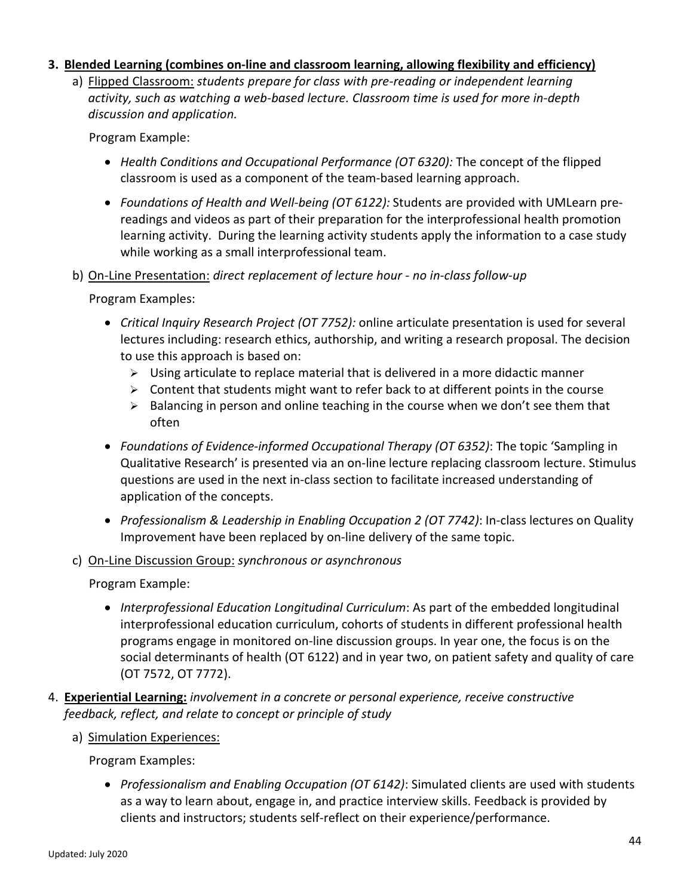### **3. Blended Learning (combines on-line and classroom learning, allowing flexibility and efficiency)**

a) Flipped Classroom: *students prepare for class with pre-reading or independent learning activity, such as watching a web-based lecture. Classroom time is used for more in-depth discussion and application.*

Program Example:

- *Health Conditions and Occupational Performance (OT 6320):* The concept of the flipped classroom is used as a component of the team-based learning approach.
- *Foundations of Health and Well-being (OT 6122):* Students are provided with UMLearn prereadings and videos as part of their preparation for the interprofessional health promotion learning activity. During the learning activity students apply the information to a case study while working as a small interprofessional team.
- b) On-Line Presentation: *direct replacement of lecture hour - no in-class follow-up*

Program Examples:

- *Critical Inquiry Research Project (OT 7752):* online articulate presentation is used for several lectures including: research ethics, authorship, and writing a research proposal. The decision to use this approach is based on:
	- $\triangleright$  Using articulate to replace material that is delivered in a more didactic manner
	- $\triangleright$  Content that students might want to refer back to at different points in the course
	- $\triangleright$  Balancing in person and online teaching in the course when we don't see them that often
- *Foundations of Evidence-informed Occupational Therapy (OT 6352)*: The topic 'Sampling in Qualitative Research' is presented via an on-line lecture replacing classroom lecture. Stimulus questions are used in the next in-class section to facilitate increased understanding of application of the concepts.
- *Professionalism & Leadership in Enabling Occupation 2 (OT 7742)*: In-class lectures on Quality Improvement have been replaced by on-line delivery of the same topic.
- c) On-Line Discussion Group: *synchronous or asynchronous*

Program Example:

- *Interprofessional Education Longitudinal Curriculum*: As part of the embedded longitudinal interprofessional education curriculum, cohorts of students in different professional health programs engage in monitored on-line discussion groups. In year one, the focus is on the social determinants of health (OT 6122) and in year two, on patient safety and quality of care (OT 7572, OT 7772).
- 4. **Experiential Learning:** *involvement in a concrete or personal experience, receive constructive feedback, reflect, and relate to concept or principle of study*
	- a) Simulation Experiences:

Program Examples:

• *Professionalism and Enabling Occupation (OT 6142)*: Simulated clients are used with students as a way to learn about, engage in, and practice interview skills. Feedback is provided by clients and instructors; students self-reflect on their experience/performance.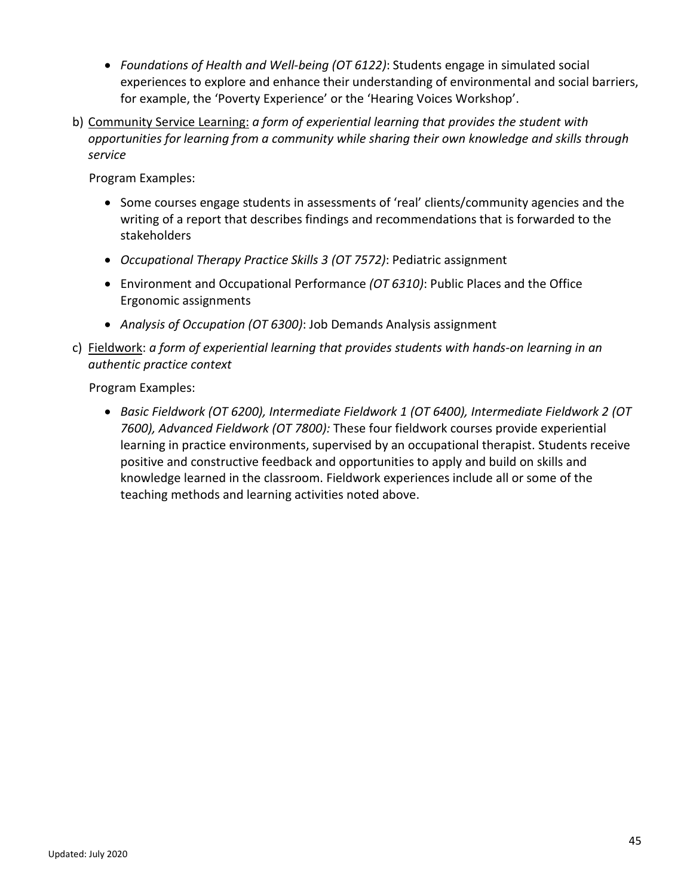- *Foundations of Health and Well-being (OT 6122)*: Students engage in simulated social experiences to explore and enhance their understanding of environmental and social barriers, for example, the 'Poverty Experience' or the 'Hearing Voices Workshop'.
- b) Community Service Learning: *a form of experiential learning that provides the student with opportunities for learning from a community while sharing their own knowledge and skills through service*

Program Examples:

- Some courses engage students in assessments of 'real' clients/community agencies and the writing of a report that describes findings and recommendations that is forwarded to the stakeholders
- *Occupational Therapy Practice Skills 3 (OT 7572)*: Pediatric assignment
- Environment and Occupational Performance *(OT 6310)*: Public Places and the Office Ergonomic assignments
- *Analysis of Occupation (OT 6300)*: Job Demands Analysis assignment
- c) Fieldwork: *a form of experiential learning that provides students with hands-on learning in an authentic practice context*

Program Examples:

• *Basic Fieldwork (OT 6200), Intermediate Fieldwork 1 (OT 6400), Intermediate Fieldwork 2 (OT 7600), Advanced Fieldwork (OT 7800):* These four fieldwork courses provide experiential learning in practice environments, supervised by an occupational therapist. Students receive positive and constructive feedback and opportunities to apply and build on skills and knowledge learned in the classroom. Fieldwork experiences include all or some of the teaching methods and learning activities noted above.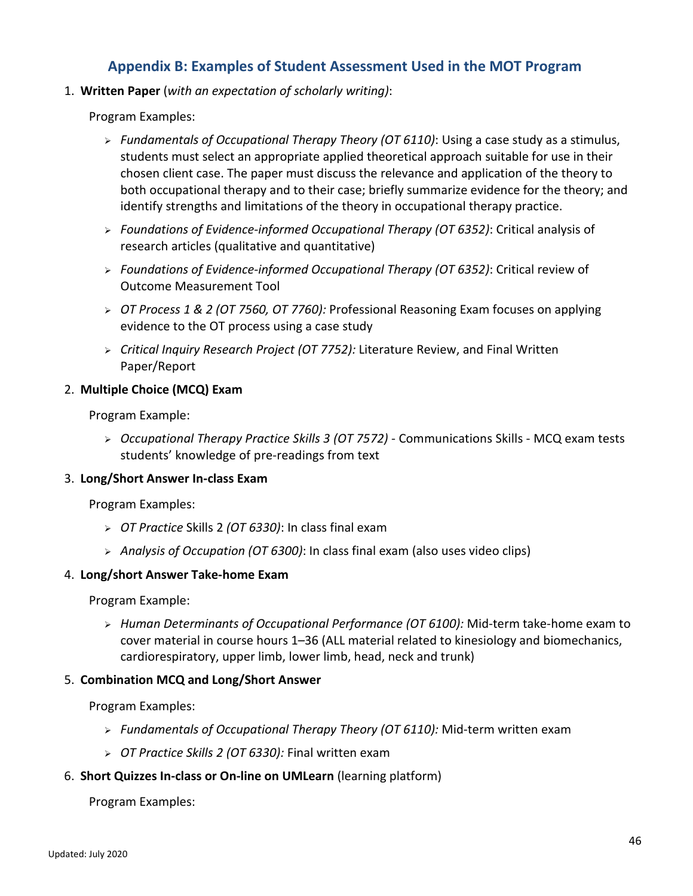# **Appendix B: Examples of Student Assessment Used in the MOT Program**

<span id="page-48-0"></span>1. **Written Paper** (*with an expectation of scholarly writing)*:

Program Examples:

- *Fundamentals of Occupational Therapy Theory (OT 6110)*: Using a case study as a stimulus, students must select an appropriate applied theoretical approach suitable for use in their chosen client case. The paper must discuss the relevance and application of the theory to both occupational therapy and to their case; briefly summarize evidence for the theory; and identify strengths and limitations of the theory in occupational therapy practice.
- *Foundations of Evidence-informed Occupational Therapy (OT 6352)*: Critical analysis of research articles (qualitative and quantitative)
- *Foundations of Evidence-informed Occupational Therapy (OT 6352)*: Critical review of Outcome Measurement Tool
- *OT Process 1 & 2 (OT 7560, OT 7760):* Professional Reasoning Exam focuses on applying evidence to the OT process using a case study
- *Critical Inquiry Research Project (OT 7752):* Literature Review, and Final Written Paper/Report

### 2. **Multiple Choice (MCQ) Exam**

Program Example:

 *Occupational Therapy Practice Skills 3 (OT 7572)* - Communications Skills - MCQ exam tests students' knowledge of pre-readings from text

#### 3. **Long/Short Answer In-class Exam**

Program Examples:

- *OT Practice* Skills 2 *(OT 6330)*: In class final exam
- *Analysis of Occupation (OT 6300)*: In class final exam (also uses video clips)

#### 4. **Long/short Answer Take-home Exam**

Program Example:

 *Human Determinants of Occupational Performance (OT 6100):* Mid-term take-home exam to cover material in course hours 1–36 (ALL material related to kinesiology and biomechanics, cardiorespiratory, upper limb, lower limb, head, neck and trunk)

### 5. **Combination MCQ and Long/Short Answer**

Program Examples:

- *Fundamentals of Occupational Therapy Theory (OT 6110):* Mid-term written exam
- *OT Practice Skills 2 (OT 6330):* Final written exam
- 6. **Short Quizzes In-class or On-line on UMLearn** (learning platform)

#### Program Examples: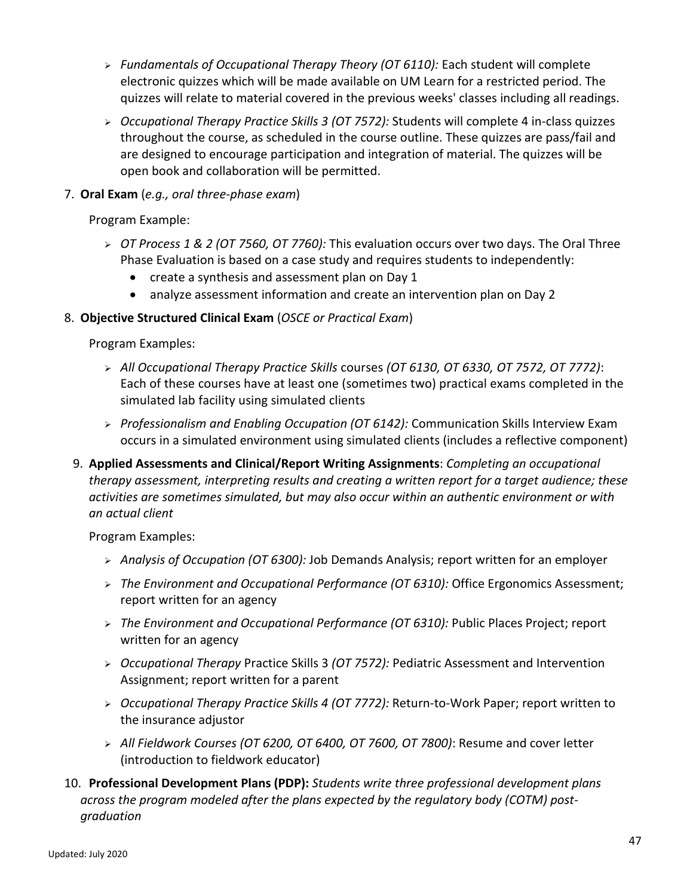- *Fundamentals of Occupational Therapy Theory (OT 6110):* Each student will complete electronic quizzes which will be made available on UM Learn for a restricted period. The quizzes will relate to material covered in the previous weeks' classes including all readings.
- *Occupational Therapy Practice Skills 3 (OT 7572):* Students will complete 4 in-class quizzes throughout the course, as scheduled in the course outline. These quizzes are pass/fail and are designed to encourage participation and integration of material. The quizzes will be open book and collaboration will be permitted.
- 7. **Oral Exam** (*e.g., oral three-phase exam*)

Program Example:

- *OT Process 1 & 2 (OT 7560, OT 7760):* This evaluation occurs over two days. The Oral Three Phase Evaluation is based on a case study and requires students to independently:
	- create a synthesis and assessment plan on Day 1
	- analyze assessment information and create an intervention plan on Day 2

### 8. **Objective Structured Clinical Exam** (*OSCE or Practical Exam*)

Program Examples:

- *All Occupational Therapy Practice Skills* courses *(OT 6130, OT 6330, OT 7572, OT 7772)*: Each of these courses have at least one (sometimes two) practical exams completed in the simulated lab facility using simulated clients
- *Professionalism and Enabling Occupation (OT 6142):* Communication Skills Interview Exam occurs in a simulated environment using simulated clients (includes a reflective component)
- 9. **Applied Assessments and Clinical/Report Writing Assignments**: *Completing an occupational therapy assessment, interpreting results and creating a written report for a target audience; these activities are sometimes simulated, but may also occur within an authentic environment or with an actual client*

Program Examples:

- *Analysis of Occupation (OT 6300):* Job Demands Analysis; report written for an employer
- *The Environment and Occupational Performance (OT 6310):* Office Ergonomics Assessment; report written for an agency
- *The Environment and Occupational Performance (OT 6310):* Public Places Project; report written for an agency
- *Occupational Therapy* Practice Skills 3 *(OT 7572):* Pediatric Assessment and Intervention Assignment; report written for a parent
- *Occupational Therapy Practice Skills 4 (OT 7772):* Return-to-Work Paper; report written to the insurance adjustor
- *All Fieldwork Courses (OT 6200, OT 6400, OT 7600, OT 7800)*: Resume and cover letter (introduction to fieldwork educator)
- 10. **Professional Development Plans (PDP):** *Students write three professional development plans across the program modeled after the plans expected by the regulatory body (COTM) postgraduation*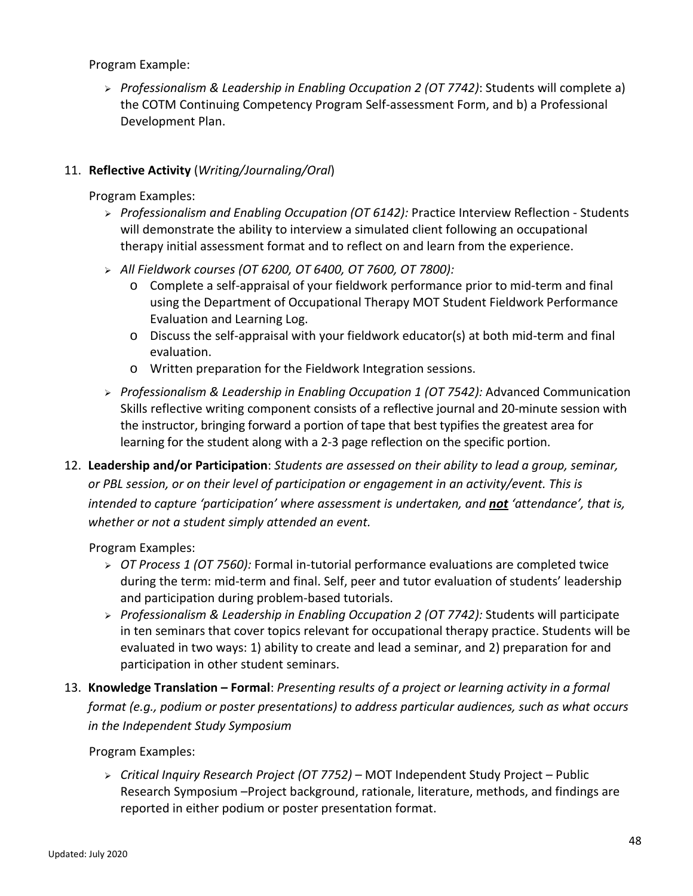Program Example:

 *Professionalism & Leadership in Enabling Occupation 2 (OT 7742)*: Students will complete a) the COTM Continuing Competency Program Self-assessment Form, and b) a Professional Development Plan.

## 11. **Reflective Activity** (*Writing/Journaling/Oral*)

Program Examples:

- *Professionalism and Enabling Occupation (OT 6142):* Practice Interview Reflection Students will demonstrate the ability to interview a simulated client following an occupational therapy initial assessment format and to reflect on and learn from the experience.
- *All Fieldwork courses (OT 6200, OT 6400, OT 7600, OT 7800):*
	- o Complete a self-appraisal of your fieldwork performance prior to mid-term and final using the Department of Occupational Therapy MOT Student Fieldwork Performance Evaluation and Learning Log.
	- o Discuss the self-appraisal with your fieldwork educator(s) at both mid-term and final evaluation.
	- o Written preparation for the Fieldwork Integration sessions.
- *Professionalism & Leadership in Enabling Occupation 1 (OT 7542):* Advanced Communication Skills reflective writing component consists of a reflective journal and 20-minute session with the instructor, bringing forward a portion of tape that best typifies the greatest area for learning for the student along with a 2-3 page reflection on the specific portion.
- 12. **Leadership and/or Participation**: *Students are assessed on their ability to lead a group, seminar, or PBL session, or on their level of participation or engagement in an activity/event. This is intended to capture 'participation' where assessment is undertaken, and not 'attendance', that is, whether or not a student simply attended an event.*

Program Examples:

- *OT Process 1 (OT 7560):* Formal in-tutorial performance evaluations are completed twice during the term: mid-term and final. Self, peer and tutor evaluation of students' leadership and participation during problem-based tutorials.
- *Professionalism & Leadership in Enabling Occupation 2 (OT 7742):* Students will participate in ten seminars that cover topics relevant for occupational therapy practice. Students will be evaluated in two ways: 1) ability to create and lead a seminar, and 2) preparation for and participation in other student seminars.
- 13. **Knowledge Translation – Formal**: *Presenting results of a project or learning activity in a formal format (e.g., podium or poster presentations) to address particular audiences, such as what occurs in the Independent Study Symposium*

Program Examples:

 *Critical Inquiry Research Project (OT 7752)* – MOT Independent Study Project – Public Research Symposium –Project background, rationale, literature, methods, and findings are reported in either podium or poster presentation format.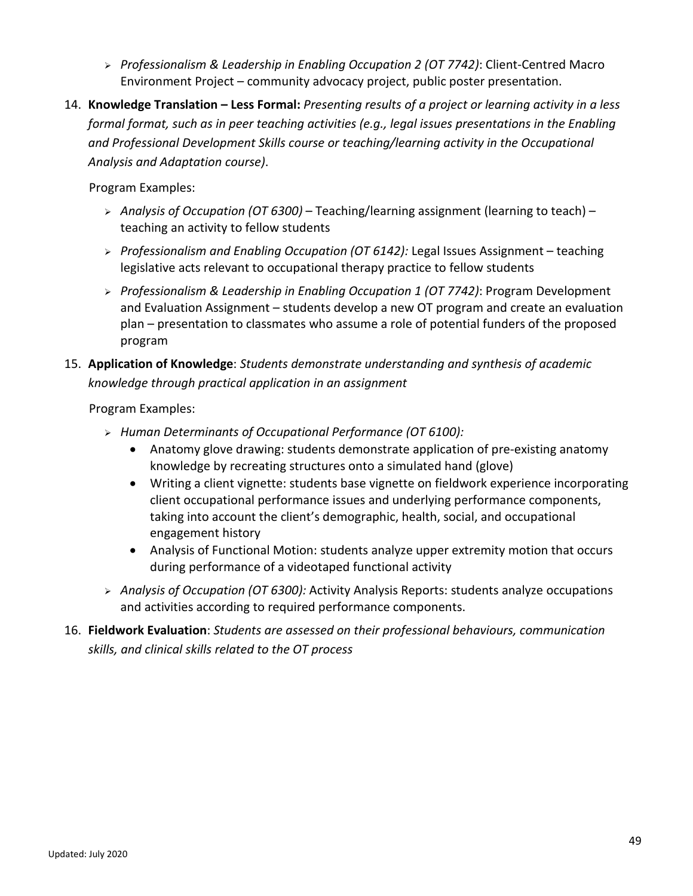- *Professionalism & Leadership in Enabling Occupation 2 (OT 7742)*: Client-Centred Macro Environment Project – community advocacy project, public poster presentation.
- 14. **Knowledge Translation – Less Formal:** *Presenting results of a project or learning activity in a less formal format, such as in peer teaching activities (e.g., legal issues presentations in the Enabling and Professional Development Skills course or teaching/learning activity in the Occupational Analysis and Adaptation course)*.

Program Examples:

- *Analysis of Occupation (OT 6300)* Teaching/learning assignment (learning to teach) teaching an activity to fellow students
- *Professionalism and Enabling Occupation (OT 6142):* Legal Issues Assignment teaching legislative acts relevant to occupational therapy practice to fellow students
- *Professionalism & Leadership in Enabling Occupation 1 (OT 7742)*: Program Development and Evaluation Assignment – students develop a new OT program and create an evaluation plan – presentation to classmates who assume a role of potential funders of the proposed program
- 15. **Application of Knowledge**: *Students demonstrate understanding and synthesis of academic knowledge through practical application in an assignment*

Program Examples:

- *Human Determinants of Occupational Performance (OT 6100):*
	- Anatomy glove drawing: students demonstrate application of pre-existing anatomy knowledge by recreating structures onto a simulated hand (glove)
	- Writing a client vignette: students base vignette on fieldwork experience incorporating client occupational performance issues and underlying performance components, taking into account the client's demographic, health, social, and occupational engagement history
	- Analysis of Functional Motion: students analyze upper extremity motion that occurs during performance of a videotaped functional activity
- *Analysis of Occupation (OT 6300):* Activity Analysis Reports: students analyze occupations and activities according to required performance components.
- 16. **Fieldwork Evaluation**: *Students are assessed on their professional behaviours, communication skills, and clinical skills related to the OT process*